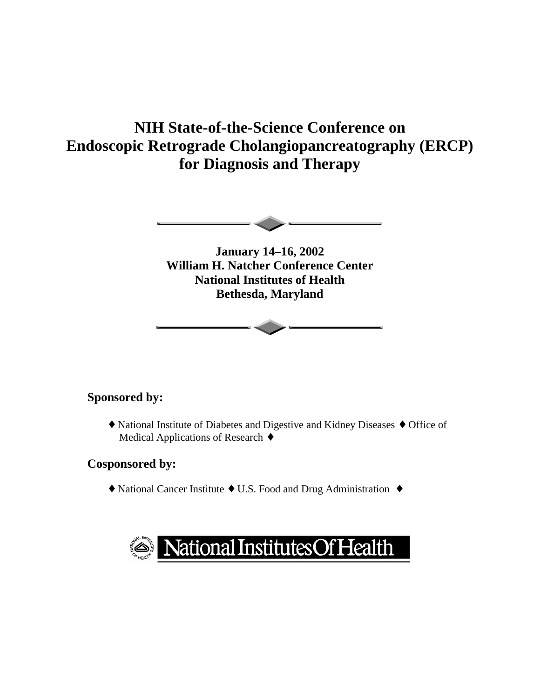# **NIH State-of-the-Science Conference on Endoscopic Retrograde Cholangiopancreatography (ERCP) for Diagnosis and Therapy**



**January 14–16, 2002 William H. Natcher Conference Center National Institutes of Health Bethesda, Maryland** 

### **Sponsored by:**

 ♦ National Institute of Diabetes and Digestive and Kidney Diseases ♦ Office of Medical Applications of Research ♦

### **Cosponsored by:**

♦ National Cancer Institute ♦ U.S. Food and Drug Administration ♦

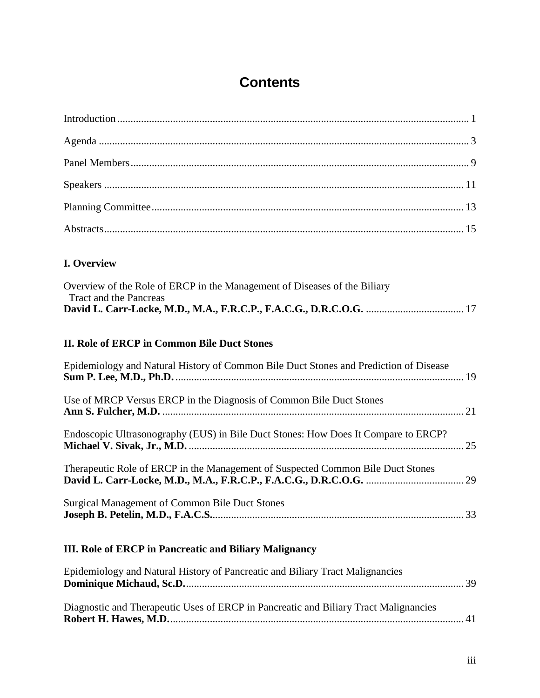# **Contents**

## **I. Overview**

| Overview of the Role of ERCP in the Management of Diseases of the Biliary |  |
|---------------------------------------------------------------------------|--|
| Tract and the Pancreas                                                    |  |
|                                                                           |  |

## **II. Role of ERCP in Common Bile Duct Stones**

| Epidemiology and Natural History of Common Bile Duct Stones and Prediction of Disease |  |
|---------------------------------------------------------------------------------------|--|
| Use of MRCP Versus ERCP in the Diagnosis of Common Bile Duct Stones                   |  |
| Endoscopic Ultrasonography (EUS) in Bile Duct Stones: How Does It Compare to ERCP?    |  |
| Therapeutic Role of ERCP in the Management of Suspected Common Bile Duct Stones       |  |
| <b>Surgical Management of Common Bile Duct Stones</b>                                 |  |

# **III. Role of ERCP in Pancreatic and Biliary Malignancy**

| Epidemiology and Natural History of Pancreatic and Biliary Tract Malignancies        |  |
|--------------------------------------------------------------------------------------|--|
|                                                                                      |  |
| Diagnostic and Therapeutic Uses of ERCP in Pancreatic and Biliary Tract Malignancies |  |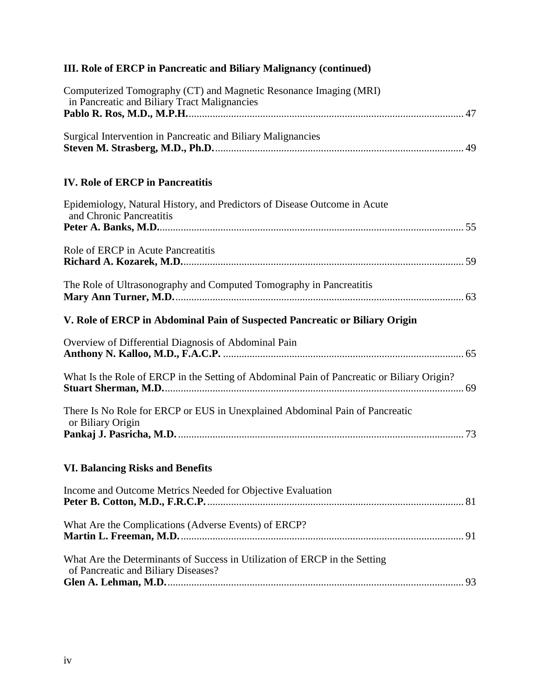# **III. Role of ERCP in Pancreatic and Biliary Malignancy (continued)**

| Computerized Tomography (CT) and Magnetic Resonance Imaging (MRI)<br>in Pancreatic and Biliary Tract Malignancies |
|-------------------------------------------------------------------------------------------------------------------|
| Surgical Intervention in Pancreatic and Biliary Malignancies                                                      |
| <b>IV. Role of ERCP in Pancreatitis</b>                                                                           |
| Epidemiology, Natural History, and Predictors of Disease Outcome in Acute<br>and Chronic Pancreatitis             |
| Role of ERCP in Acute Pancreatitis                                                                                |
| The Role of Ultrasonography and Computed Tomography in Pancreatitis                                               |
| V. Role of ERCP in Abdominal Pain of Suspected Pancreatic or Biliary Origin                                       |
| Overview of Differential Diagnosis of Abdominal Pain                                                              |
| What Is the Role of ERCP in the Setting of Abdominal Pain of Pancreatic or Biliary Origin?                        |
| There Is No Role for ERCP or EUS in Unexplained Abdominal Pain of Pancreatic<br>or Biliary Origin                 |
| <b>VI. Balancing Risks and Benefits</b>                                                                           |
| Income and Outcome Metrics Needed for Objective Evaluation                                                        |
| What Are the Complications (Adverse Events) of ERCP?                                                              |
| What Are the Determinants of Success in Utilization of ERCP in the Setting<br>of Pancreatic and Biliary Diseases? |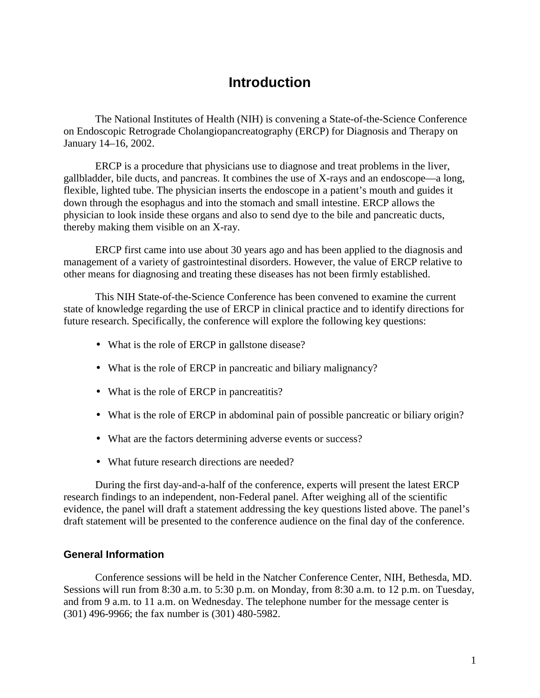# **Introduction**

The National Institutes of Health (NIH) is convening a State-of-the-Science Conference on Endoscopic Retrograde Cholangiopancreatography (ERCP) for Diagnosis and Therapy on January 14–16, 2002.

ERCP is a procedure that physicians use to diagnose and treat problems in the liver, gallbladder, bile ducts, and pancreas. It combines the use of X-rays and an endoscope—a long, flexible, lighted tube. The physician inserts the endoscope in a patient's mouth and guides it down through the esophagus and into the stomach and small intestine. ERCP allows the physician to look inside these organs and also to send dye to the bile and pancreatic ducts, thereby making them visible on an X-ray.

ERCP first came into use about 30 years ago and has been applied to the diagnosis and management of a variety of gastrointestinal disorders. However, the value of ERCP relative to other means for diagnosing and treating these diseases has not been firmly established.

This NIH State-of-the-Science Conference has been convened to examine the current state of knowledge regarding the use of ERCP in clinical practice and to identify directions for future research. Specifically, the conference will explore the following key questions:

- What is the role of ERCP in gallstone disease?
- What is the role of ERCP in pancreatic and biliary malignancy?
- What is the role of ERCP in pancreatitis?
- What is the role of ERCP in abdominal pain of possible pancreatic or biliary origin?
- What are the factors determining adverse events or success?
- What future research directions are needed?

 draft statement will be presented to the conference audience on the final day of the conference. During the first day-and-a-half of the conference, experts will present the latest ERCP research findings to an independent, non-Federal panel. After weighing all of the scientific evidence, the panel will draft a statement addressing the key questions listed above. The panel's

#### **General Information**

Conference sessions will be held in the Natcher Conference Center, NIH, Bethesda, MD. Sessions will run from 8:30 a.m. to 5:30 p.m. on Monday, from 8:30 a.m. to 12 p.m. on Tuesday, and from 9 a.m. to 11 a.m. on Wednesday. The telephone number for the message center is (301) 496-9966; the fax number is (301) 480-5982.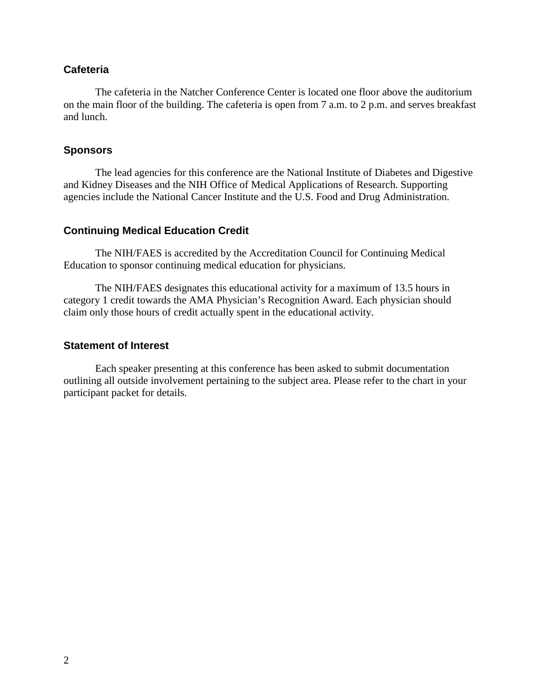#### **Cafeteria**

The cafeteria in the Natcher Conference Center is located one floor above the auditorium on the main floor of the building. The cafeteria is open from 7 a.m. to 2 p.m. and serves breakfast and lunch.

#### **Sponsors**

The lead agencies for this conference are the National Institute of Diabetes and Digestive and Kidney Diseases and the NIH Office of Medical Applications of Research. Supporting agencies include the National Cancer Institute and the U.S. Food and Drug Administration.

#### **Continuing Medical Education Credit**

The NIH/FAES is accredited by the Accreditation Council for Continuing Medical Education to sponsor continuing medical education for physicians.

The NIH/FAES designates this educational activity for a maximum of 13.5 hours in category 1 credit towards the AMA Physician's Recognition Award. Each physician should claim only those hours of credit actually spent in the educational activity.

#### **Statement of Interest**

Each speaker presenting at this conference has been asked to submit documentation outlining all outside involvement pertaining to the subject area. Please refer to the chart in your participant packet for details.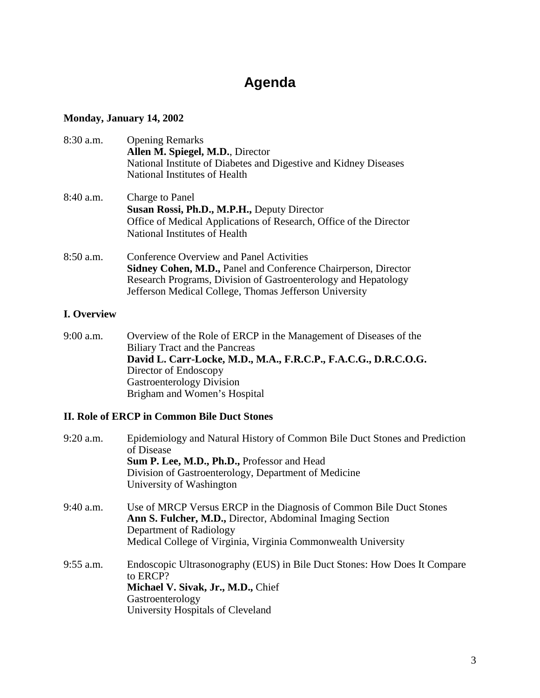# **Agenda**

### **Monday, January 14, 2002**

| 8:30 a.m.   | <b>Opening Remarks</b><br>Allen M. Spiegel, M.D., Director<br>National Institute of Diabetes and Digestive and Kidney Diseases<br>National Institutes of Health                                                                               |
|-------------|-----------------------------------------------------------------------------------------------------------------------------------------------------------------------------------------------------------------------------------------------|
| $8:40$ a.m. | Charge to Panel<br>Susan Rossi, Ph.D., M.P.H., Deputy Director<br>Office of Medical Applications of Research, Office of the Director<br>National Institutes of Health                                                                         |
| 8:50 a.m.   | Conference Overview and Panel Activities<br><b>Sidney Cohen, M.D., Panel and Conference Chairperson, Director</b><br>Research Programs, Division of Gastroenterology and Hepatology<br>Jefferson Medical College, Thomas Jefferson University |

#### **I. Overview**

9:00 a.m. Overview of the Role of ERCP in the Management of Diseases of the Biliary Tract and the Pancreas **David L. Carr-Locke, M.D., M.A., F.R.C.P., F.A.C.G., D.R.C.O.G.**  Director of Endoscopy Gastroenterology Division Brigham and Women's Hospital

#### **II. Role of ERCP in Common Bile Duct Stones**

| 9:20 a.m.   | Epidemiology and Natural History of Common Bile Duct Stones and Prediction<br>of Disease<br>Sum P. Lee, M.D., Ph.D., Professor and Head<br>Division of Gastroenterology, Department of Medicine<br>University of Washington  |
|-------------|------------------------------------------------------------------------------------------------------------------------------------------------------------------------------------------------------------------------------|
| $9:40$ a.m. | Use of MRCP Versus ERCP in the Diagnosis of Common Bile Duct Stones<br>Ann S. Fulcher, M.D., Director, Abdominal Imaging Section<br>Department of Radiology<br>Medical College of Virginia, Virginia Commonwealth University |
| $9:55$ a.m. | Endoscopic Ultrasonography (EUS) in Bile Duct Stones: How Does It Compare<br>to ERCP?<br>Michael V. Sivak, Jr., M.D., Chief<br>Gastroenterology<br>University Hospitals of Cleveland                                         |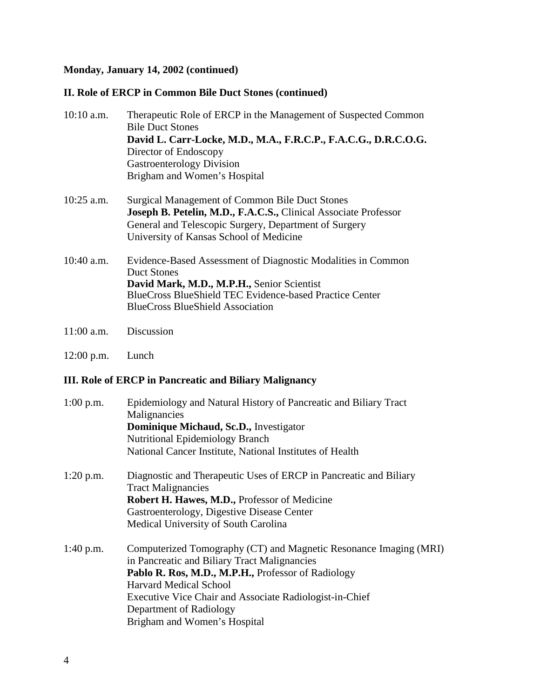## **Monday, January 14, 2002 (continued)**

### **II. Role of ERCP in Common Bile Duct Stones (continued)**

| $10:10$ a.m. | Therapeutic Role of ERCP in the Management of Suspected Common<br><b>Bile Duct Stones</b><br>David L. Carr-Locke, M.D., M.A., F.R.C.P., F.A.C.G., D.R.C.O.G.<br>Director of Endoscopy<br><b>Gastroenterology Division</b><br>Brigham and Women's Hospital |
|--------------|-----------------------------------------------------------------------------------------------------------------------------------------------------------------------------------------------------------------------------------------------------------|
| $10:25$ a.m. | <b>Surgical Management of Common Bile Duct Stones</b><br>Joseph B. Petelin, M.D., F.A.C.S., Clinical Associate Professor<br>General and Telescopic Surgery, Department of Surgery<br>University of Kansas School of Medicine                              |
| $10:40$ a.m. | Evidence-Based Assessment of Diagnostic Modalities in Common<br><b>Duct Stones</b><br>David Mark, M.D., M.P.H., Senior Scientist<br>BlueCross BlueShield TEC Evidence-based Practice Center<br><b>BlueCross BlueShield Association</b>                    |
| $11:00$ a.m. | Discussion                                                                                                                                                                                                                                                |

12:00 p.m. Lunch

# **III. Role of ERCP in Pancreatic and Biliary Malignancy**

| $1:00$ p.m. | Epidemiology and Natural History of Pancreatic and Biliary Tract<br>Malignancies<br>Dominique Michaud, Sc.D., Investigator<br><b>Nutritional Epidemiology Branch</b><br>National Cancer Institute, National Institutes of Health                                                                                               |
|-------------|--------------------------------------------------------------------------------------------------------------------------------------------------------------------------------------------------------------------------------------------------------------------------------------------------------------------------------|
| $1:20$ p.m. | Diagnostic and Therapeutic Uses of ERCP in Pancreatic and Biliary<br><b>Tract Malignancies</b><br>Robert H. Hawes, M.D., Professor of Medicine<br>Gastroenterology, Digestive Disease Center<br>Medical University of South Carolina                                                                                           |
| $1:40$ p.m. | Computerized Tomography (CT) and Magnetic Resonance Imaging (MRI)<br>in Pancreatic and Biliary Tract Malignancies<br>Pablo R. Ros, M.D., M.P.H., Professor of Radiology<br><b>Harvard Medical School</b><br>Executive Vice Chair and Associate Radiologist-in-Chief<br>Department of Radiology<br>Brigham and Women's Hospital |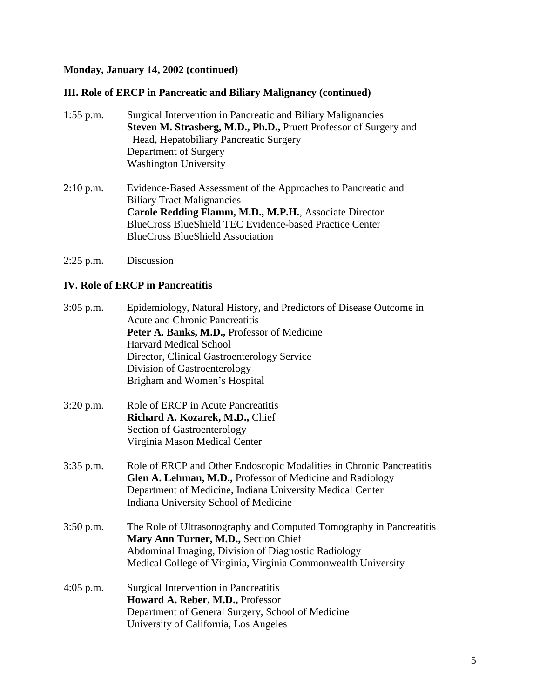#### **Monday, January 14, 2002 (continued)**

#### **III. Role of ERCP in Pancreatic and Biliary Malignancy (continued)**

- **Washington University** 1:55 p.m. Surgical Intervention in Pancreatic and Biliary Malignancies **Steven M. Strasberg, M.D., Ph.D.,** Pruett Professor of Surgery and Head, Hepatobiliary Pancreatic Surgery Department of Surgery
- 2:10 p.m. Evidence-Based Assessment of the Approaches to Pancreatic and Biliary Tract Malignancies **Carole Redding Flamm, M.D., M.P.H.**, Associate Director BlueCross BlueShield TEC Evidence-based Practice Center BlueCross BlueShield Association
- 2:25 p.m. Discussion

#### **IV. Role of ERCP in Pancreatitis**

| $3:05$ p.m. | Epidemiology, Natural History, and Predictors of Disease Outcome in<br><b>Acute and Chronic Pancreatitis</b><br>Peter A. Banks, M.D., Professor of Medicine<br><b>Harvard Medical School</b><br>Director, Clinical Gastroenterology Service<br>Division of Gastroenterology<br>Brigham and Women's Hospital |
|-------------|-------------------------------------------------------------------------------------------------------------------------------------------------------------------------------------------------------------------------------------------------------------------------------------------------------------|
| $3:20$ p.m. | Role of ERCP in Acute Pancreatitis<br>Richard A. Kozarek, M.D., Chief<br>Section of Gastroenterology<br>Virginia Mason Medical Center                                                                                                                                                                       |
| 3:35 p.m.   | Role of ERCP and Other Endoscopic Modalities in Chronic Pancreatitis<br>Glen A. Lehman, M.D., Professor of Medicine and Radiology<br>Department of Medicine, Indiana University Medical Center<br>Indiana University School of Medicine                                                                     |
| $3:50$ p.m. | The Role of Ultrasonography and Computed Tomography in Pancreatitis<br>Mary Ann Turner, M.D., Section Chief<br>Abdominal Imaging, Division of Diagnostic Radiology<br>Medical College of Virginia, Virginia Commonwealth University                                                                         |
| $4:05$ p.m. | Surgical Intervention in Pancreatitis<br>Howard A. Reber, M.D., Professor<br>Department of General Surgery, School of Medicine<br>University of California, Los Angeles                                                                                                                                     |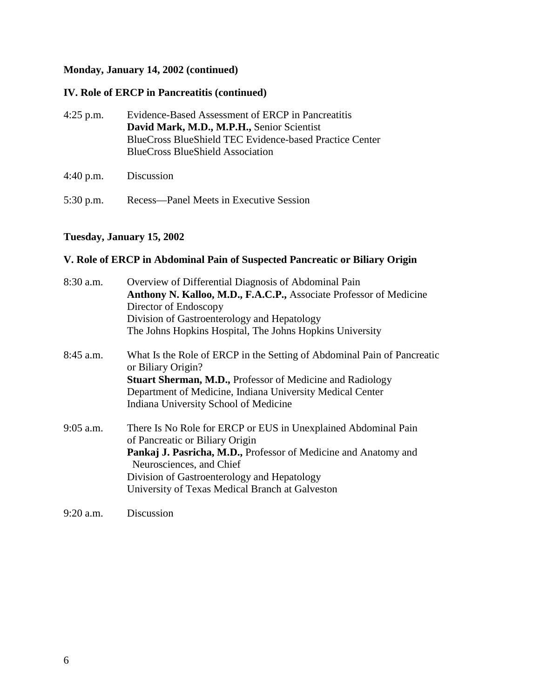#### **Monday, January 14, 2002 (continued)**

#### **IV. Role of ERCP in Pancreatitis (continued)**

- 4:25 p.m. Evidence-Based Assessment of ERCP in Pancreatitis **David Mark, M.D., M.P.H.,** Senior Scientist BlueCross BlueShield TEC Evidence-based Practice Center BlueCross BlueShield Association
- 

# 5:30 p.m. Recess—Panel Meets in Executive Session

### **Tuesday, January 15, 2002**

4:40 p.m. Discussion

#### **V. Role of ERCP in Abdominal Pain of Suspected Pancreatic or Biliary Origin**

| $8:30$ a.m. | Overview of Differential Diagnosis of Abdominal Pain                                              |
|-------------|---------------------------------------------------------------------------------------------------|
|             | Anthony N. Kalloo, M.D., F.A.C.P., Associate Professor of Medicine                                |
|             | Director of Endoscopy                                                                             |
|             | Division of Gastroenterology and Hepatology                                                       |
|             | The Johns Hopkins Hospital, The Johns Hopkins University                                          |
| $8:45$ a.m. | What Is the Role of ERCP in the Setting of Abdominal Pain of Pancreatic<br>or Biliary Origin?     |
|             | <b>Stuart Sherman, M.D., Professor of Medicine and Radiology</b>                                  |
|             | Department of Medicine, Indiana University Medical Center                                         |
|             | Indiana University School of Medicine                                                             |
| $9:05$ a.m. | There Is No Role for ERCP or EUS in Unexplained Abdominal Pain<br>of Pancreatic or Biliary Origin |
|             | Pankaj J. Pasricha, M.D., Professor of Medicine and Anatomy and<br>Neurosciences, and Chief       |
|             | Division of Gastroenterology and Hepatology                                                       |
|             | University of Texas Medical Branch at Galveston                                                   |
| 9:20 a.m.   | Discussion                                                                                        |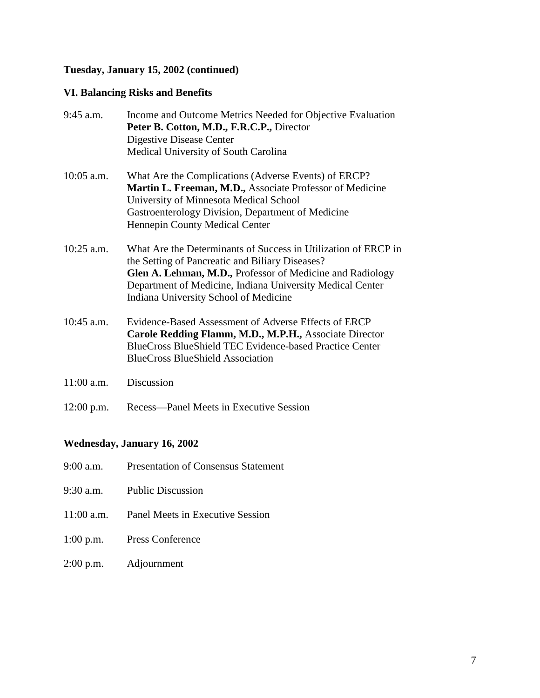## **Tuesday, January 15, 2002 (continued)**

### **VI. Balancing Risks and Benefits**

| 9:45 a.m.    | Income and Outcome Metrics Needed for Objective Evaluation<br>Peter B. Cotton, M.D., F.R.C.P., Director<br>Digestive Disease Center<br>Medical University of South Carolina                                                                                                          |
|--------------|--------------------------------------------------------------------------------------------------------------------------------------------------------------------------------------------------------------------------------------------------------------------------------------|
| $10:05$ a.m. | What Are the Complications (Adverse Events) of ERCP?<br>Martin L. Freeman, M.D., Associate Professor of Medicine<br>University of Minnesota Medical School<br>Gastroenterology Division, Department of Medicine<br>Hennepin County Medical Center                                    |
| $10:25$ a.m. | What Are the Determinants of Success in Utilization of ERCP in<br>the Setting of Pancreatic and Biliary Diseases?<br>Glen A. Lehman, M.D., Professor of Medicine and Radiology<br>Department of Medicine, Indiana University Medical Center<br>Indiana University School of Medicine |
| $10:45$ a.m. | Evidence-Based Assessment of Adverse Effects of ERCP<br>Carole Redding Flamm, M.D., M.P.H., Associate Director<br>BlueCross BlueShield TEC Evidence-based Practice Center<br><b>BlueCross BlueShield Association</b>                                                                 |
| $11:00$ a.m. | Discussion                                                                                                                                                                                                                                                                           |
| $12:00$ p.m. | Recess—Panel Meets in Executive Session                                                                                                                                                                                                                                              |

# **Wednesday, January 16, 2002**

| 9:00 a.m. | <b>Presentation of Consensus Statement</b> |  |  |
|-----------|--------------------------------------------|--|--|
|-----------|--------------------------------------------|--|--|

- 9:30 a.m. Public Discussion
- 11:00 a.m. Panel Meets in Executive Session
- 1:00 p.m. Press Conference
- 2:00 p.m. Adjournment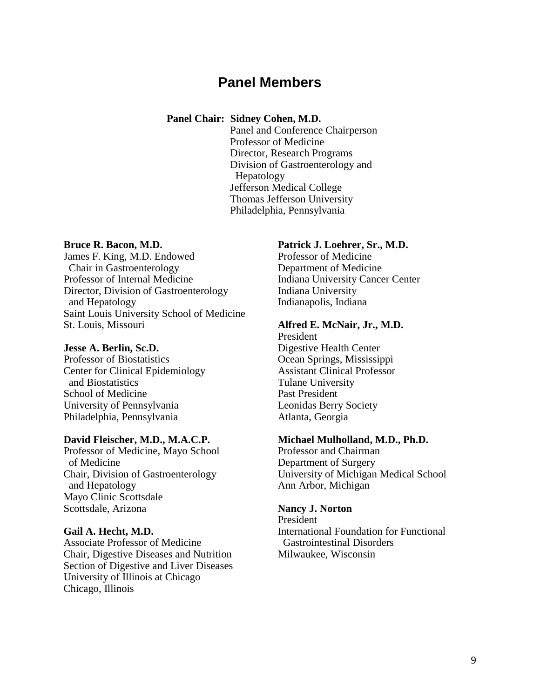# **Panel Members**

#### **Panel Chair: Sidney Cohen, M.D.**

Panel and Conference Chairperson Professor of Medicine Director, Research Programs Division of Gastroenterology and Hepatology Jefferson Medical College Thomas Jefferson University Philadelphia, Pennsylvania

#### **Bruce R. Bacon, M.D.**

James F. King, M.D. Endowed Chair in Gastroenterology Professor of Internal Medicine Director, Division of Gastroenterology and Hepatology Saint Louis University School of Medicine St. Louis, Missouri

#### **Jesse A. Berlin, Sc.D.**

 Center for Clinical Epidemiology Professor of Biostatistics and Biostatistics School of Medicine University of Pennsylvania Philadelphia, Pennsylvania

#### **David Fleischer, M.D., M.A.C.P.**

Professor of Medicine, Mayo School of Medicine Chair, Division of Gastroenterology and Hepatology Mayo Clinic Scottsdale Scottsdale, Arizona

#### **Gail A. Hecht, M.D.**

Associate Professor of Medicine Chair, Digestive Diseases and Nutrition Section of Digestive and Liver Diseases University of Illinois at Chicago Chicago, Illinois

#### **Patrick J. Loehrer, Sr., M.D.**

Professor of Medicine Department of Medicine Indiana University Cancer Center Indiana University Indianapolis, Indiana

#### **Alfred E. McNair, Jr., M.D.**

President Digestive Health Center Ocean Springs, Mississippi Assistant Clinical Professor Tulane University Past President Leonidas Berry Society Atlanta, Georgia

#### **Michael Mulholland, M.D., Ph.D.**

Professor and Chairman Department of Surgery University of Michigan Medical School Ann Arbor, Michigan

#### **Nancy J. Norton**

President International Foundation for Functional Gastrointestinal Disorders Milwaukee, Wisconsin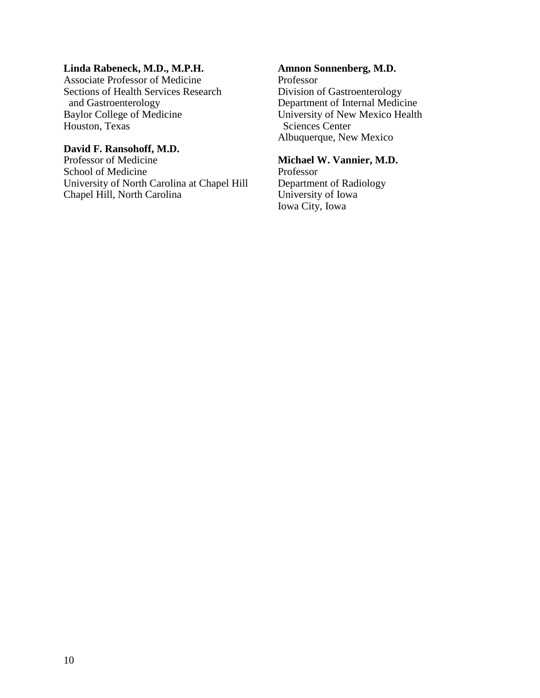#### **Linda Rabeneck, M.D., M.P.H.**

Associate Professor of Medicine Sections of Health Services Research and Gastroenterology Baylor College of Medicine Houston, Texas

#### **David F. Ransohoff, M.D.**

Professor of Medicine School of Medicine University of North Carolina at Chapel Hill Chapel Hill, North Carolina

#### **Amnon Sonnenberg, M.D.**

Professor Division of Gastroenterology Department of Internal Medicine University of New Mexico Health Sciences Center Albuquerque, New Mexico

#### **Michael W. Vannier, M.D.**

 Iowa City, Iowa Professor Department of Radiology University of Iowa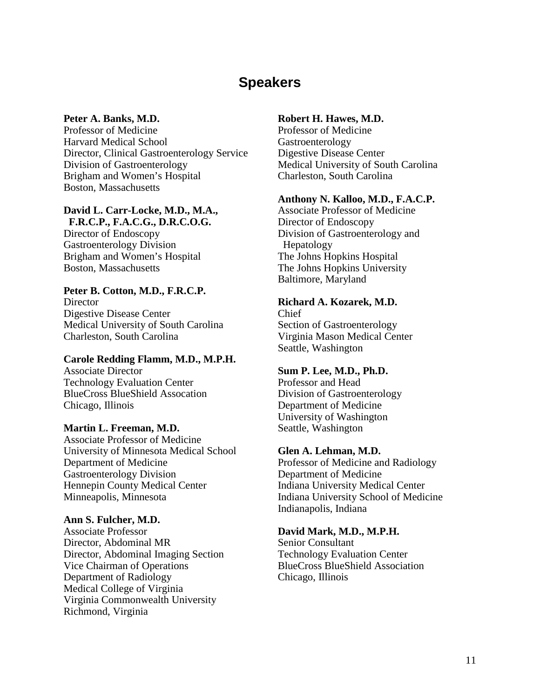# **Speakers**

#### **Peter A. Banks, M.D.**

Professor of Medicine Harvard Medical School Director, Clinical Gastroenterology Service Division of Gastroenterology Brigham and Women's Hospital Boston, Massachusetts

#### **David L. Carr-Locke, M.D., M.A., F.R.C.P., F.A.C.G., D.R.C.O.G.**

Director of Endoscopy Gastroenterology Division Brigham and Women's Hospital Boston, Massachusetts

#### **Peter B. Cotton, M.D., F.R.C.P.**

**Director** Digestive Disease Center Medical University of South Carolina Charleston, South Carolina

#### **Carole Redding Flamm, M.D., M.P.H.**

Associate Director Technology Evaluation Center BlueCross BlueShield Assocation Chicago, Illinois

#### **Martin L. Freeman, M.D.**

Associate Professor of Medicine University of Minnesota Medical School Department of Medicine Gastroenterology Division Hennepin County Medical Center Minneapolis, Minnesota

#### **Ann S. Fulcher, M.D.**

Associate Professor Director, Abdominal MR Director, Abdominal Imaging Section Vice Chairman of Operations Department of Radiology Medical College of Virginia Virginia Commonwealth University Richmond, Virginia

#### **Robert H. Hawes, M.D.**

Professor of Medicine Gastroenterology Digestive Disease Center Medical University of South Carolina Charleston, South Carolina

#### **Anthony N. Kalloo, M.D., F.A.C.P.**

Associate Professor of Medicine Director of Endoscopy Division of Gastroenterology and Hepatology The Johns Hopkins Hospital The Johns Hopkins University Baltimore, Maryland

#### **Richard A. Kozarek, M.D.**

Chief Section of Gastroenterology Virginia Mason Medical Center Seattle, Washington

#### **Sum P. Lee, M.D., Ph.D.**

Professor and Head Division of Gastroenterology Department of Medicine University of Washington Seattle, Washington

#### **Glen A. Lehman, M.D.**

Professor of Medicine and Radiology Department of Medicine Indiana University Medical Center Indiana University School of Medicine Indianapolis, Indiana

#### **David Mark, M.D., M.P.H.**

Senior Consultant Technology Evaluation Center BlueCross BlueShield Association Chicago, Illinois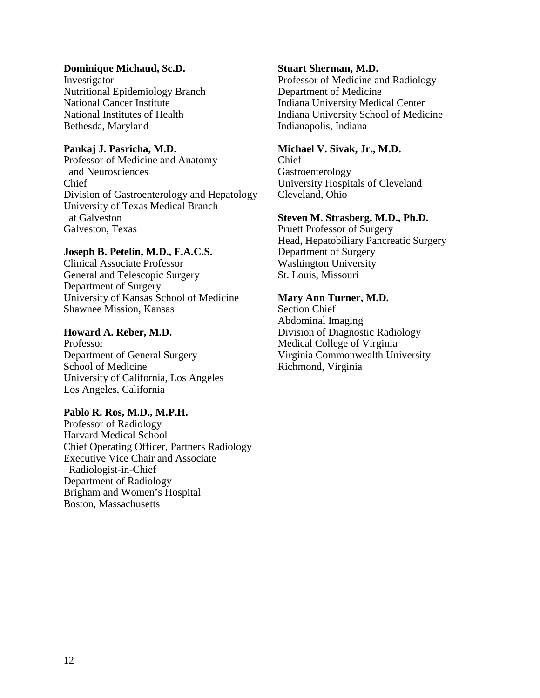#### **Dominique Michaud, Sc.D.**

 Nutritional Epidemiology Branch Investigator National Cancer Institute National Institutes of Health Bethesda, Maryland

#### **Pankaj J. Pasricha, M.D.**

Professor of Medicine and Anatomy and Neurosciences Chief Division of Gastroenterology and Hepatology University of Texas Medical Branch at Galveston Galveston, Texas

#### **Joseph B. Petelin, M.D., F.A.C.S.**

Clinical Associate Professor General and Telescopic Surgery Department of Surgery University of Kansas School of Medicine Shawnee Mission, Kansas

#### **Howard A. Reber, M.D.**

Professor Department of General Surgery School of Medicine University of California, Los Angeles Los Angeles, California

#### **Pablo R. Ros, M.D., M.P.H.**

Professor of Radiology Harvard Medical School Chief Operating Officer, Partners Radiology Executive Vice Chair and Associate Radiologist-in-Chief Department of Radiology Brigham and Women's Hospital Boston, Massachusetts

#### **Stuart Sherman, M.D.**

Professor of Medicine and Radiology Department of Medicine Indiana University Medical Center Indiana University School of Medicine Indianapolis, Indiana

#### **Michael V. Sivak, Jr., M.D.**

Chief Gastroenterology University Hospitals of Cleveland Cleveland, Ohio

#### **Steven M. Strasberg, M.D., Ph.D.**

Pruett Professor of Surgery Head, Hepatobiliary Pancreatic Surgery Department of Surgery Washington University St. Louis, Missouri

#### **Mary Ann Turner, M.D.**

Section Chief Abdominal Imaging Division of Diagnostic Radiology Medical College of Virginia Virginia Commonwealth University Richmond, Virginia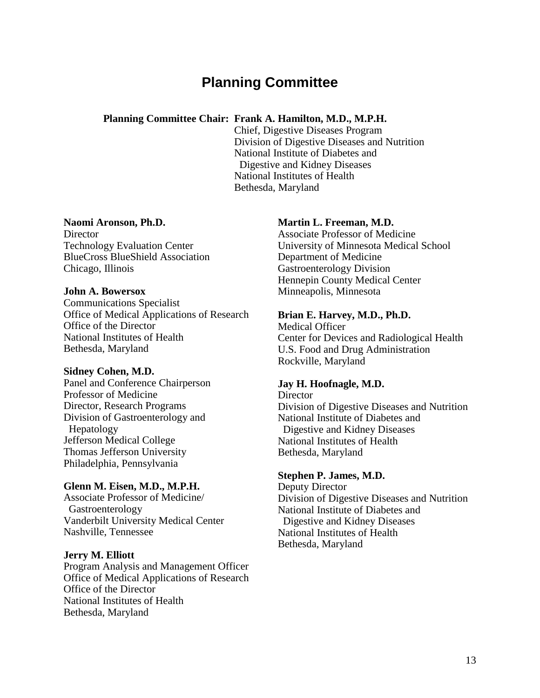# **Planning Committee**

#### **Planning Committee Chair: Frank A. Hamilton, M.D., M.P.H.**

Chief, Digestive Diseases Program Division of Digestive Diseases and Nutrition National Institute of Diabetes and Digestive and Kidney Diseases National Institutes of Health Bethesda, Maryland

#### **Naomi Aronson, Ph.D.**

**Director** Technology Evaluation Center BlueCross BlueShield Association Chicago, Illinois

#### **John A. Bowersox**

Communications Specialist Office of Medical Applications of Research Office of the Director National Institutes of Health Bethesda, Maryland

#### **Sidney Cohen, M.D.**

Panel and Conference Chairperson Professor of Medicine Director, Research Programs Division of Gastroenterology and Hepatology Jefferson Medical College Thomas Jefferson University Philadelphia, Pennsylvania

#### **Glenn M. Eisen, M.D., M.P.H.**

Associate Professor of Medicine/ Gastroenterology Vanderbilt University Medical Center Nashville, Tennessee

#### **Jerry M. Elliott**

Program Analysis and Management Officer Office of Medical Applications of Research Office of the Director National Institutes of Health Bethesda, Maryland

#### **Martin L. Freeman, M.D.**

Associate Professor of Medicine University of Minnesota Medical School Department of Medicine Gastroenterology Division Hennepin County Medical Center Minneapolis, Minnesota

#### **Brian E. Harvey, M.D., Ph.D.**

Medical Officer Center for Devices and Radiological Health U.S. Food and Drug Administration Rockville, Maryland

#### **Jay H. Hoofnagle, M.D.**

**Director** Division of Digestive Diseases and Nutrition National Institute of Diabetes and Digestive and Kidney Diseases National Institutes of Health Bethesda, Maryland

#### **Stephen P. James, M.D.**

Deputy Director Division of Digestive Diseases and Nutrition National Institute of Diabetes and Digestive and Kidney Diseases National Institutes of Health Bethesda, Maryland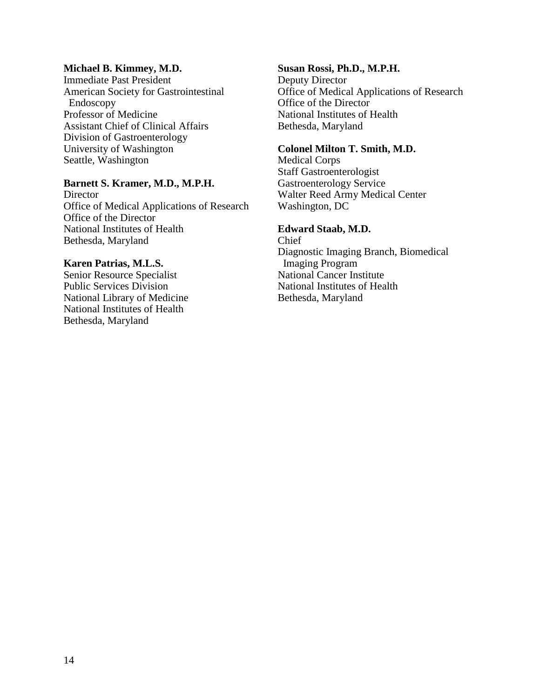#### **Michael B. Kimmey, M.D.**

 American Society for Gastrointestinal Immediate Past President Endoscopy Professor of Medicine Assistant Chief of Clinical Affairs Division of Gastroenterology University of Washington Seattle, Washington

#### **Barnett S. Kramer, M.D., M.P.H.**

**Director** Office of Medical Applications of Research Office of the Director National Institutes of Health Bethesda, Maryland

#### **Karen Patrias, M.L.S.**

Senior Resource Specialist Public Services Division National Library of Medicine National Institutes of Health Bethesda, Maryland

#### **Susan Rossi, Ph.D., M.P.H.**

Deputy Director Office of Medical Applications of Research Office of the Director National Institutes of Health Bethesda, Maryland

#### **Colonel Milton T. Smith, M.D.**

Medical Corps Staff Gastroenterologist Gastroenterology Service Walter Reed Army Medical Center Washington, DC

#### **Edward Staab, M.D.**

Chief Diagnostic Imaging Branch, Biomedical Imaging Program National Cancer Institute National Institutes of Health Bethesda, Maryland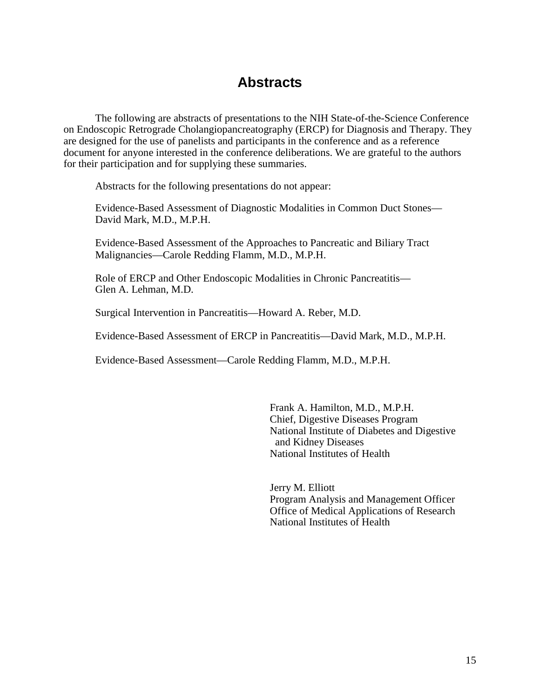# **Abstracts**

The following are abstracts of presentations to the NIH State-of-the-Science Conference on Endoscopic Retrograde Cholangiopancreatography (ERCP) for Diagnosis and Therapy. They are designed for the use of panelists and participants in the conference and as a reference document for anyone interested in the conference deliberations. We are grateful to the authors for their participation and for supplying these summaries.

Abstracts for the following presentations do not appear:

Evidence-Based Assessment of Diagnostic Modalities in Common Duct Stones— David Mark, M.D., M.P.H.

 Evidence-Based Assessment of the Approaches to Pancreatic and Biliary Tract Malignancies—Carole Redding Flamm, M.D., M.P.H.

Role of ERCP and Other Endoscopic Modalities in Chronic Pancreatitis— Glen A. Lehman, M.D.

Surgical Intervention in Pancreatitis—Howard A. Reber, M.D.

Evidence-Based Assessment of ERCP in Pancreatitis—David Mark, M.D., M.P.H.

Evidence-Based Assessment—Carole Redding Flamm, M.D., M.P.H.

Frank A. Hamilton, M.D., M.P.H. Chief, Digestive Diseases Program National Institute of Diabetes and Digestive and Kidney Diseases National Institutes of Health

Jerry M. Elliott Program Analysis and Management Officer Office of Medical Applications of Research National Institutes of Health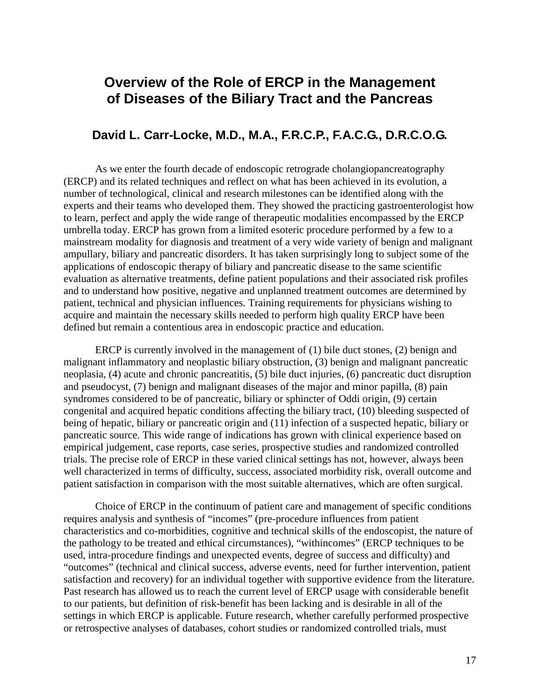# **Overview of the Role of ERCP in the Management of Diseases of the Biliary Tract and the Pancreas**

### **David L. Carr-Locke, M.D., M.A., F.R.C.P., F.A.C.G., D.R.C.O.G.**

 to learn, perfect and apply the wide range of therapeutic modalities encompassed by the ERCP umbrella today. ERCP has grown from a limited esoteric procedure performed by a few to a mainstream modality for diagnosis and treatment of a very wide variety of benign and malignant As we enter the fourth decade of endoscopic retrograde cholangiopancreatography (ERCP) and its related techniques and reflect on what has been achieved in its evolution, a number of technological, clinical and research milestones can be identified along with the experts and their teams who developed them. They showed the practicing gastroenterologist how ampullary, biliary and pancreatic disorders. It has taken surprisingly long to subject some of the applications of endoscopic therapy of biliary and pancreatic disease to the same scientific evaluation as alternative treatments, define patient populations and their associated risk profiles and to understand how positive, negative and unplanned treatment outcomes are determined by patient, technical and physician influences. Training requirements for physicians wishing to acquire and maintain the necessary skills needed to perform high quality ERCP have been defined but remain a contentious area in endoscopic practice and education.

ERCP is currently involved in the management of  $(1)$  bile duct stones,  $(2)$  benign and malignant inflammatory and neoplastic biliary obstruction, (3) benign and malignant pancreatic neoplasia, (4) acute and chronic pancreatitis, (5) bile duct injuries, (6) pancreatic duct disruption and pseudocyst, (7) benign and malignant diseases of the major and minor papilla, (8) pain syndromes considered to be of pancreatic, biliary or sphincter of Oddi origin, (9) certain congenital and acquired hepatic conditions affecting the biliary tract, (10) bleeding suspected of being of hepatic, biliary or pancreatic origin and (11) infection of a suspected hepatic, biliary or pancreatic source. This wide range of indications has grown with clinical experience based on empirical judgement, case reports, case series, prospective studies and randomized controlled trials. The precise role of ERCP in these varied clinical settings has not, however, always been well characterized in terms of difficulty, success, associated morbidity risk, overall outcome and patient satisfaction in comparison with the most suitable alternatives, which are often surgical.

Choice of ERCP in the continuum of patient care and management of specific conditions requires analysis and synthesis of "incomes" (pre-procedure influences from patient characteristics and co-morbidities, cognitive and technical skills of the endoscopist, the nature of the pathology to be treated and ethical circumstances), "withincomes" (ERCP techniques to be used, intra-procedure findings and unexpected events, degree of success and difficulty) and "outcomes" (technical and clinical success, adverse events, need for further intervention, patient satisfaction and recovery) for an individual together with supportive evidence from the literature. Past research has allowed us to reach the current level of ERCP usage with considerable benefit to our patients, but definition of risk-benefit has been lacking and is desirable in all of the settings in which ERCP is applicable. Future research, whether carefully performed prospective or retrospective analyses of databases, cohort studies or randomized controlled trials, must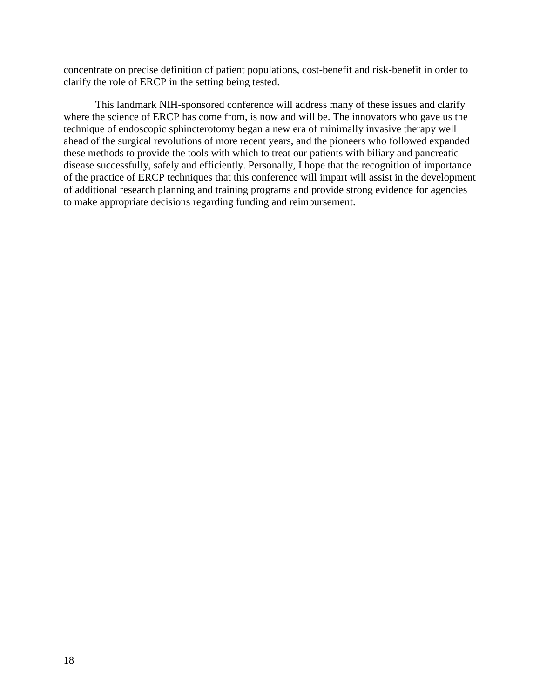concentrate on precise definition of patient populations, cost-benefit and risk-benefit in order to clarify the role of ERCP in the setting being tested.

This landmark NIH-sponsored conference will address many of these issues and clarify where the science of ERCP has come from, is now and will be. The innovators who gave us the technique of endoscopic sphincterotomy began a new era of minimally invasive therapy well ahead of the surgical revolutions of more recent years, and the pioneers who followed expanded these methods to provide the tools with which to treat our patients with biliary and pancreatic disease successfully, safely and efficiently. Personally, I hope that the recognition of importance of the practice of ERCP techniques that this conference will impart will assist in the development of additional research planning and training programs and provide strong evidence for agencies to make appropriate decisions regarding funding and reimbursement.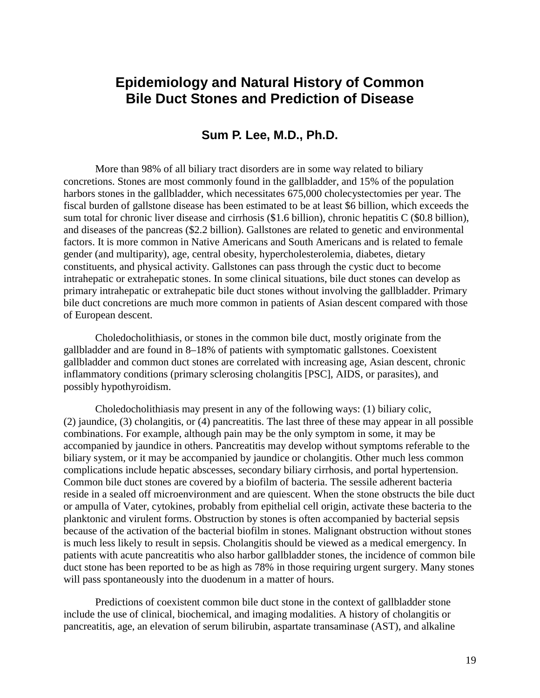# **Epidemiology and Natural History of Common Bile Duct Stones and Prediction of Disease**

### **Sum P. Lee, M.D., Ph.D.**

More than 98% of all biliary tract disorders are in some way related to biliary concretions. Stones are most commonly found in the gallbladder, and 15% of the population harbors stones in the gallbladder, which necessitates 675,000 cholecystectomies per year. The fiscal burden of gallstone disease has been estimated to be at least \$6 billion, which exceeds the sum total for chronic liver disease and cirrhosis (\$1.6 billion), chronic hepatitis C (\$0.8 billion), and diseases of the pancreas (\$2.2 billion). Gallstones are related to genetic and environmental factors. It is more common in Native Americans and South Americans and is related to female gender (and multiparity), age, central obesity, hypercholesterolemia, diabetes, dietary constituents, and physical activity. Gallstones can pass through the cystic duct to become intrahepatic or extrahepatic stones. In some clinical situations, bile duct stones can develop as primary intrahepatic or extrahepatic bile duct stones without involving the gallbladder. Primary bile duct concretions are much more common in patients of Asian descent compared with those of European descent.

Choledocholithiasis, or stones in the common bile duct, mostly originate from the gallbladder and are found in 8–18% of patients with symptomatic gallstones. Coexistent gallbladder and common duct stones are correlated with increasing age, Asian descent, chronic inflammatory conditions (primary sclerosing cholangitis [PSC], AIDS, or parasites), and possibly hypothyroidism.

 is much less likely to result in sepsis. Cholangitis should be viewed as a medical emergency. In Choledocholithiasis may present in any of the following ways: (1) biliary colic, (2) jaundice, (3) cholangitis, or (4) pancreatitis. The last three of these may appear in all possible combinations. For example, although pain may be the only symptom in some, it may be accompanied by jaundice in others. Pancreatitis may develop without symptoms referable to the biliary system, or it may be accompanied by jaundice or cholangitis. Other much less common complications include hepatic abscesses, secondary biliary cirrhosis, and portal hypertension. Common bile duct stones are covered by a biofilm of bacteria. The sessile adherent bacteria reside in a sealed off microenvironment and are quiescent. When the stone obstructs the bile duct or ampulla of Vater, cytokines, probably from epithelial cell origin, activate these bacteria to the planktonic and virulent forms. Obstruction by stones is often accompanied by bacterial sepsis because of the activation of the bacterial biofilm in stones. Malignant obstruction without stones patients with acute pancreatitis who also harbor gallbladder stones, the incidence of common bile duct stone has been reported to be as high as 78% in those requiring urgent surgery. Many stones will pass spontaneously into the duodenum in a matter of hours.

Predictions of coexistent common bile duct stone in the context of gallbladder stone include the use of clinical, biochemical, and imaging modalities. A history of cholangitis or pancreatitis, age, an elevation of serum bilirubin, aspartate transaminase (AST), and alkaline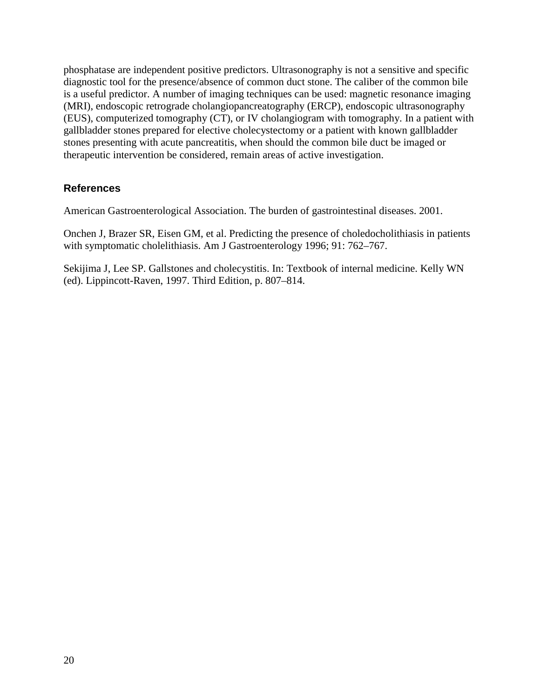phosphatase are independent positive predictors. Ultrasonography is not a sensitive and specific diagnostic tool for the presence/absence of common duct stone. The caliber of the common bile is a useful predictor. A number of imaging techniques can be used: magnetic resonance imaging (MRI), endoscopic retrograde cholangiopancreatography (ERCP), endoscopic ultrasonography (EUS), computerized tomography (CT), or IV cholangiogram with tomography. In a patient with gallbladder stones prepared for elective cholecystectomy or a patient with known gallbladder stones presenting with acute pancreatitis, when should the common bile duct be imaged or therapeutic intervention be considered, remain areas of active investigation.

#### **References**

American Gastroenterological Association. The burden of gastrointestinal diseases. 2001.

Onchen J, Brazer SR, Eisen GM, et al. Predicting the presence of choledocholithiasis in patients with symptomatic cholelithiasis. Am J Gastroenterology 1996; 91: 762–767.

Sekijima J, Lee SP. Gallstones and cholecystitis. In: Textbook of internal medicine. Kelly WN (ed). Lippincott-Raven, 1997. Third Edition, p. 807–814.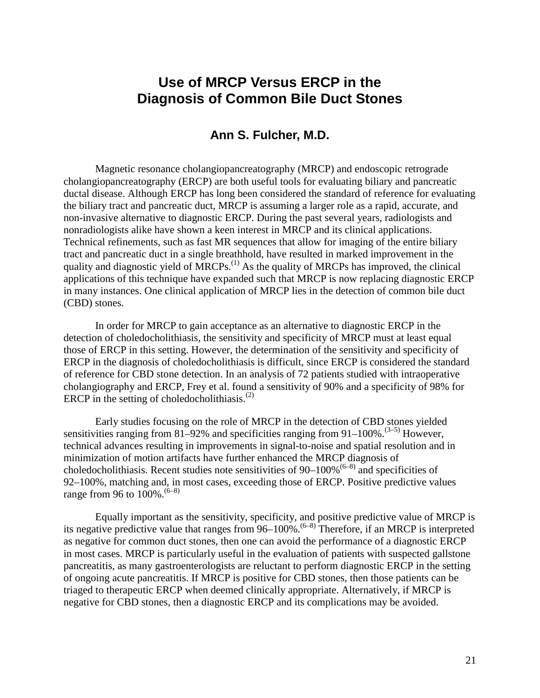# **Use of MRCP Versus ERCP in the Diagnosis of Common Bile Duct Stones**

### **Ann S. Fulcher, M.D.**

Magnetic resonance cholangiopancreatography (MRCP) and endoscopic retrograde cholangiopancreatography (ERCP) are both useful tools for evaluating biliary and pancreatic ductal disease. Although ERCP has long been considered the standard of reference for evaluating the biliary tract and pancreatic duct, MRCP is assuming a larger role as a rapid, accurate, and non-invasive alternative to diagnostic ERCP. During the past several years, radiologists and nonradiologists alike have shown a keen interest in MRCP and its clinical applications. Technical refinements, such as fast MR sequences that allow for imaging of the entire biliary tract and pancreatic duct in a single breathhold, have resulted in marked improvement in the quality and diagnostic yield of  $\text{MRCPs}$ .<sup>(1)</sup> As the quality of MRCPs has improved, the clinical applications of this technique have expanded such that MRCP is now replacing diagnostic ERCP in many instances. One clinical application of MRCP lies in the detection of common bile duct (CBD) stones.

In order for MRCP to gain acceptance as an alternative to diagnostic ERCP in the detection of choledocholithiasis, the sensitivity and specificity of MRCP must at least equal those of ERCP in this setting. However, the determination of the sensitivity and specificity of ERCP in the diagnosis of choledocholithiasis is difficult, since ERCP is considered the standard of reference for CBD stone detection. In an analysis of 72 patients studied with intraoperative cholangiography and ERCP, Frey et al. found a sensitivity of 90% and a specificity of 98% for ERCP in the setting of choledocholithiasis. $^{(2)}$ 

Early studies focusing on the role of MRCP in the detection of CBD stones yielded sensitivities ranging from 81–92% and specificities ranging from 91–100%.<sup>(3–5)</sup> However, technical advances resulting in improvements in signal-to-noise and spatial resolution and in minimization of motion artifacts have further enhanced the MRCP diagnosis of choledocholithiasis. Recent studies note sensitivities of 90–100%<sup> $(6-8)$ </sup> and specificities of 92–100%, matching and, in most cases, exceeding those of ERCP. Positive predictive values range from 96 to  $100\%$ . <sup>(6-8)</sup>

Equally important as the sensitivity, specificity, and positive predictive value of MRCP is its negative predictive value that ranges from  $96-100\%$ .<sup> $(6-8)$ </sup> Therefore, if an MRCP is interpreted as negative for common duct stones, then one can avoid the performance of a diagnostic ERCP in most cases. MRCP is particularly useful in the evaluation of patients with suspected gallstone pancreatitis, as many gastroenterologists are reluctant to perform diagnostic ERCP in the setting of ongoing acute pancreatitis. If MRCP is positive for CBD stones, then those patients can be triaged to therapeutic ERCP when deemed clinically appropriate. Alternatively, if MRCP is negative for CBD stones, then a diagnostic ERCP and its complications may be avoided.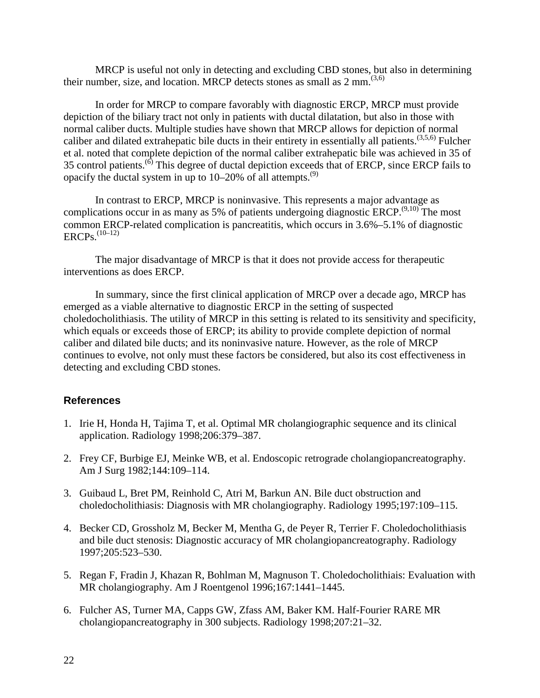MRCP is useful not only in detecting and excluding CBD stones, but also in determining their number, size, and location. MRCP detects stones as small as  $2 \text{ mm}^{(3,6)}$ .

In order for MRCP to compare favorably with diagnostic ERCP, MRCP must provide depiction of the biliary tract not only in patients with ductal dilatation, but also in those with normal caliber ducts. Multiple studies have shown that MRCP allows for depiction of normal caliber and dilated extrahepatic bile ducts in their entirety in essentially all patients.<sup> $(3,5,6)$ </sup> Fulcher et al. noted that complete depiction of the normal caliber extrahepatic bile was achieved in 35 of 35 control patients.(6) This degree of ductal depiction exceeds that of ERCP, since ERCP fails to opacify the ductal system in up to  $10-20\%$  of all attempts.<sup>(9)</sup>

In contrast to ERCP, MRCP is noninvasive. This represents a major advantage as complications occur in as many as 5% of patients undergoing diagnostic ERCP.<sup> $(9,10)$ </sup> The most common ERCP-related complication is pancreatitis, which occurs in 3.6%–5.1% of diagnostic  $ERCPs$ <sup> $(10-12)$ </sup>

The major disadvantage of MRCP is that it does not provide access for therapeutic interventions as does ERCP.

In summary, since the first clinical application of MRCP over a decade ago, MRCP has emerged as a viable alternative to diagnostic ERCP in the setting of suspected choledocholithiasis. The utility of MRCP in this setting is related to its sensitivity and specificity, which equals or exceeds those of ERCP; its ability to provide complete depiction of normal caliber and dilated bile ducts; and its noninvasive nature. However, as the role of MRCP continues to evolve, not only must these factors be considered, but also its cost effectiveness in detecting and excluding CBD stones.

### **References**

- 1. Irie H, Honda H, Tajima T, et al. Optimal MR cholangiographic sequence and its clinical application. Radiology 1998;206:379–387.
- 2. Frey CF, Burbige EJ, Meinke WB, et al. Endoscopic retrograde cholangiopancreatography. Am J Surg 1982;144:109–114.
- 3. Guibaud L, Bret PM, Reinhold C, Atri M, Barkun AN. Bile duct obstruction and choledocholithiasis: Diagnosis with MR cholangiography. Radiology 1995;197:109–115.
- 4. Becker CD, Grossholz M, Becker M, Mentha G, de Peyer R, Terrier F. Choledocholithiasis and bile duct stenosis: Diagnostic accuracy of MR cholangiopancreatography. Radiology 1997;205:523–530.
- 5. Regan F, Fradin J, Khazan R, Bohlman M, Magnuson T. Choledocholithiais: Evaluation with MR cholangiography. Am J Roentgenol 1996;167:1441–1445.
- 6. Fulcher AS, Turner MA, Capps GW, Zfass AM, Baker KM. Half-Fourier RARE MR cholangiopancreatography in 300 subjects. Radiology 1998;207:21–32.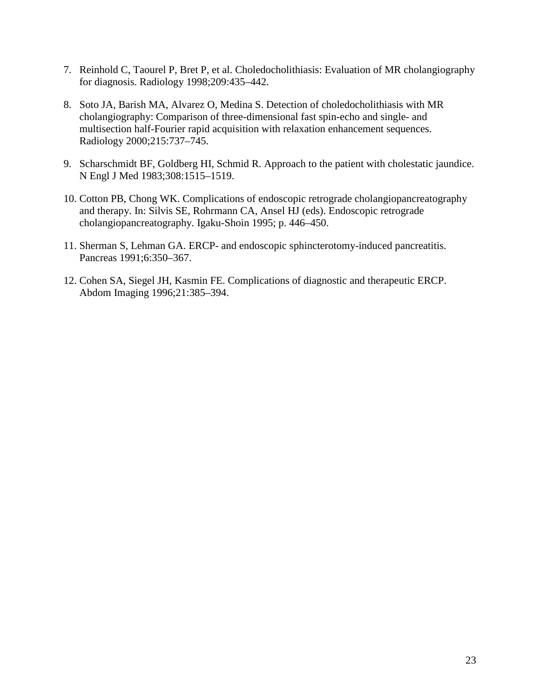- 7. Reinhold C, Taourel P, Bret P, et al. Choledocholithiasis: Evaluation of MR cholangiography for diagnosis. Radiology 1998;209:435–442.
- 8. Soto JA, Barish MA, Alvarez O, Medina S. Detection of choledocholithiasis with MR cholangiography: Comparison of three-dimensional fast spin-echo and single- and multisection half-Fourier rapid acquisition with relaxation enhancement sequences. Radiology 2000;215:737–745.
- 9. Scharschmidt BF, Goldberg HI, Schmid R. Approach to the patient with cholestatic jaundice. N Engl J Med 1983;308:1515–1519.
- 10. Cotton PB, Chong WK. Complications of endoscopic retrograde cholangiopancreatography and therapy. In: Silvis SE, Rohrmann CA, Ansel HJ (eds). Endoscopic retrograde cholangiopancreatography. Igaku-Shoin 1995; p. 446–450.
- 11. Sherman S, Lehman GA. ERCP- and endoscopic sphincterotomy-induced pancreatitis. Pancreas 1991;6:350–367.
- 12. Cohen SA, Siegel JH, Kasmin FE. Complications of diagnostic and therapeutic ERCP. Abdom Imaging 1996;21:385–394.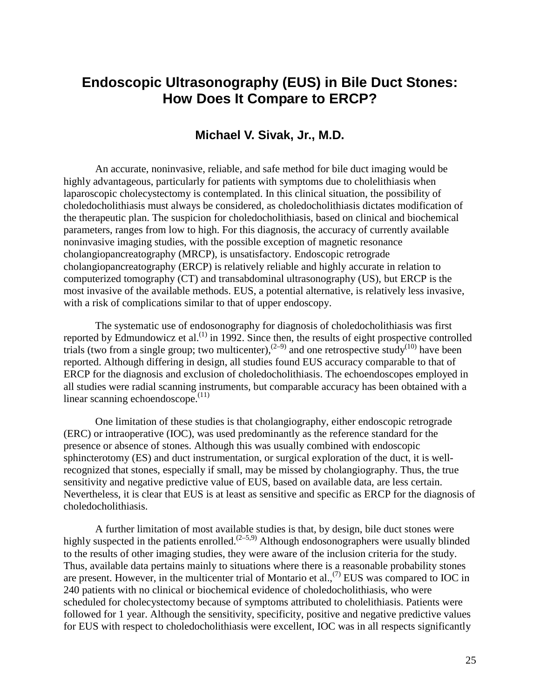# **Endoscopic Ultrasonography (EUS) in Bile Duct Stones: How Does It Compare to ERCP?**

### **Michael V. Sivak, Jr., M.D.**

An accurate, noninvasive, reliable, and safe method for bile duct imaging would be highly advantageous, particularly for patients with symptoms due to cholelithiasis when laparoscopic cholecystectomy is contemplated. In this clinical situation, the possibility of choledocholithiasis must always be considered, as choledocholithiasis dictates modification of the therapeutic plan. The suspicion for choledocholithiasis, based on clinical and biochemical parameters, ranges from low to high. For this diagnosis, the accuracy of currently available noninvasive imaging studies, with the possible exception of magnetic resonance cholangiopancreatography (MRCP), is unsatisfactory. Endoscopic retrograde cholangiopancreatography (ERCP) is relatively reliable and highly accurate in relation to computerized tomography (CT) and transabdominal ultrasonography (US), but ERCP is the most invasive of the available methods. EUS, a potential alternative, is relatively less invasive, with a risk of complications similar to that of upper endoscopy.

linear scanning echoendoscope. $(11)$ The systematic use of endosonography for diagnosis of choledocholithiasis was first reported by Edmundowicz et al.<sup>(1)</sup> in 1992. Since then, the results of eight prospective controlled trials (two from a single group; two multicenter),<sup>(2-9)</sup> and one retrospective study<sup>(10)</sup> have been reported. Although differing in design, all studies found EUS accuracy comparable to that of ERCP for the diagnosis and exclusion of choledocholithiasis. The echoendoscopes employed in all studies were radial scanning instruments, but comparable accuracy has been obtained with a

One limitation of these studies is that cholangiography, either endoscopic retrograde (ERC) or intraoperative (IOC), was used predominantly as the reference standard for the presence or absence of stones. Although this was usually combined with endoscopic sphincterotomy (ES) and duct instrumentation, or surgical exploration of the duct, it is wellrecognized that stones, especially if small, may be missed by cholangiography. Thus, the true sensitivity and negative predictive value of EUS, based on available data, are less certain. Nevertheless, it is clear that EUS is at least as sensitive and specific as ERCP for the diagnosis of choledocholithiasis.

are present. However, in the multicenter trial of Montario et al.,  $(7)$  EUS was compared to IOC in A further limitation of most available studies is that, by design, bile duct stones were highly suspected in the patients enrolled.<sup> $(2-5,9)$ </sup> Although endosonographers were usually blinded to the results of other imaging studies, they were aware of the inclusion criteria for the study. Thus, available data pertains mainly to situations where there is a reasonable probability stones 240 patients with no clinical or biochemical evidence of choledocholithiasis, who were scheduled for cholecystectomy because of symptoms attributed to cholelithiasis. Patients were followed for 1 year. Although the sensitivity, specificity, positive and negative predictive values for EUS with respect to choledocholithiasis were excellent, IOC was in all respects significantly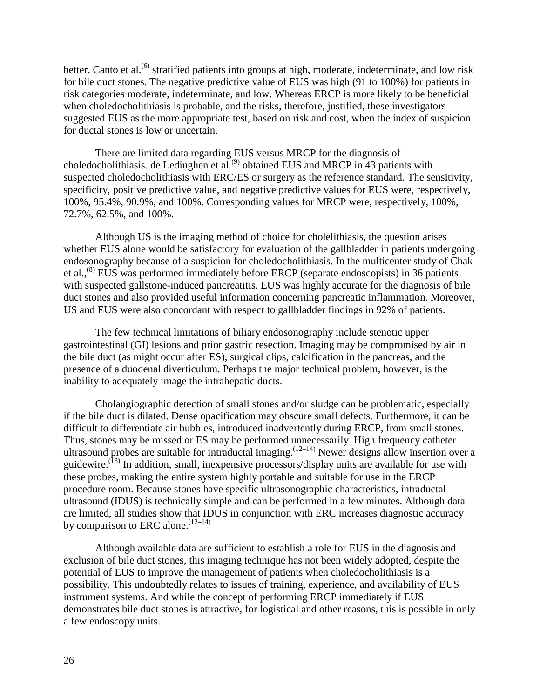better. Canto et al.<sup>(6)</sup> stratified patients into groups at high, moderate, indeterminate, and low risk for bile duct stones. The negative predictive value of EUS was high (91 to 100%) for patients in risk categories moderate, indeterminate, and low. Whereas ERCP is more likely to be beneficial when choledocholithiasis is probable, and the risks, therefore, justified, these investigators suggested EUS as the more appropriate test, based on risk and cost, when the index of suspicion for ductal stones is low or uncertain.

There are limited data regarding EUS versus MRCP for the diagnosis of choledocholithiasis. de Ledinghen et al.<sup> $(9)$ </sup> obtained EUS and MRCP in 43 patients with suspected choledocholithiasis with ERC/ES or surgery as the reference standard. The sensitivity, specificity, positive predictive value, and negative predictive values for EUS were, respectively, 100%, 95.4%, 90.9%, and 100%. Corresponding values for MRCP were, respectively, 100%, 72.7%, 62.5%, and 100%.

Although US is the imaging method of choice for cholelithiasis, the question arises whether EUS alone would be satisfactory for evaluation of the gallbladder in patients undergoing endosonography because of a suspicion for choledocholithiasis. In the multicenter study of Chak et al.,<sup>(8)</sup> EUS was performed immediately before ERCP (separate endoscopists) in 36 patients with suspected gallstone-induced pancreatitis. EUS was highly accurate for the diagnosis of bile duct stones and also provided useful information concerning pancreatic inflammation. Moreover, US and EUS were also concordant with respect to gallbladder findings in 92% of patients.

The few technical limitations of biliary endosonography include stenotic upper gastrointestinal (GI) lesions and prior gastric resection. Imaging may be compromised by air in the bile duct (as might occur after ES), surgical clips, calcification in the pancreas, and the presence of a duodenal diverticulum. Perhaps the major technical problem, however, is the inability to adequately image the intrahepatic ducts.

guidewire.<sup>(13)</sup> In addition, small, inexpensive processors/display units are available for use with by comparison to ERC alone.  $(12-14)$ Cholangiographic detection of small stones and/or sludge can be problematic, especially if the bile duct is dilated. Dense opacification may obscure small defects. Furthermore, it can be difficult to differentiate air bubbles, introduced inadvertently during ERCP, from small stones. Thus, stones may be missed or ES may be performed unnecessarily. High frequency catheter ultrasound probes are suitable for intraductal imaging.<sup> $(12-14)$ </sup> Newer designs allow insertion over a these probes, making the entire system highly portable and suitable for use in the ERCP procedure room. Because stones have specific ultrasonographic characteristics, intraductal ultrasound (IDUS) is technically simple and can be performed in a few minutes. Although data are limited, all studies show that IDUS in conjunction with ERC increases diagnostic accuracy

Although available data are sufficient to establish a role for EUS in the diagnosis and exclusion of bile duct stones, this imaging technique has not been widely adopted, despite the potential of EUS to improve the management of patients when choledocholithiasis is a possibility. This undoubtedly relates to issues of training, experience, and availability of EUS instrument systems. And while the concept of performing ERCP immediately if EUS demonstrates bile duct stones is attractive, for logistical and other reasons, this is possible in only a few endoscopy units.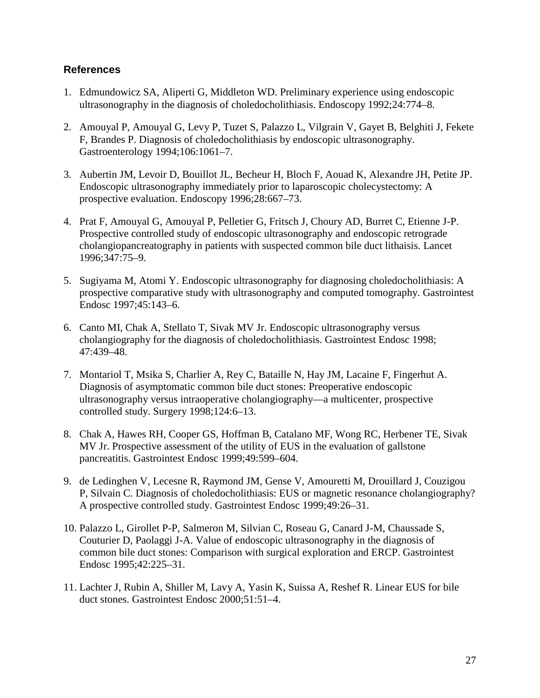### **References**

- 1. Edmundowicz SA, Aliperti G, Middleton WD. Preliminary experience using endoscopic ultrasonography in the diagnosis of choledocholithiasis. Endoscopy 1992;24:774–8.
- 2. Amouyal P, Amouyal G, Levy P, Tuzet S, Palazzo L, Vilgrain V, Gayet B, Belghiti J, Fekete F, Brandes P. Diagnosis of choledocholithiasis by endoscopic ultrasonography. Gastroenterology 1994;106:1061–7.
- 3. Aubertin JM, Levoir D, Bouillot JL, Becheur H, Bloch F, Aouad K, Alexandre JH, Petite JP. Endoscopic ultrasonography immediately prior to laparoscopic cholecystectomy: A prospective evaluation. Endoscopy 1996;28:667–73.
- 4. Prat F, Amouyal G, Amouyal P, Pelletier G, Fritsch J, Choury AD, Burret C, Etienne J-P. Prospective controlled study of endoscopic ultrasonography and endoscopic retrograde cholangiopancreatography in patients with suspected common bile duct lithaisis. Lancet 1996;347:75–9.
- 5. Sugiyama M, Atomi Y. Endoscopic ultrasonography for diagnosing choledocholithiasis: A prospective comparative study with ultrasonography and computed tomography. Gastrointest Endosc 1997;45:143–6.
- 6. Canto MI, Chak A, Stellato T, Sivak MV Jr. Endoscopic ultrasonography versus cholangiography for the diagnosis of choledocholithiasis. Gastrointest Endosc 1998; 47:439–48.
- 7. Montariol T, Msika S, Charlier A, Rey C, Bataille N, Hay JM, Lacaine F, Fingerhut A. Diagnosis of asymptomatic common bile duct stones: Preoperative endoscopic ultrasonography versus intraoperative cholangiography—a multicenter, prospective controlled study. Surgery 1998;124:6–13.
- 8. Chak A, Hawes RH, Cooper GS, Hoffman B, Catalano MF, Wong RC, Herbener TE, Sivak MV Jr. Prospective assessment of the utility of EUS in the evaluation of gallstone pancreatitis. Gastrointest Endosc 1999;49:599–604.
- 9. de Ledinghen V, Lecesne R, Raymond JM, Gense V, Amouretti M, Drouillard J, Couzigou P, Silvain C. Diagnosis of choledocholithiasis: EUS or magnetic resonance cholangiography? A prospective controlled study. Gastrointest Endosc 1999;49:26–31.
- 10. Palazzo L, Girollet P-P, Salmeron M, Silvian C, Roseau G, Canard J-M, Chaussade S, Couturier D, Paolaggi J-A. Value of endoscopic ultrasonography in the diagnosis of common bile duct stones: Comparison with surgical exploration and ERCP. Gastrointest Endosc 1995;42:225–31.
- 11. Lachter J, Rubin A, Shiller M, Lavy A, Yasin K, Suissa A, Reshef R. Linear EUS for bile duct stones. Gastrointest Endosc 2000;51:51–4.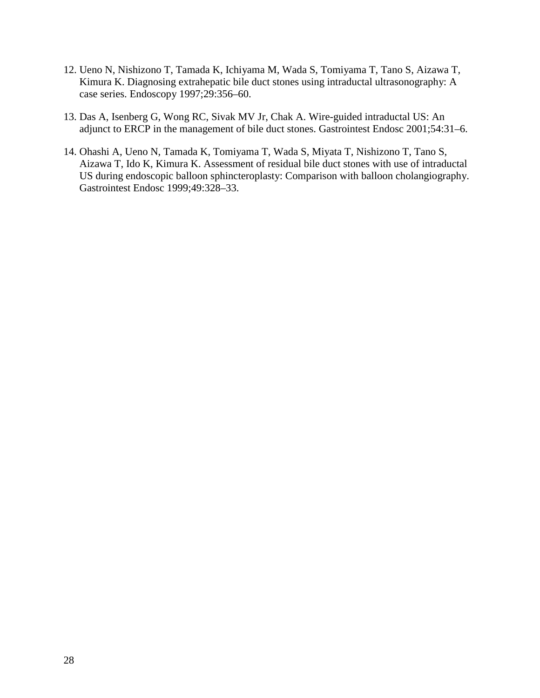- 12. Ueno N, Nishizono T, Tamada K, Ichiyama M, Wada S, Tomiyama T, Tano S, Aizawa T, Kimura K. Diagnosing extrahepatic bile duct stones using intraductal ultrasonography: A case series. Endoscopy 1997;29:356–60.
- 13. Das A, Isenberg G, Wong RC, Sivak MV Jr, Chak A. Wire-guided intraductal US: An adjunct to ERCP in the management of bile duct stones. Gastrointest Endosc 2001;54:31–6.
- 14. Ohashi A, Ueno N, Tamada K, Tomiyama T, Wada S, Miyata T, Nishizono T, Tano S, Aizawa T, Ido K, Kimura K. Assessment of residual bile duct stones with use of intraductal US during endoscopic balloon sphincteroplasty: Comparison with balloon cholangiography. Gastrointest Endosc 1999;49:328–33.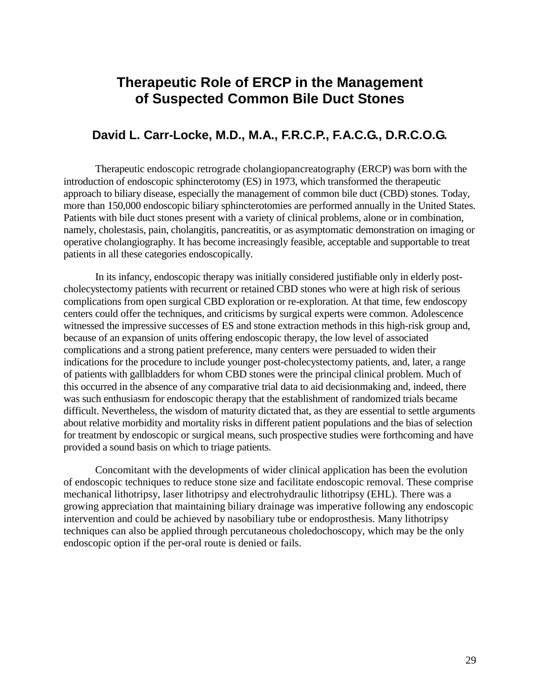# **Therapeutic Role of ERCP in the Management of Suspected Common Bile Duct Stones**

### **David L. Carr-Locke, M.D., M.A., F.R.C.P., F.A.C.G., D.R.C.O.G.**

 Therapeutic endoscopic retrograde cholangiopancreatography (ERCP) was born with the Patients with bile duct stones present with a variety of clinical problems, alone or in combination, introduction of endoscopic sphincterotomy (ES) in 1973, which transformed the therapeutic approach to biliary disease, especially the management of common bile duct (CBD) stones. Today, more than 150,000 endoscopic biliary sphincterotomies are performed annually in the United States. namely, cholestasis, pain, cholangitis, pancreatitis, or as asymptomatic demonstration on imaging or operative cholangiography. It has become increasingly feasible, acceptable and supportable to treat patients in all these categories endoscopically.

 witnessed the impressive successes of ES and stone extraction methods in this high-risk group and, In its infancy, endoscopic therapy was initially considered justifiable only in elderly postcholecystectomy patients with recurrent or retained CBD stones who were at high risk of serious complications from open surgical CBD exploration or re-exploration. At that time, few endoscopy centers could offer the techniques, and criticisms by surgical experts were common. Adolescence because of an expansion of units offering endoscopic therapy, the low level of associated complications and a strong patient preference, many centers were persuaded to widen their indications for the procedure to include younger post-cholecystectomy patients, and, later, a range of patients with gallbladders for whom CBD stones were the principal clinical problem. Much of this occurred in the absence of any comparative trial data to aid decisionmaking and, indeed, there was such enthusiasm for endoscopic therapy that the establishment of randomized trials became difficult. Nevertheless, the wisdom of maturity dictated that, as they are essential to settle arguments about relative morbidity and mortality risks in different patient populations and the bias of selection for treatment by endoscopic or surgical means, such prospective studies were forthcoming and have provided a sound basis on which to triage patients.

Concomitant with the developments of wider clinical application has been the evolution of endoscopic techniques to reduce stone size and facilitate endoscopic removal. These comprise mechanical lithotripsy, laser lithotripsy and electrohydraulic lithotripsy (EHL). There was a growing appreciation that maintaining biliary drainage was imperative following any endoscopic intervention and could be achieved by nasobiliary tube or endoprosthesis. Many lithotripsy techniques can also be applied through percutaneous choledochoscopy, which may be the only endoscopic option if the per-oral route is denied or fails.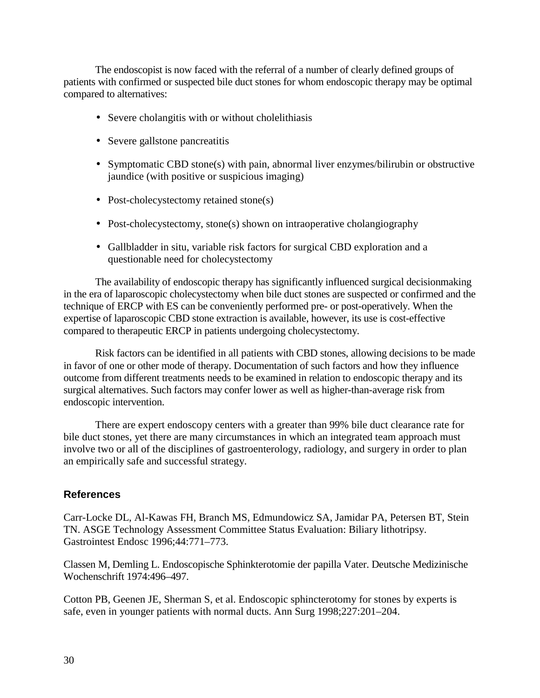The endoscopist is now faced with the referral of a number of clearly defined groups of patients with confirmed or suspected bile duct stones for whom endoscopic therapy may be optimal compared to alternatives:

- Severe cholangitis with or without cholelithiasis
- Severe gallstone pancreatitis
- Symptomatic CBD stone(s) with pain, abnormal liver enzymes/bilirubin or obstructive jaundice (with positive or suspicious imaging)
- Post-cholecystectomy retained stone(s)
- Post-cholecystectomy, stone(s) shown on intraoperative cholangiography
- Gallbladder in situ, variable risk factors for surgical CBD exploration and a questionable need for cholecystectomy

The availability of endoscopic therapy has significantly influenced surgical decisionmaking in the era of laparoscopic cholecystectomy when bile duct stones are suspected or confirmed and the technique of ERCP with ES can be conveniently performed pre- or post-operatively. When the expertise of laparoscopic CBD stone extraction is available, however, its use is cost-effective compared to therapeutic ERCP in patients undergoing cholecystectomy.

Risk factors can be identified in all patients with CBD stones, allowing decisions to be made in favor of one or other mode of therapy. Documentation of such factors and how they influence outcome from different treatments needs to be examined in relation to endoscopic therapy and its surgical alternatives. Such factors may confer lower as well as higher-than-average risk from endoscopic intervention.

There are expert endoscopy centers with a greater than 99% bile duct clearance rate for bile duct stones, yet there are many circumstances in which an integrated team approach must involve two or all of the disciplines of gastroenterology, radiology, and surgery in order to plan an empirically safe and successful strategy.

### **References**

 TN. ASGE Technology Assessment Committee Status Evaluation: Biliary lithotripsy. Carr-Locke DL, Al-Kawas FH, Branch MS, Edmundowicz SA, Jamidar PA, Petersen BT, Stein Gastrointest Endosc 1996;44:771–773.

Classen M, Demling L. Endoscopische Sphinkterotomie der papilla Vater. Deutsche Medizinische Wochenschrift 1974:496–497.

Cotton PB, Geenen JE, Sherman S, et al. Endoscopic sphincterotomy for stones by experts is safe, even in younger patients with normal ducts. Ann Surg 1998;227:201–204.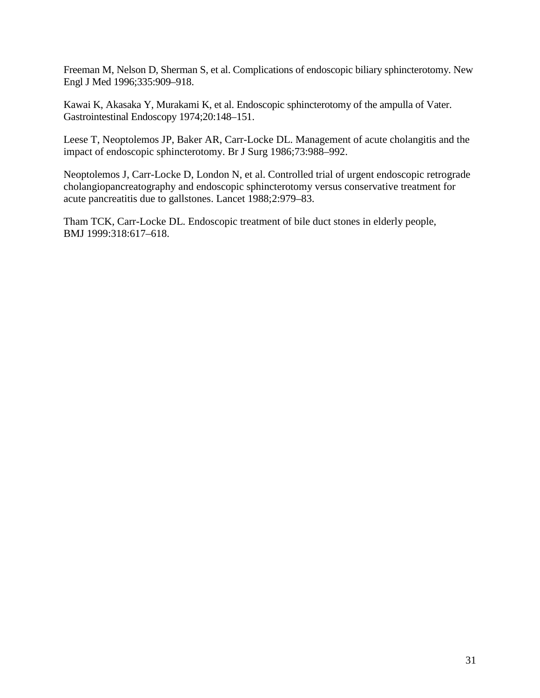Freeman M, Nelson D, Sherman S, et al. Complications of endoscopic biliary sphincterotomy. New Engl J Med 1996;335:909–918.

Kawai K, Akasaka Y, Murakami K, et al. Endoscopic sphincterotomy of the ampulla of Vater. Gastrointestinal Endoscopy 1974;20:148–151.

Leese T, Neoptolemos JP, Baker AR, Carr-Locke DL. Management of acute cholangitis and the impact of endoscopic sphincterotomy. Br J Surg 1986;73:988–992.

Neoptolemos J, Carr-Locke D, London N, et al. Controlled trial of urgent endoscopic retrograde cholangiopancreatography and endoscopic sphincterotomy versus conservative treatment for acute pancreatitis due to gallstones. Lancet 1988;2:979–83.

Tham TCK, Carr-Locke DL. Endoscopic treatment of bile duct stones in elderly people, BMJ 1999:318:617–618.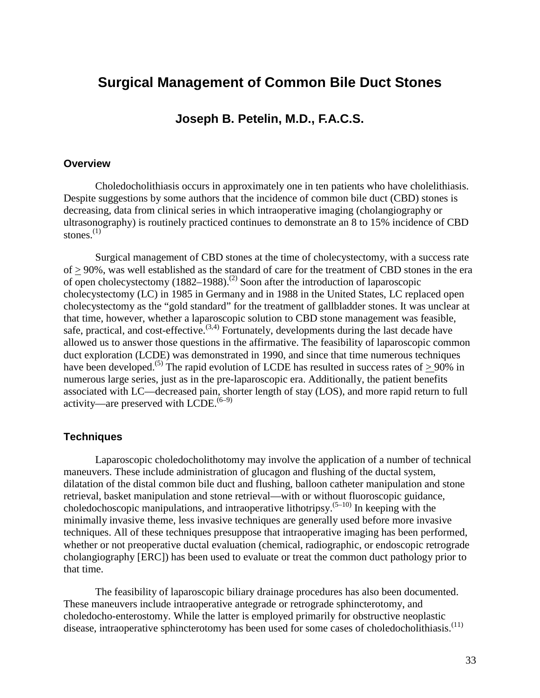# **Surgical Management of Common Bile Duct Stones**

## **Joseph B. Petelin, M.D., F.A.C.S.**

#### **Overview**

Choledocholithiasis occurs in approximately one in ten patients who have cholelithiasis. Despite suggestions by some authors that the incidence of common bile duct (CBD) stones is decreasing, data from clinical series in which intraoperative imaging (cholangiography or ultrasonography) is routinely practiced continues to demonstrate an 8 to 15% incidence of CBD stones. $(1)$ 

Surgical management of CBD stones at the time of cholecystectomy, with a success rate of > 90%, was well established as the standard of care for the treatment of CBD stones in the era of open cholecystectomy  $(1882-1988)$ .<sup>(2)</sup> Soon after the introduction of laparoscopic cholecystectomy (LC) in 1985 in Germany and in 1988 in the United States, LC replaced open cholecystectomy as the "gold standard" for the treatment of gallbladder stones. It was unclear at that time, however, whether a laparoscopic solution to CBD stone management was feasible, safe, practical, and cost-effective.<sup> $(3,4)$ </sup> Fortunately, developments during the last decade have allowed us to answer those questions in the affirmative. The feasibility of laparoscopic common duct exploration (LCDE) was demonstrated in 1990, and since that time numerous techniques have been developed.<sup>(5)</sup> The rapid evolution of LCDE has resulted in success rates of  $> 90\%$  in numerous large series, just as in the pre-laparoscopic era. Additionally, the patient benefits associated with LC—decreased pain, shorter length of stay (LOS), and more rapid return to full activity—are preserved with  $\widehat{\text{LCDE}}$ .  $(6-9)$ 

#### **Techniques**

Laparoscopic choledocholithotomy may involve the application of a number of technical maneuvers. These include administration of glucagon and flushing of the ductal system, dilatation of the distal common bile duct and flushing, balloon catheter manipulation and stone retrieval, basket manipulation and stone retrieval—with or without fluoroscopic guidance, choledochoscopic manipulations, and intraoperative lithotripsy.<sup> $(5-10)$ </sup> In keeping with the minimally invasive theme, less invasive techniques are generally used before more invasive techniques. All of these techniques presuppose that intraoperative imaging has been performed, whether or not preoperative ductal evaluation (chemical, radiographic, or endoscopic retrograde cholangiography [ERC]) has been used to evaluate or treat the common duct pathology prior to that time.

The feasibility of laparoscopic biliary drainage procedures has also been documented. These maneuvers include intraoperative antegrade or retrograde sphincterotomy, and choledocho-enterostomy. While the latter is employed primarily for obstructive neoplastic disease, intraoperative sphincterotomy has been used for some cases of choledocholithiasis.<sup>(11)</sup>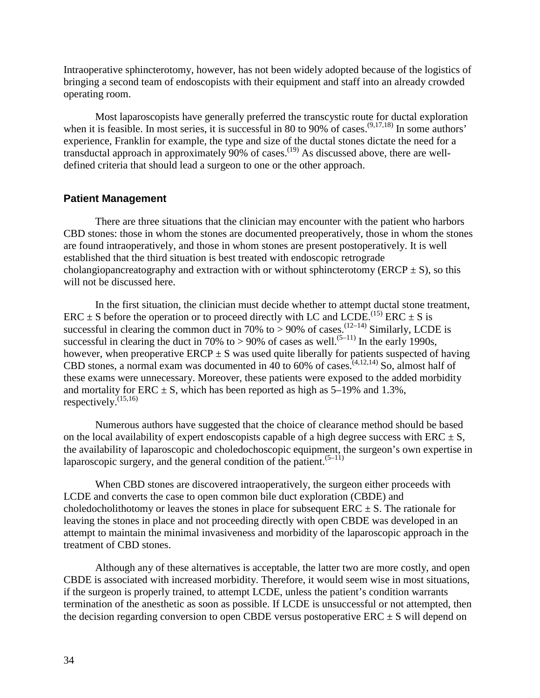Intraoperative sphincterotomy, however, has not been widely adopted because of the logistics of bringing a second team of endoscopists with their equipment and staff into an already crowded operating room.

Most laparoscopists have generally preferred the transcystic route for ductal exploration when it is feasible. In most series, it is successful in 80 to 90% of cases.<sup>(9,17,18)</sup> In some authors' experience, Franklin for example, the type and size of the ductal stones dictate the need for a transductal approach in approximately  $90\%$  of cases.<sup>(19)</sup> As discussed above, there are welldefined criteria that should lead a surgeon to one or the other approach.

#### **Patient Management**

There are three situations that the clinician may encounter with the patient who harbors CBD stones: those in whom the stones are documented preoperatively, those in whom the stones are found intraoperatively, and those in whom stones are present postoperatively. It is well established that the third situation is best treated with endoscopic retrograde cholangiopancreatography and extraction with or without sphincterotomy (ERCP  $\pm$  S), so this will not be discussed here.

respectively. $^{(15,16)}$ In the first situation, the clinician must decide whether to attempt ductal stone treatment, ERC  $\pm$  S before the operation or to proceed directly with LC and LCDE.<sup>(15)</sup> ERC  $\pm$  S is successful in clearing the common duct in 70% to  $> 90\%$  of cases.<sup>(12–14)</sup> Similarly, LCDE is successful in clearing the duct in 70% to > 90% of cases as well.<sup>(5–11)</sup> In the early 1990s, however, when preoperative  $ERCP \pm S$  was used quite liberally for patients suspected of having CBD stones, a normal exam was documented in 40 to 60% of cases.<sup> $(4,12,14)$ </sup> So, almost half of these exams were unnecessary. Moreover, these patients were exposed to the added morbidity and mortality for ERC  $\pm$  S, which has been reported as high as 5–19% and 1.3%,

Numerous authors have suggested that the choice of clearance method should be based on the local availability of expert endoscopists capable of a high degree success with  $\text{ERC} \pm \text{S}$ , the availability of laparoscopic and choledochoscopic equipment, the surgeon's own expertise in laparoscopic surgery, and the general condition of the patient. $(5-11)$ 

When CBD stones are discovered intraoperatively, the surgeon either proceeds with LCDE and converts the case to open common bile duct exploration (CBDE) and choledocholithotomy or leaves the stones in place for subsequent  $\text{ERC}\pm\text{S}$ . The rationale for leaving the stones in place and not proceeding directly with open CBDE was developed in an attempt to maintain the minimal invasiveness and morbidity of the laparoscopic approach in the treatment of CBD stones.

Although any of these alternatives is acceptable, the latter two are more costly, and open CBDE is associated with increased morbidity. Therefore, it would seem wise in most situations, if the surgeon is properly trained, to attempt LCDE, unless the patient's condition warrants termination of the anesthetic as soon as possible. If LCDE is unsuccessful or not attempted, then the decision regarding conversion to open CBDE versus postoperative  $\text{ERC}\pm\text{S}$  will depend on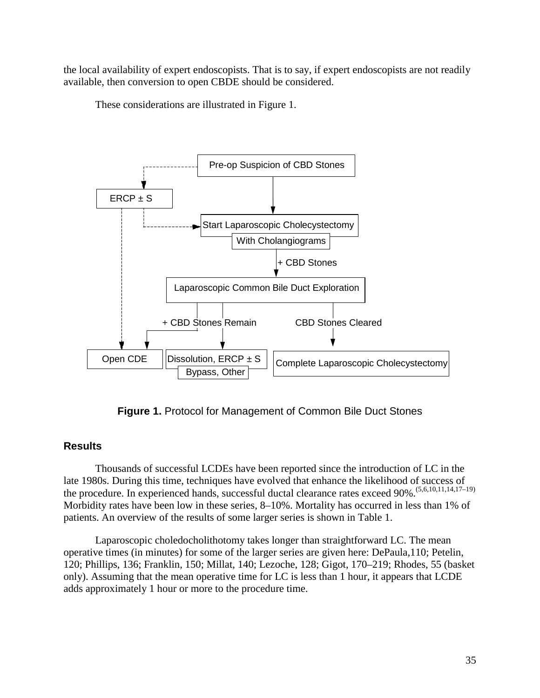the local availability of expert endoscopists. That is to say, if expert endoscopists are not readily available, then conversion to open CBDE should be considered.

These considerations are illustrated in Figure 1.



**Figure 1.** Protocol for Management of Common Bile Duct Stones

### **Results**

Thousands of successful LCDEs have been reported since the introduction of LC in the late 1980s. During this time, techniques have evolved that enhance the likelihood of success of the procedure. In experienced hands, successful ductal clearance rates exceed 90%.(5,6,10,11,14,17–19) Morbidity rates have been low in these series, 8–10%. Mortality has occurred in less than 1% of patients. An overview of the results of some larger series is shown in Table 1.

Laparoscopic choledocholithotomy takes longer than straightforward LC. The mean operative times (in minutes) for some of the larger series are given here: DePaula,110; Petelin, 120; Phillips, 136; Franklin, 150; Millat, 140; Lezoche, 128; Gigot, 170–219; Rhodes, 55 (basket only). Assuming that the mean operative time for LC is less than 1 hour, it appears that LCDE adds approximately 1 hour or more to the procedure time.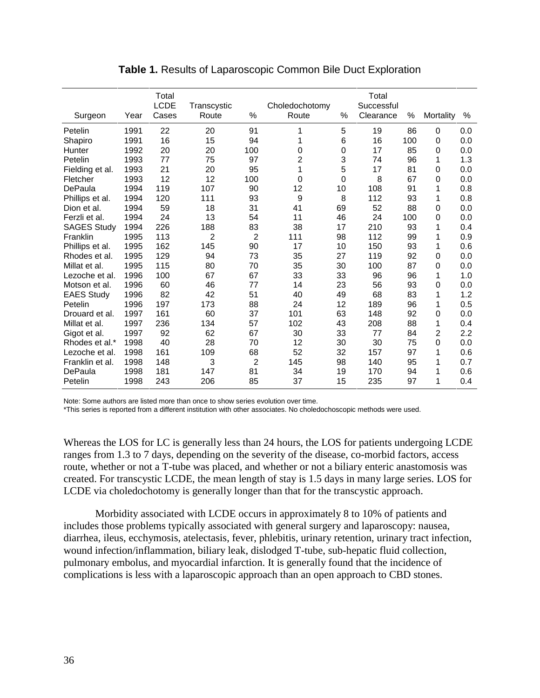| Surgeon            | Year | Total<br><b>LCDE</b><br>Cases | Transcystic<br>Route | $\%$ | Choledochotomy<br>Route | %  | Total<br>Successful<br>Clearance | %   | Mortality | %   |
|--------------------|------|-------------------------------|----------------------|------|-------------------------|----|----------------------------------|-----|-----------|-----|
| Petelin            | 1991 | 22                            | 20                   | 91   | 1                       | 5  | 19                               | 86  | 0         | 0.0 |
| Shapiro            | 1991 | 16                            | 15                   | 94   | 1                       | 6  | 16                               | 100 | 0         | 0.0 |
| Hunter             | 1992 | 20                            | 20                   | 100  | 0                       | 0  | 17                               | 85  | 0         | 0.0 |
| Petelin            | 1993 | 77                            | 75                   | 97   | 2                       | 3  | 74                               | 96  | 1         | 1.3 |
| Fielding et al.    | 1993 | 21                            | 20                   | 95   | 1                       | 5  | 17                               | 81  | 0         | 0.0 |
| Fletcher           | 1993 | 12                            | 12                   | 100  | 0                       | 0  | 8                                | 67  | 0         | 0.0 |
| DePaula            | 1994 | 119                           | 107                  | 90   | 12                      | 10 | 108                              | 91  | 1         | 0.8 |
| Phillips et al.    | 1994 | 120                           | 111                  | 93   | 9                       | 8  | 112                              | 93  | 1         | 0.8 |
| Dion et al.        | 1994 | 59                            | 18                   | 31   | 41                      | 69 | 52                               | 88  | 0         | 0.0 |
| Ferzli et al.      | 1994 | 24                            | 13                   | 54   | 11                      | 46 | 24                               | 100 | 0         | 0.0 |
| <b>SAGES Study</b> | 1994 | 226                           | 188                  | 83   | 38                      | 17 | 210                              | 93  | 1         | 0.4 |
| Franklin           | 1995 | 113                           | 2                    | 2    | 111                     | 98 | 112                              | 99  | 1         | 0.9 |
| Phillips et al.    | 1995 | 162                           | 145                  | 90   | 17                      | 10 | 150                              | 93  | 1         | 0.6 |
| Rhodes et al.      | 1995 | 129                           | 94                   | 73   | 35                      | 27 | 119                              | 92  | 0         | 0.0 |
| Millat et al.      | 1995 | 115                           | 80                   | 70   | 35                      | 30 | 100                              | 87  | 0         | 0.0 |
| Lezoche et al.     | 1996 | 100                           | 67                   | 67   | 33                      | 33 | 96                               | 96  | 1         | 1.0 |
| Motson et al.      | 1996 | 60                            | 46                   | 77   | 14                      | 23 | 56                               | 93  | 0         | 0.0 |
| <b>EAES Study</b>  | 1996 | 82                            | 42                   | 51   | 40                      | 49 | 68                               | 83  | 1         | 1.2 |
| Petelin            | 1996 | 197                           | 173                  | 88   | 24                      | 12 | 189                              | 96  | 1         | 0.5 |
| Drouard et al.     | 1997 | 161                           | 60                   | 37   | 101                     | 63 | 148                              | 92  | 0         | 0.0 |
| Millat et al.      | 1997 | 236                           | 134                  | 57   | 102                     | 43 | 208                              | 88  | 1         | 0.4 |
| Gigot et al.       | 1997 | 92                            | 62                   | 67   | 30                      | 33 | 77                               | 84  | 2         | 2.2 |
| Rhodes et al.*     | 1998 | 40                            | 28                   | 70   | 12                      | 30 | 30                               | 75  | 0         | 0.0 |
| Lezoche et al.     | 1998 | 161                           | 109                  | 68   | 52                      | 32 | 157                              | 97  | 1         | 0.6 |
| Franklin et al.    | 1998 | 148                           | 3                    | 2    | 145                     | 98 | 140                              | 95  | 1         | 0.7 |
| DePaula            | 1998 | 181                           | 147                  | 81   | 34                      | 19 | 170                              | 94  | 1         | 0.6 |
| Petelin            | 1998 | 243                           | 206                  | 85   | 37                      | 15 | 235                              | 97  | 1         | 0.4 |

**Table 1.** Results of Laparoscopic Common Bile Duct Exploration

Note: Some authors are listed more than once to show series evolution over time.

\*This series is reported from a different institution with other associates. No choledochoscopic methods were used.

Whereas the LOS for LC is generally less than 24 hours, the LOS for patients undergoing LCDE ranges from 1.3 to 7 days, depending on the severity of the disease, co-morbid factors, access route, whether or not a T-tube was placed, and whether or not a biliary enteric anastomosis was created. For transcystic LCDE, the mean length of stay is 1.5 days in many large series. LOS for LCDE via choledochotomy is generally longer than that for the transcystic approach.

Morbidity associated with LCDE occurs in approximately 8 to 10% of patients and includes those problems typically associated with general surgery and laparoscopy: nausea, diarrhea, ileus, ecchymosis, atelectasis, fever, phlebitis, urinary retention, urinary tract infection, wound infection/inflammation, biliary leak, dislodged T-tube, sub-hepatic fluid collection, pulmonary embolus, and myocardial infarction. It is generally found that the incidence of complications is less with a laparoscopic approach than an open approach to CBD stones.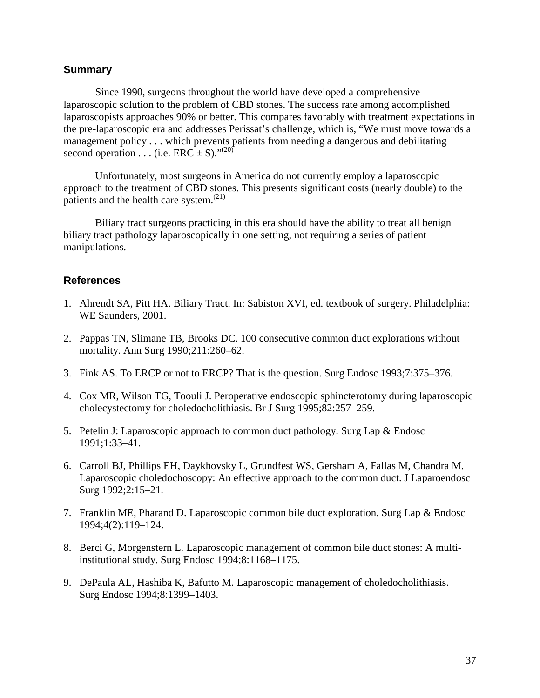#### **Summary**

Since 1990, surgeons throughout the world have developed a comprehensive laparoscopic solution to the problem of CBD stones. The success rate among accomplished laparoscopists approaches 90% or better. This compares favorably with treatment expectations in the pre-laparoscopic era and addresses Perissat's challenge, which is, "We must move towards a management policy . . . which prevents patients from needing a dangerous and debilitating second operation . . . (i.e.  $\text{ERC} \pm S$ )."<sup>(20)</sup>

Unfortunately, most surgeons in America do not currently employ a laparoscopic approach to the treatment of CBD stones. This presents significant costs (nearly double) to the patients and the health care system.<sup>(21)</sup>

Biliary tract surgeons practicing in this era should have the ability to treat all benign biliary tract pathology laparoscopically in one setting, not requiring a series of patient manipulations.

#### **References**

- 1. Ahrendt SA, Pitt HA. Biliary Tract. In: Sabiston XVI, ed. textbook of surgery. Philadelphia: WE Saunders, 2001.
- 2. Pappas TN, Slimane TB, Brooks DC. 100 consecutive common duct explorations without mortality. Ann Surg 1990;211:260–62.
- 3. Fink AS. To ERCP or not to ERCP? That is the question. Surg Endosc 1993;7:375–376.
- 4. Cox MR, Wilson TG, Toouli J. Peroperative endoscopic sphincterotomy during laparoscopic cholecystectomy for choledocholithiasis. Br J Surg 1995;82:257–259.
- 5. Petelin J: Laparoscopic approach to common duct pathology. Surg Lap & Endosc 1991;1:33–41.
- 6. Carroll BJ, Phillips EH, Daykhovsky L, Grundfest WS, Gersham A, Fallas M, Chandra M. Laparoscopic choledochoscopy: An effective approach to the common duct. J Laparoendosc Surg 1992;2:15–21.
- 7. Franklin ME, Pharand D. Laparoscopic common bile duct exploration. Surg Lap & Endosc 1994;4(2):119–124.
- 8. Berci G, Morgenstern L. Laparoscopic management of common bile duct stones: A multiinstitutional study. Surg Endosc 1994;8:1168–1175.
- 9. DePaula AL, Hashiba K, Bafutto M. Laparoscopic management of choledocholithiasis. Surg Endosc 1994;8:1399–1403.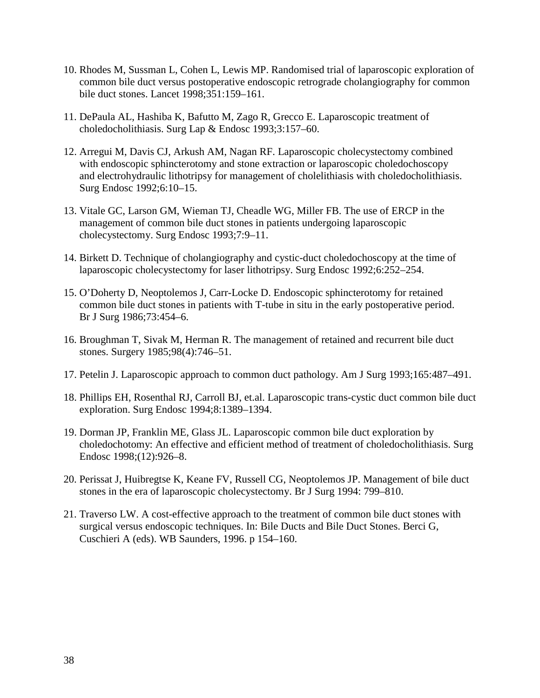- 10. Rhodes M, Sussman L, Cohen L, Lewis MP. Randomised trial of laparoscopic exploration of common bile duct versus postoperative endoscopic retrograde cholangiography for common bile duct stones. Lancet 1998;351:159–161.
- 11. DePaula AL, Hashiba K, Bafutto M, Zago R, Grecco E. Laparoscopic treatment of choledocholithiasis. Surg Lap & Endosc 1993;3:157–60.
- 12. Arregui M, Davis CJ, Arkush AM, Nagan RF. Laparoscopic cholecystectomy combined with endoscopic sphincterotomy and stone extraction or laparoscopic choledochoscopy and electrohydraulic lithotripsy for management of cholelithiasis with choledocholithiasis. Surg Endosc 1992;6:10–15.
- 13. Vitale GC, Larson GM, Wieman TJ, Cheadle WG, Miller FB. The use of ERCP in the management of common bile duct stones in patients undergoing laparoscopic cholecystectomy. Surg Endosc 1993;7:9–11.
- 14. Birkett D. Technique of cholangiography and cystic-duct choledochoscopy at the time of laparoscopic cholecystectomy for laser lithotripsy. Surg Endosc 1992;6:252–254.
- 15. O'Doherty D, Neoptolemos J, Carr-Locke D. Endoscopic sphincterotomy for retained common bile duct stones in patients with T-tube in situ in the early postoperative period. Br J Surg 1986;73:454–6.
- 16. Broughman T, Sivak M, Herman R. The management of retained and recurrent bile duct stones. Surgery 1985;98(4):746–51.
- 17. Petelin J. Laparoscopic approach to common duct pathology. Am J Surg 1993;165:487–491.
- 18. Phillips EH, Rosenthal RJ, Carroll BJ, et.al. Laparoscopic trans-cystic duct common bile duct exploration. Surg Endosc 1994;8:1389–1394.
- 19. Dorman JP, Franklin ME, Glass JL. Laparoscopic common bile duct exploration by choledochotomy: An effective and efficient method of treatment of choledocholithiasis. Surg Endosc 1998;(12):926–8.
- 20. Perissat J, Huibregtse K, Keane FV, Russell CG, Neoptolemos JP. Management of bile duct stones in the era of laparoscopic cholecystectomy. Br J Surg 1994: 799–810.
- 21. Traverso LW. A cost-effective approach to the treatment of common bile duct stones with surgical versus endoscopic techniques. In: Bile Ducts and Bile Duct Stones. Berci G, Cuschieri A (eds). WB Saunders, 1996. p 154–160.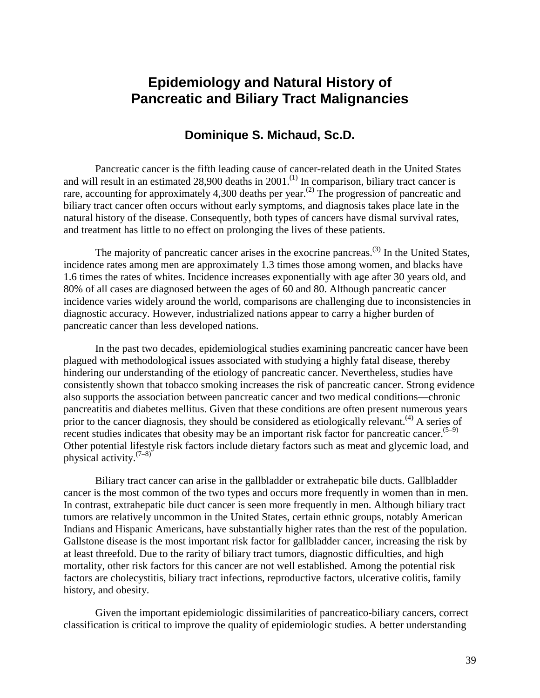# **Epidemiology and Natural History of Pancreatic and Biliary Tract Malignancies**

## **Dominique S. Michaud, Sc.D.**

and treatment has little to no effect on prolonging the lives of these patients. Pancreatic cancer is the fifth leading cause of cancer-related death in the United States and will result in an estimated  $28,900$  deaths in  $2001$ .<sup>(1)</sup> In comparison, biliary tract cancer is rare, accounting for approximately 4,300 deaths per year.<sup>(2)</sup> The progression of pancreatic and biliary tract cancer often occurs without early symptoms, and diagnosis takes place late in the natural history of the disease. Consequently, both types of cancers have dismal survival rates,

The majority of pancreatic cancer arises in the exocrine pancreas.<sup>(3)</sup> In the United States, incidence rates among men are approximately 1.3 times those among women, and blacks have 1.6 times the rates of whites. Incidence increases exponentially with age after 30 years old, and 80% of all cases are diagnosed between the ages of 60 and 80. Although pancreatic cancer incidence varies widely around the world, comparisons are challenging due to inconsistencies in diagnostic accuracy. However, industrialized nations appear to carry a higher burden of pancreatic cancer than less developed nations.

In the past two decades, epidemiological studies examining pancreatic cancer have been plagued with methodological issues associated with studying a highly fatal disease, thereby hindering our understanding of the etiology of pancreatic cancer. Nevertheless, studies have consistently shown that tobacco smoking increases the risk of pancreatic cancer. Strong evidence also supports the association between pancreatic cancer and two medical conditions—chronic pancreatitis and diabetes mellitus. Given that these conditions are often present numerous years prior to the cancer diagnosis, they should be considered as etiologically relevant.<sup>(4)</sup> A series of recent studies indicates that obesity may be an important risk factor for pancreatic cancer.<sup> $(5-9)$ </sup> Other potential lifestyle risk factors include dietary factors such as meat and glycemic load, and physical activity. $(7-8)^{2}$ 

history, and obesity. Biliary tract cancer can arise in the gallbladder or extrahepatic bile ducts. Gallbladder cancer is the most common of the two types and occurs more frequently in women than in men. In contrast, extrahepatic bile duct cancer is seen more frequently in men. Although biliary tract tumors are relatively uncommon in the United States, certain ethnic groups, notably American Indians and Hispanic Americans, have substantially higher rates than the rest of the population. Gallstone disease is the most important risk factor for gallbladder cancer, increasing the risk by at least threefold. Due to the rarity of biliary tract tumors, diagnostic difficulties, and high mortality, other risk factors for this cancer are not well established. Among the potential risk factors are cholecystitis, biliary tract infections, reproductive factors, ulcerative colitis, family

Given the important epidemiologic dissimilarities of pancreatico-biliary cancers, correct classification is critical to improve the quality of epidemiologic studies. A better understanding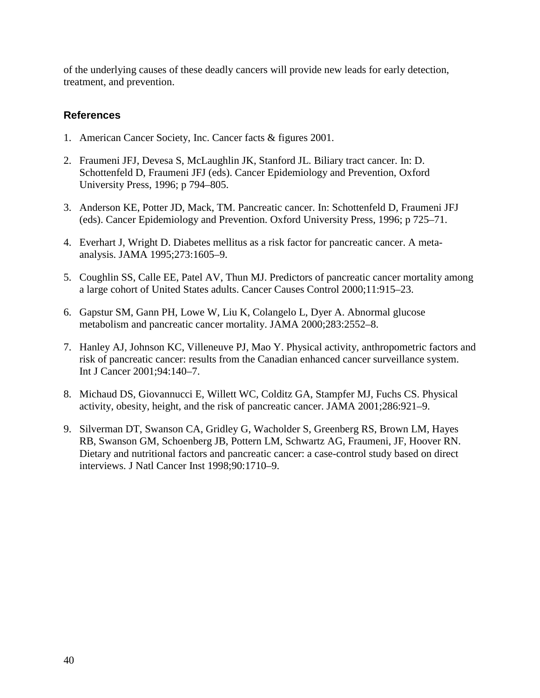of the underlying causes of these deadly cancers will provide new leads for early detection, treatment, and prevention.

## **References**

- 1. American Cancer Society, Inc. Cancer facts & figures 2001.
- 2. Fraumeni JFJ, Devesa S, McLaughlin JK, Stanford JL. Biliary tract cancer. In: D. Schottenfeld D, Fraumeni JFJ (eds). Cancer Epidemiology and Prevention, Oxford University Press, 1996; p 794–805.
- 3. Anderson KE, Potter JD, Mack, TM. Pancreatic cancer. In: Schottenfeld D, Fraumeni JFJ (eds). Cancer Epidemiology and Prevention. Oxford University Press, 1996; p 725–71.
- 4. Everhart J, Wright D. Diabetes mellitus as a risk factor for pancreatic cancer. A metaanalysis. JAMA 1995;273:1605–9.
- 5. Coughlin SS, Calle EE, Patel AV, Thun MJ. Predictors of pancreatic cancer mortality among a large cohort of United States adults. Cancer Causes Control 2000;11:915–23.
- 6. Gapstur SM, Gann PH, Lowe W, Liu K, Colangelo L, Dyer A. Abnormal glucose metabolism and pancreatic cancer mortality. JAMA 2000;283:2552–8.
- 7. Hanley AJ, Johnson KC, Villeneuve PJ, Mao Y. Physical activity, anthropometric factors and risk of pancreatic cancer: results from the Canadian enhanced cancer surveillance system. Int J Cancer 2001;94:140–7.
- 8. Michaud DS, Giovannucci E, Willett WC, Colditz GA, Stampfer MJ, Fuchs CS. Physical activity, obesity, height, and the risk of pancreatic cancer. JAMA 2001;286:921–9.
- 9. Silverman DT, Swanson CA, Gridley G, Wacholder S, Greenberg RS, Brown LM, Hayes RB, Swanson GM, Schoenberg JB, Pottern LM, Schwartz AG, Fraumeni, JF, Hoover RN. Dietary and nutritional factors and pancreatic cancer: a case-control study based on direct interviews. J Natl Cancer Inst 1998;90:1710–9.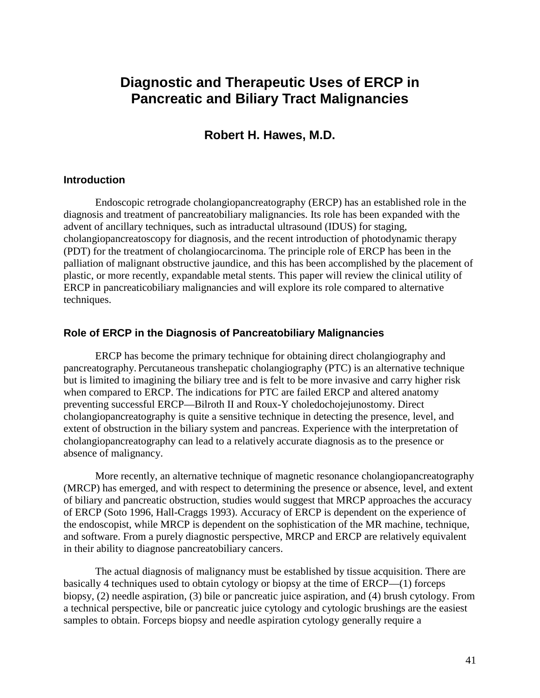# **Diagnostic and Therapeutic Uses of ERCP in Pancreatic and Biliary Tract Malignancies**

## **Robert H. Hawes, M.D.**

### **Introduction**

Endoscopic retrograde cholangiopancreatography (ERCP) has an established role in the diagnosis and treatment of pancreatobiliary malignancies. Its role has been expanded with the advent of ancillary techniques, such as intraductal ultrasound (IDUS) for staging, cholangiopancreatoscopy for diagnosis, and the recent introduction of photodynamic therapy (PDT) for the treatment of cholangiocarcinoma. The principle role of ERCP has been in the palliation of malignant obstructive jaundice, and this has been accomplished by the placement of plastic, or more recently, expandable metal stents. This paper will review the clinical utility of ERCP in pancreaticobiliary malignancies and will explore its role compared to alternative techniques.

#### **Role of ERCP in the Diagnosis of Pancreatobiliary Malignancies**

 cholangiopancreatography can lead to a relatively accurate diagnosis as to the presence or ERCP has become the primary technique for obtaining direct cholangiography and pancreatography. Percutaneous transhepatic cholangiography (PTC) is an alternative technique but is limited to imagining the biliary tree and is felt to be more invasive and carry higher risk when compared to ERCP. The indications for PTC are failed ERCP and altered anatomy preventing successful ERCP—Bilroth II and Roux-Y choledochojejunostomy. Direct cholangiopancreatography is quite a sensitive technique in detecting the presence, level, and extent of obstruction in the biliary system and pancreas. Experience with the interpretation of absence of malignancy.

More recently, an alternative technique of magnetic resonance cholangiopancreatography (MRCP) has emerged, and with respect to determining the presence or absence, level, and extent of biliary and pancreatic obstruction, studies would suggest that MRCP approaches the accuracy of ERCP (Soto 1996, Hall-Craggs 1993). Accuracy of ERCP is dependent on the experience of the endoscopist, while MRCP is dependent on the sophistication of the MR machine, technique, and software. From a purely diagnostic perspective, MRCP and ERCP are relatively equivalent in their ability to diagnose pancreatobiliary cancers.

The actual diagnosis of malignancy must be established by tissue acquisition. There are basically 4 techniques used to obtain cytology or biopsy at the time of ERCP—(1) forceps biopsy, (2) needle aspiration, (3) bile or pancreatic juice aspiration, and (4) brush cytology. From a technical perspective, bile or pancreatic juice cytology and cytologic brushings are the easiest samples to obtain. Forceps biopsy and needle aspiration cytology generally require a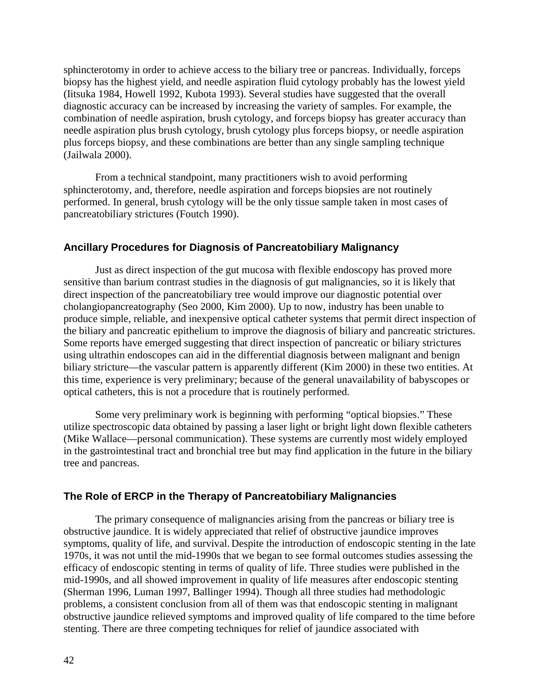sphincterotomy in order to achieve access to the biliary tree or pancreas. Individually, forceps biopsy has the highest yield, and needle aspiration fluid cytology probably has the lowest yield (Iitsuka 1984, Howell 1992, Kubota 1993). Several studies have suggested that the overall diagnostic accuracy can be increased by increasing the variety of samples. For example, the combination of needle aspiration, brush cytology, and forceps biopsy has greater accuracy than needle aspiration plus brush cytology, brush cytology plus forceps biopsy, or needle aspiration plus forceps biopsy, and these combinations are better than any single sampling technique (Jailwala 2000).

From a technical standpoint, many practitioners wish to avoid performing sphincterotomy, and, therefore, needle aspiration and forceps biopsies are not routinely performed. In general, brush cytology will be the only tissue sample taken in most cases of pancreatobiliary strictures (Foutch 1990).

#### **Ancillary Procedures for Diagnosis of Pancreatobiliary Malignancy**

optical catheters, this is not a procedure that is routinely performed. Just as direct inspection of the gut mucosa with flexible endoscopy has proved more sensitive than barium contrast studies in the diagnosis of gut malignancies, so it is likely that direct inspection of the pancreatobiliary tree would improve our diagnostic potential over cholangiopancreatography (Seo 2000, Kim 2000). Up to now, industry has been unable to produce simple, reliable, and inexpensive optical catheter systems that permit direct inspection of the biliary and pancreatic epithelium to improve the diagnosis of biliary and pancreatic strictures. Some reports have emerged suggesting that direct inspection of pancreatic or biliary strictures using ultrathin endoscopes can aid in the differential diagnosis between malignant and benign biliary stricture—the vascular pattern is apparently different (Kim 2000) in these two entities. At this time, experience is very preliminary; because of the general unavailability of babyscopes or

Some very preliminary work is beginning with performing "optical biopsies." These utilize spectroscopic data obtained by passing a laser light or bright light down flexible catheters (Mike Wallace—personal communication). These systems are currently most widely employed in the gastrointestinal tract and bronchial tree but may find application in the future in the biliary tree and pancreas.

### **The Role of ERCP in the Therapy of Pancreatobiliary Malignancies**

The primary consequence of malignancies arising from the pancreas or biliary tree is obstructive jaundice. It is widely appreciated that relief of obstructive jaundice improves symptoms, quality of life, and survival. Despite the introduction of endoscopic stenting in the late 1970s, it was not until the mid-1990s that we began to see formal outcomes studies assessing the efficacy of endoscopic stenting in terms of quality of life. Three studies were published in the mid-1990s, and all showed improvement in quality of life measures after endoscopic stenting (Sherman 1996, Luman 1997, Ballinger 1994). Though all three studies had methodologic problems, a consistent conclusion from all of them was that endoscopic stenting in malignant obstructive jaundice relieved symptoms and improved quality of life compared to the time before stenting. There are three competing techniques for relief of jaundice associated with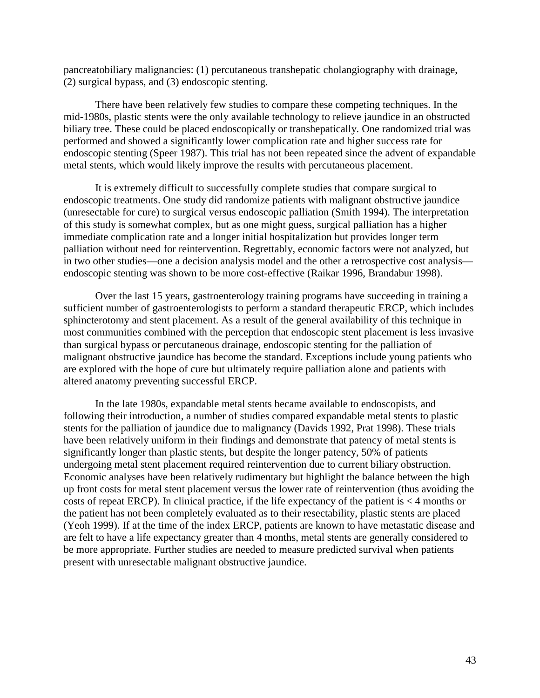pancreatobiliary malignancies: (1) percutaneous transhepatic cholangiography with drainage, (2) surgical bypass, and (3) endoscopic stenting.

There have been relatively few studies to compare these competing techniques. In the mid-1980s, plastic stents were the only available technology to relieve jaundice in an obstructed biliary tree. These could be placed endoscopically or transhepatically. One randomized trial was performed and showed a significantly lower complication rate and higher success rate for endoscopic stenting (Speer 1987). This trial has not been repeated since the advent of expandable metal stents, which would likely improve the results with percutaneous placement.

It is extremely difficult to successfully complete studies that compare surgical to endoscopic treatments. One study did randomize patients with malignant obstructive jaundice (unresectable for cure) to surgical versus endoscopic palliation (Smith 1994). The interpretation of this study is somewhat complex, but as one might guess, surgical palliation has a higher immediate complication rate and a longer initial hospitalization but provides longer term palliation without need for reintervention. Regrettably, economic factors were not analyzed, but in two other studies—one a decision analysis model and the other a retrospective cost analysis endoscopic stenting was shown to be more cost-effective (Raikar 1996, Brandabur 1998).

Over the last 15 years, gastroenterology training programs have succeeding in training a sufficient number of gastroenterologists to perform a standard therapeutic ERCP, which includes sphincterotomy and stent placement. As a result of the general availability of this technique in most communities combined with the perception that endoscopic stent placement is less invasive than surgical bypass or percutaneous drainage, endoscopic stenting for the palliation of malignant obstructive jaundice has become the standard. Exceptions include young patients who are explored with the hope of cure but ultimately require palliation alone and patients with altered anatomy preventing successful ERCP.

In the late 1980s, expandable metal stents became available to endoscopists, and following their introduction, a number of studies compared expandable metal stents to plastic stents for the palliation of jaundice due to malignancy (Davids 1992, Prat 1998). These trials have been relatively uniform in their findings and demonstrate that patency of metal stents is significantly longer than plastic stents, but despite the longer patency, 50% of patients undergoing metal stent placement required reintervention due to current biliary obstruction. Economic analyses have been relatively rudimentary but highlight the balance between the high up front costs for metal stent placement versus the lower rate of reintervention (thus avoiding the costs of repeat ERCP). In clinical practice, if the life expectancy of the patient is < 4 months or the patient has not been completely evaluated as to their resectability, plastic stents are placed (Yeoh 1999). If at the time of the index ERCP, patients are known to have metastatic disease and are felt to have a life expectancy greater than 4 months, metal stents are generally considered to be more appropriate. Further studies are needed to measure predicted survival when patients present with unresectable malignant obstructive jaundice.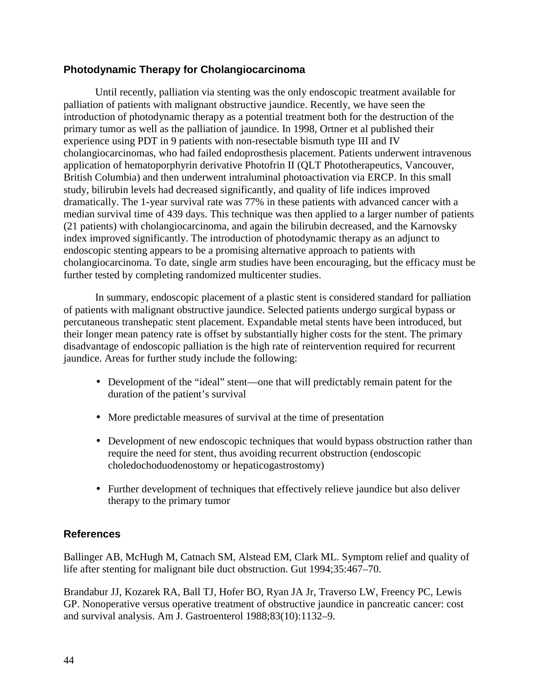## **Photodynamic Therapy for Cholangiocarcinoma**

 experience using PDT in 9 patients with non-resectable bismuth type III and IV Until recently, palliation via stenting was the only endoscopic treatment available for palliation of patients with malignant obstructive jaundice. Recently, we have seen the introduction of photodynamic therapy as a potential treatment both for the destruction of the primary tumor as well as the palliation of jaundice. In 1998, Ortner et al published their cholangiocarcinomas, who had failed endoprosthesis placement. Patients underwent intravenous application of hematoporphyrin derivative Photofrin II (QLT Phototherapeutics, Vancouver, British Columbia) and then underwent intraluminal photoactivation via ERCP. In this small study, bilirubin levels had decreased significantly, and quality of life indices improved dramatically. The 1-year survival rate was 77% in these patients with advanced cancer with a median survival time of 439 days. This technique was then applied to a larger number of patients (21 patients) with cholangiocarcinoma, and again the bilirubin decreased, and the Karnovsky index improved significantly. The introduction of photodynamic therapy as an adjunct to endoscopic stenting appears to be a promising alternative approach to patients with cholangiocarcinoma. To date, single arm studies have been encouraging, but the efficacy must be further tested by completing randomized multicenter studies.

In summary, endoscopic placement of a plastic stent is considered standard for palliation of patients with malignant obstructive jaundice. Selected patients undergo surgical bypass or percutaneous transhepatic stent placement. Expandable metal stents have been introduced, but their longer mean patency rate is offset by substantially higher costs for the stent. The primary disadvantage of endoscopic palliation is the high rate of reintervention required for recurrent jaundice. Areas for further study include the following:

- Development of the "ideal" stent—one that will predictably remain patent for the duration of the patient's survival
- More predictable measures of survival at the time of presentation
- Development of new endoscopic techniques that would bypass obstruction rather than require the need for stent, thus avoiding recurrent obstruction (endoscopic choledochoduodenostomy or hepaticogastrostomy)
- Further development of techniques that effectively relieve jaundice but also deliver therapy to the primary tumor

## **References**

Ballinger AB, McHugh M, Catnach SM, Alstead EM, Clark ML. Symptom relief and quality of life after stenting for malignant bile duct obstruction. Gut 1994;35:467–70.

Brandabur JJ, Kozarek RA, Ball TJ, Hofer BO, Ryan JA Jr, Traverso LW, Freency PC, Lewis GP. Nonoperative versus operative treatment of obstructive jaundice in pancreatic cancer: cost and survival analysis. Am J. Gastroenterol 1988;83(10):1132–9.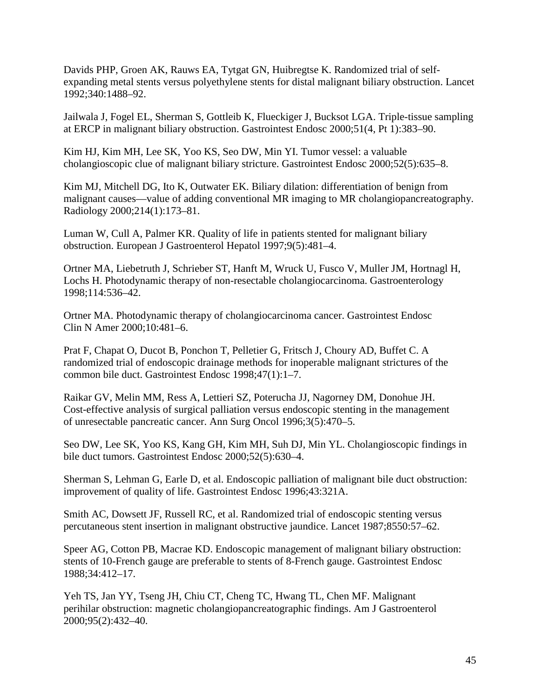Davids PHP, Groen AK, Rauws EA, Tytgat GN, Huibregtse K. Randomized trial of selfexpanding metal stents versus polyethylene stents for distal malignant biliary obstruction. Lancet 1992;340:1488–92.

Jailwala J, Fogel EL, Sherman S, Gottleib K, Flueckiger J, Bucksot LGA. Triple-tissue sampling at ERCP in malignant biliary obstruction. Gastrointest Endosc 2000;51(4, Pt 1):383–90.

Kim HJ, Kim MH, Lee SK, Yoo KS, Seo DW, Min YI. Tumor vessel: a valuable cholangioscopic clue of malignant biliary stricture. Gastrointest Endosc 2000;52(5):635–8.

Kim MJ, Mitchell DG, Ito K, Outwater EK. Biliary dilation: differentiation of benign from malignant causes—value of adding conventional MR imaging to MR cholangiopancreatography. Radiology 2000;214(1):173–81.

Luman W, Cull A, Palmer KR. Quality of life in patients stented for malignant biliary obstruction. European J Gastroenterol Hepatol 1997;9(5):481–4.

Ortner MA, Liebetruth J, Schrieber ST, Hanft M, Wruck U, Fusco V, Muller JM, Hortnagl H, Lochs H. Photodynamic therapy of non-resectable cholangiocarcinoma. Gastroenterology 1998;114:536–42.

Ortner MA. Photodynamic therapy of cholangiocarcinoma cancer. Gastrointest Endosc Clin N Amer 2000;10:481–6.

Prat F, Chapat O, Ducot B, Ponchon T, Pelletier G, Fritsch J, Choury AD, Buffet C. A randomized trial of endoscopic drainage methods for inoperable malignant strictures of the common bile duct. Gastrointest Endosc 1998;47(1):1–7.

Raikar GV, Melin MM, Ress A, Lettieri SZ, Poterucha JJ, Nagorney DM, Donohue JH. Cost-effective analysis of surgical palliation versus endoscopic stenting in the management of unresectable pancreatic cancer. Ann Surg Oncol 1996;3(5):470–5.

Seo DW, Lee SK, Yoo KS, Kang GH, Kim MH, Suh DJ, Min YL. Cholangioscopic findings in bile duct tumors. Gastrointest Endosc 2000;52(5):630–4.

Sherman S, Lehman G, Earle D, et al. Endoscopic palliation of malignant bile duct obstruction: improvement of quality of life. Gastrointest Endosc 1996;43:321A.

Smith AC, Dowsett JF, Russell RC, et al. Randomized trial of endoscopic stenting versus percutaneous stent insertion in malignant obstructive jaundice. Lancet 1987;8550:57–62.

Speer AG, Cotton PB, Macrae KD. Endoscopic management of malignant biliary obstruction: stents of 10-French gauge are preferable to stents of 8-French gauge. Gastrointest Endosc 1988;34:412–17.

Yeh TS, Jan YY, Tseng JH, Chiu CT, Cheng TC, Hwang TL, Chen MF. Malignant perihilar obstruction: magnetic cholangiopancreatographic findings. Am J Gastroenterol 2000;95(2):432–40.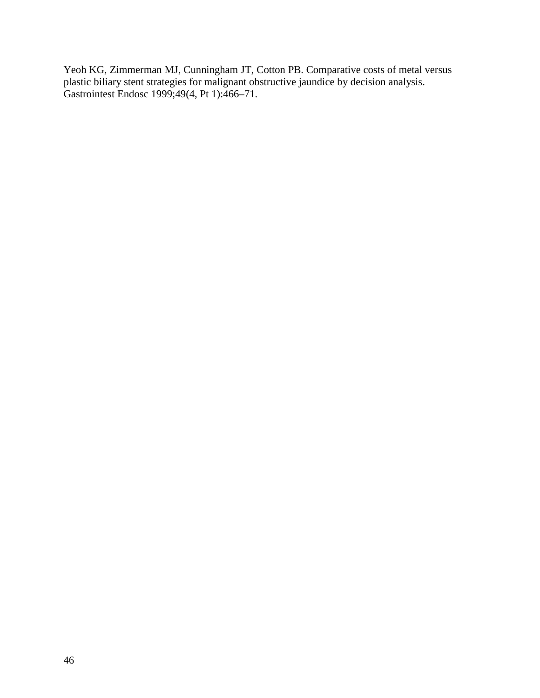Yeoh KG, Zimmerman MJ, Cunningham JT, Cotton PB. Comparative costs of metal versus plastic biliary stent strategies for malignant obstructive jaundice by decision analysis. Gastrointest Endosc 1999;49(4, Pt 1):466–71.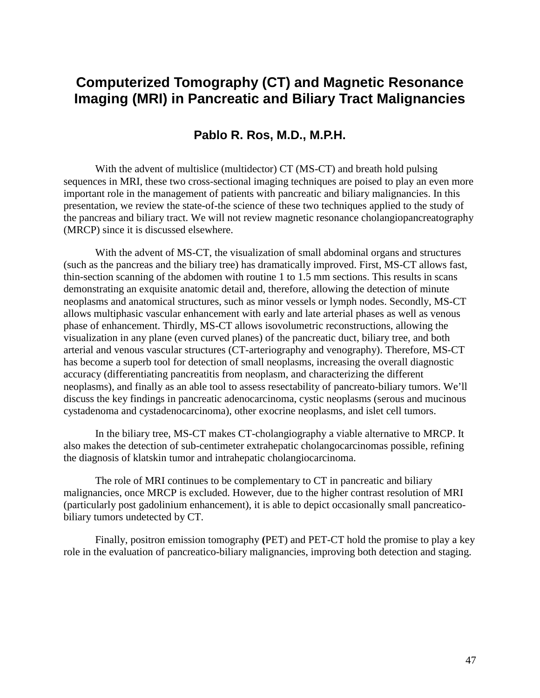# **Computerized Tomography (CT) and Magnetic Resonance Imaging (MRI) in Pancreatic and Biliary Tract Malignancies**

## **Pablo R. Ros, M.D., M.P.H.**

With the advent of multislice (multidector) CT (MS-CT) and breath hold pulsing sequences in MRI, these two cross-sectional imaging techniques are poised to play an even more important role in the management of patients with pancreatic and biliary malignancies. In this presentation, we review the state-of-the science of these two techniques applied to the study of the pancreas and biliary tract. We will not review magnetic resonance cholangiopancreatography (MRCP) since it is discussed elsewhere.

With the advent of MS-CT, the visualization of small abdominal organs and structures (such as the pancreas and the biliary tree) has dramatically improved. First, MS-CT allows fast, thin-section scanning of the abdomen with routine 1 to 1.5 mm sections. This results in scans demonstrating an exquisite anatomic detail and, therefore, allowing the detection of minute neoplasms and anatomical structures, such as minor vessels or lymph nodes. Secondly, MS-CT allows multiphasic vascular enhancement with early and late arterial phases as well as venous phase of enhancement. Thirdly, MS-CT allows isovolumetric reconstructions, allowing the visualization in any plane (even curved planes) of the pancreatic duct, biliary tree, and both arterial and venous vascular structures (CT-arteriography and venography). Therefore, MS-CT has become a superb tool for detection of small neoplasms, increasing the overall diagnostic accuracy (differentiating pancreatitis from neoplasm, and characterizing the different neoplasms), and finally as an able tool to assess resectability of pancreato-biliary tumors. We'll discuss the key findings in pancreatic adenocarcinoma, cystic neoplasms (serous and mucinous cystadenoma and cystadenocarcinoma), other exocrine neoplasms, and islet cell tumors.

 In the biliary tree, MS-CT makes CT-cholangiography a viable alternative to MRCP. It also makes the detection of sub-centimeter extrahepatic cholangocarcinomas possible, refining the diagnosis of klatskin tumor and intrahepatic cholangiocarcinoma.

The role of MRI continues to be complementary to CT in pancreatic and biliary malignancies, once MRCP is excluded. However, due to the higher contrast resolution of MRI (particularly post gadolinium enhancement), it is able to depict occasionally small pancreaticobiliary tumors undetected by CT.

 Finally, positron emission tomography **(**PET) and PET-CT hold the promise to play a key role in the evaluation of pancreatico-biliary malignancies, improving both detection and staging.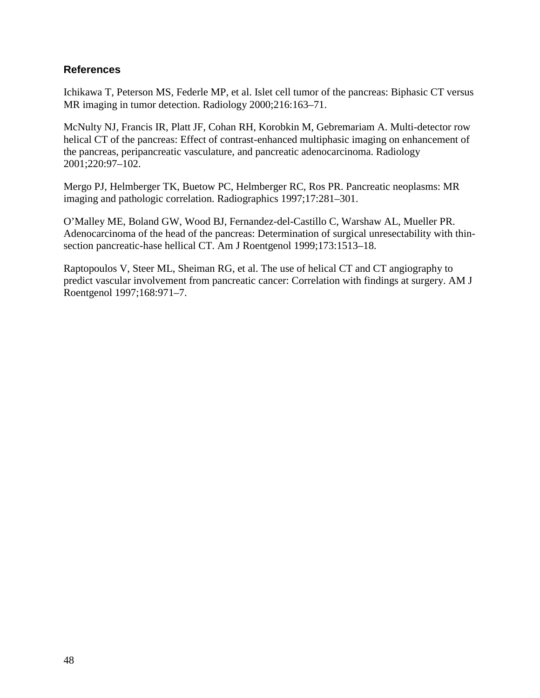## **References**

Ichikawa T, Peterson MS, Federle MP, et al. Islet cell tumor of the pancreas: Biphasic CT versus MR imaging in tumor detection. Radiology 2000;216:163–71.

McNulty NJ, Francis IR, Platt JF, Cohan RH, Korobkin M, Gebremariam A. Multi-detector row helical CT of the pancreas: Effect of contrast-enhanced multiphasic imaging on enhancement of the pancreas, peripancreatic vasculature, and pancreatic adenocarcinoma. Radiology 2001;220:97–102.

Mergo PJ, Helmberger TK, Buetow PC, Helmberger RC, Ros PR. Pancreatic neoplasms: MR imaging and pathologic correlation. Radiographics 1997;17:281–301.

O'Malley ME, Boland GW, Wood BJ, Fernandez-del-Castillo C, Warshaw AL, Mueller PR. Adenocarcinoma of the head of the pancreas: Determination of surgical unresectability with thinsection pancreatic-hase hellical CT. Am J Roentgenol 1999;173:1513–18.

Raptopoulos V, Steer ML, Sheiman RG, et al. The use of helical CT and CT angiography to predict vascular involvement from pancreatic cancer: Correlation with findings at surgery. AM J Roentgenol 1997;168:971–7.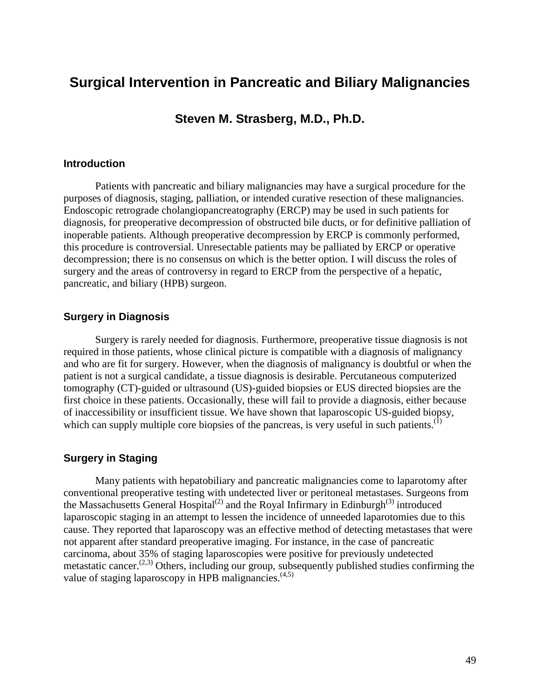# **Surgical Intervention in Pancreatic and Biliary Malignancies**

**Steven M. Strasberg, M.D., Ph.D.** 

#### **Introduction**

Patients with pancreatic and biliary malignancies may have a surgical procedure for the purposes of diagnosis, staging, palliation, or intended curative resection of these malignancies. Endoscopic retrograde cholangiopancreatography (ERCP) may be used in such patients for diagnosis, for preoperative decompression of obstructed bile ducts, or for definitive palliation of inoperable patients. Although preoperative decompression by ERCP is commonly performed, this procedure is controversial. Unresectable patients may be palliated by ERCP or operative decompression; there is no consensus on which is the better option. I will discuss the roles of surgery and the areas of controversy in regard to ERCP from the perspective of a hepatic, pancreatic, and biliary (HPB) surgeon.

### **Surgery in Diagnosis**

Surgery is rarely needed for diagnosis. Furthermore, preoperative tissue diagnosis is not required in those patients, whose clinical picture is compatible with a diagnosis of malignancy and who are fit for surgery. However, when the diagnosis of malignancy is doubtful or when the patient is not a surgical candidate, a tissue diagnosis is desirable. Percutaneous computerized tomography (CT)-guided or ultrasound (US)-guided biopsies or EUS directed biopsies are the first choice in these patients. Occasionally, these will fail to provide a diagnosis, either because of inaccessibility or insufficient tissue. We have shown that laparoscopic US-guided biopsy, which can supply multiple core biopsies of the pancreas, is very useful in such patients.<sup>(1)</sup>

#### **Surgery in Staging**

Many patients with hepatobiliary and pancreatic malignancies come to laparotomy after conventional preoperative testing with undetected liver or peritoneal metastases. Surgeons from the Massachusetts General Hospital<sup>(2)</sup> and the Royal Infirmary in Edinburgh<sup>(3)</sup> introduced laparoscopic staging in an attempt to lessen the incidence of unneeded laparotomies due to this cause. They reported that laparoscopy was an effective method of detecting metastases that were not apparent after standard preoperative imaging. For instance, in the case of pancreatic carcinoma, about 35% of staging laparoscopies were positive for previously undetected metastatic cancer.<sup>(2,3)</sup> Others, including our group, subsequently published studies confirming the value of staging laparoscopy in HPB malignancies. $(4,5)$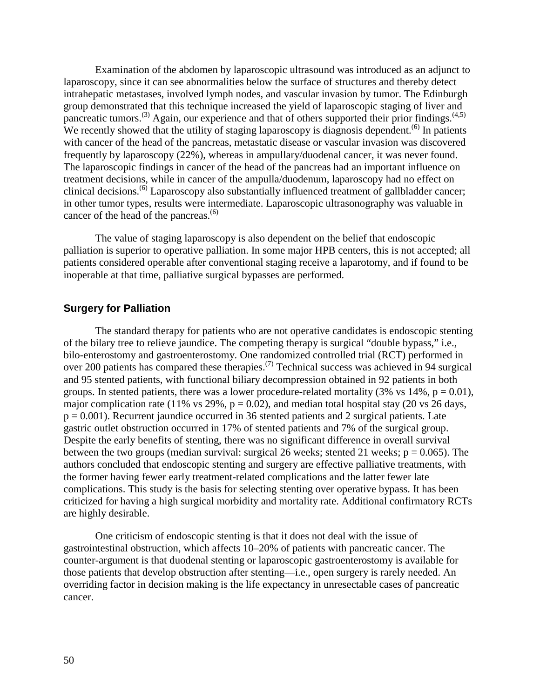Examination of the abdomen by laparoscopic ultrasound was introduced as an adjunct to laparoscopy, since it can see abnormalities below the surface of structures and thereby detect intrahepatic metastases, involved lymph nodes, and vascular invasion by tumor. The Edinburgh group demonstrated that this technique increased the yield of laparoscopic staging of liver and pancreatic tumors.<sup>(3)</sup> Again, our experience and that of others supported their prior findings.<sup>(4,5)</sup> We recently showed that the utility of staging laparoscopy is diagnosis dependent.<sup> $(6)$ </sup> In patients with cancer of the head of the pancreas, metastatic disease or vascular invasion was discovered frequently by laparoscopy (22%), whereas in ampullary/duodenal cancer, it was never found. The laparoscopic findings in cancer of the head of the pancreas had an important influence on treatment decisions, while in cancer of the ampulla/duodenum, laparoscopy had no effect on clinical decisions.(6) Laparoscopy also substantially influenced treatment of gallbladder cancer; in other tumor types, results were intermediate. Laparoscopic ultrasonography was valuable in cancer of the head of the pancreas. $(6)$ 

The value of staging laparoscopy is also dependent on the belief that endoscopic palliation is superior to operative palliation. In some major HPB centers, this is not accepted; all patients considered operable after conventional staging receive a laparotomy, and if found to be inoperable at that time, palliative surgical bypasses are performed.

#### **Surgery for Palliation**

The standard therapy for patients who are not operative candidates is endoscopic stenting of the bilary tree to relieve jaundice. The competing therapy is surgical "double bypass," i.e., bilo-enterostomy and gastroenterostomy. One randomized controlled trial (RCT) performed in over 200 patients has compared these therapies.<sup>(7)</sup> Technical success was achieved in 94 surgical and 95 stented patients, with functional biliary decompression obtained in 92 patients in both groups. In stented patients, there was a lower procedure-related mortality (3% vs  $14\%$ , p = 0.01), major complication rate (11% vs 29%,  $p = 0.02$ ), and median total hospital stay (20 vs 26 days,  $p = 0.001$ ). Recurrent jaundice occurred in 36 stented patients and 2 surgical patients. Late gastric outlet obstruction occurred in 17% of stented patients and 7% of the surgical group. Despite the early benefits of stenting, there was no significant difference in overall survival between the two groups (median survival: surgical 26 weeks; stented 21 weeks;  $p = 0.065$ ). The authors concluded that endoscopic stenting and surgery are effective palliative treatments, with the former having fewer early treatment-related complications and the latter fewer late complications. This study is the basis for selecting stenting over operative bypass. It has been criticized for having a high surgical morbidity and mortality rate. Additional confirmatory RCTs are highly desirable.

One criticism of endoscopic stenting is that it does not deal with the issue of gastrointestinal obstruction, which affects 10–20% of patients with pancreatic cancer. The counter-argument is that duodenal stenting or laparoscopic gastroenterostomy is available for those patients that develop obstruction after stenting—i.e., open surgery is rarely needed. An overriding factor in decision making is the life expectancy in unresectable cases of pancreatic cancer.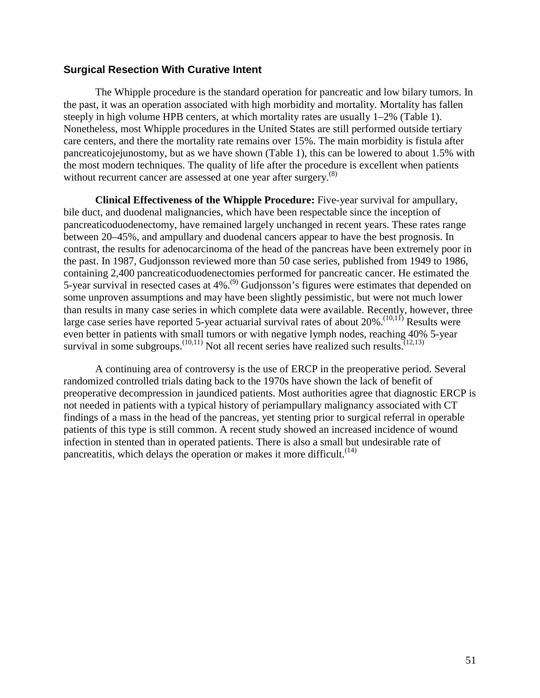### **Surgical Resection With Curative Intent**

 the past, it was an operation associated with high morbidity and mortality. Mortality has fallen The Whipple procedure is the standard operation for pancreatic and low bilary tumors. In steeply in high volume HPB centers, at which mortality rates are usually 1–2% (Table 1). Nonetheless, most Whipple procedures in the United States are still performed outside tertiary care centers, and there the mortality rate remains over 15%. The main morbidity is fistula after pancreaticojejunostomy, but as we have shown (Table 1), this can be lowered to about 1.5% with the most modern techniques. The quality of life after the procedure is excellent when patients without recurrent cancer are assessed at one year after surgery.<sup>(8)</sup>

**Clinical Effectiveness of the Whipple Procedure:** Five-year survival for ampullary, bile duct, and duodenal malignancies, which have been respectable since the inception of pancreaticoduodenectomy, have remained largely unchanged in recent years. These rates range between 20–45%, and ampullary and duodenal cancers appear to have the best prognosis. In contrast, the results for adenocarcinoma of the head of the pancreas have been extremely poor in the past. In 1987, Gudjonsson reviewed more than 50 case series, published from 1949 to 1986, containing 2,400 pancreaticoduodenectomies performed for pancreatic cancer. He estimated the 5-year survival in resected cases at  $4\%$ .<sup>(9)</sup> Gudjonsson's figures were estimates that depended on some unproven assumptions and may have been slightly pessimistic, but were not much lower than results in many case series in which complete data were available. Recently, however, three large case series have reported 5-year actuarial survival rates of about  $20\%$ .<sup>(10,11)</sup> Results were even better in patients with small tumors or with negative lymph nodes, reaching 40% 5-year survival in some subgroups.<sup> $(10,11)$ </sup> Not all recent series have realized such results.<sup> $(12,13)$ </sup>

A continuing area of controversy is the use of ERCP in the preoperative period. Several randomized controlled trials dating back to the 1970s have shown the lack of benefit of preoperative decompression in jaundiced patients. Most authorities agree that diagnostic ERCP is not needed in patients with a typical history of periampullary malignancy associated with CT findings of a mass in the head of the pancreas, yet stenting prior to surgical referral in operable patients of this type is still common. A recent study showed an increased incidence of wound infection in stented than in operated patients. There is also a small but undesirable rate of pancreatitis, which delays the operation or makes it more difficult.<sup> $(14)$ </sup>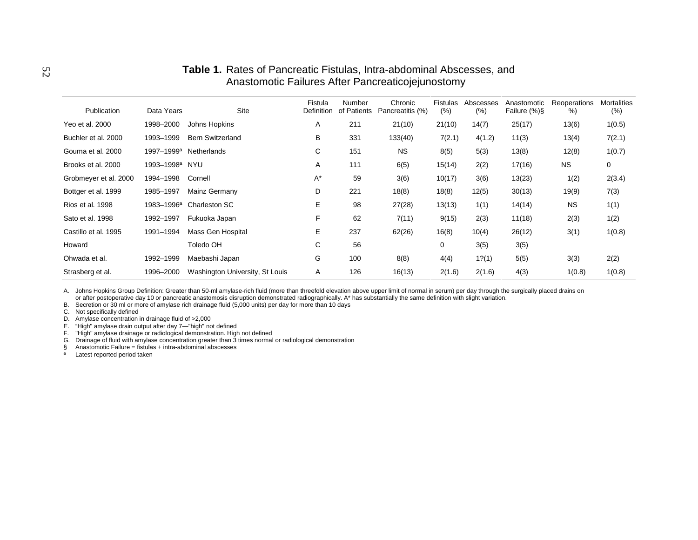### **Table 1.** Rates of Pancreatic Fistulas, Intra-abdominal Abscesses, and Anastomotic Failures After Pancreaticojejunostomy

| Publication           | Data Years             | Site                            | Fistula<br><b>Definition</b> | Number<br>of Patients | Chronic<br>Pancreatitis (%) | Fistulas<br>(%) | Abscesses<br>(%) | Anastomotic<br>Failure $(\%)\$ | Reoperations<br>% | <b>Mortalities</b><br>(% ) |
|-----------------------|------------------------|---------------------------------|------------------------------|-----------------------|-----------------------------|-----------------|------------------|--------------------------------|-------------------|----------------------------|
| Yeo et al. 2000       | 1998-2000              | Johns Hopkins                   | A                            | 211                   | 21(10)                      | 21(10)          | 14(7)            | 25(17)                         | 13(6)             | 1(0.5)                     |
| Buchler et al. 2000   | 1993-1999              | <b>Bern Switzerland</b>         | В                            | 331                   | 133(40)                     | 7(2.1)          | 4(1.2)           | 11(3)                          | 13(4)             | 7(2.1)                     |
| Gouma et al. 2000     | 1997-1999 <sup>a</sup> | <b>Netherlands</b>              | C                            | 151                   | <b>NS</b>                   | 8(5)            | 5(3)             | 13(8)                          | 12(8)             | 1(0.7)                     |
| Brooks et al. 2000    | 1993-1998 <sup>a</sup> | <b>NYU</b>                      | A                            | 111                   | 6(5)                        | 15(14)          | 2(2)             | 17(16)                         | <b>NS</b>         | 0                          |
| Grobmeyer et al. 2000 | 1994-1998              | Cornell                         | $A^*$                        | 59                    | 3(6)                        | 10(17)          | 3(6)             | 13(23)                         | 1(2)              | 2(3.4)                     |
| Bottger et al. 1999   | 1985-1997              | Mainz Germany                   | D                            | 221                   | 18(8)                       | 18(8)           | 12(5)            | 30(13)                         | 19(9)             | 7(3)                       |
| Rios et al. 1998      | 1983-1996 <sup>a</sup> | Charleston SC                   | E                            | 98                    | 27(28)                      | 13(13)          | 1(1)             | 14(14)                         | <b>NS</b>         | 1(1)                       |
| Sato et al. 1998      | 1992-1997              | Fukuoka Japan                   | F                            | 62                    | 7(11)                       | 9(15)           | 2(3)             | 11(18)                         | 2(3)              | 1(2)                       |
| Castillo et al. 1995  | 1991-1994              | Mass Gen Hospital               | E                            | 237                   | 62(26)                      | 16(8)           | 10(4)            | 26(12)                         | 3(1)              | 1(0.8)                     |
| Howard                |                        | Toledo OH                       | C                            | 56                    |                             | 0               | 3(5)             | 3(5)                           |                   |                            |
| Ohwada et al.         | 1992-1999              | Maebashi Japan                  | G                            | 100                   | 8(8)                        | 4(4)            | 1?(1)            | 5(5)                           | 3(3)              | 2(2)                       |
| Strasberg et al.      | 1996-2000              | Washington University, St Louis | A                            | 126                   | 16(13)                      | 2(1.6)          | 2(1.6)           | 4(3)                           | 1(0.8)            | 1(0.8)                     |

A. Johns Hopkins Group Definition: Greater than 50-ml amylase-rich fluid (more than threefold elevation above upper limit of normal in serum) per day through the surgically placed drains on or after postoperative day 10 or pancreatic anastomosis disruption demonstrated radiographically. A\* has substantially the same definition with slight variation.

B. Secretion or 30 ml or more of amylase rich drainage fluid (5,000 units) per day for more than 10 days

C. Not specifically defined

D. Amylase concentration in drainage fluid of >2,000

E. "High" amylase drain output after day 7—"high" not defined

F. "High" amylase drainage or radiological demonstration. High not defined<br>G. Drainage of fluid with amylase concentration greater than 3 times normal or radiological demonstration<br>§ Anastomotic Failure = fistulas

 $\S$  Anastomotic Failure = fistulas<br><sup>a</sup> Latest reported period taken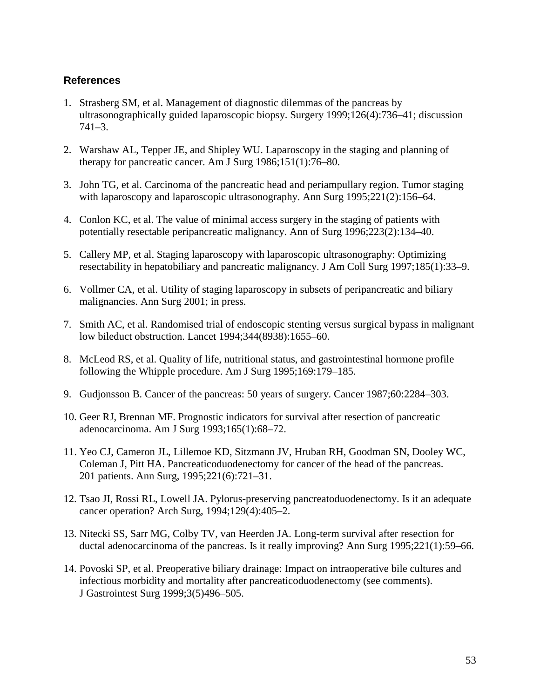## **References**

- 1. Strasberg SM, et al. Management of diagnostic dilemmas of the pancreas by ultrasonographically guided laparoscopic biopsy. Surgery 1999;126(4):736–41; discussion 741–3.
- 2. Warshaw AL, Tepper JE, and Shipley WU. Laparoscopy in the staging and planning of therapy for pancreatic cancer. Am J Surg 1986;151(1):76–80.
- 3. John TG, et al. Carcinoma of the pancreatic head and periampullary region. Tumor staging with laparoscopy and laparoscopic ultrasonography. Ann Surg 1995;221(2):156–64.
- 4. Conlon KC, et al. The value of minimal access surgery in the staging of patients with potentially resectable peripancreatic malignancy. Ann of Surg 1996;223(2):134–40.
- 5. Callery MP, et al. Staging laparoscopy with laparoscopic ultrasonography: Optimizing resectability in hepatobiliary and pancreatic malignancy. J Am Coll Surg 1997;185(1):33–9.
- 6. Vollmer CA, et al. Utility of staging laparoscopy in subsets of peripancreatic and biliary malignancies. Ann Surg 2001; in press.
- 7. Smith AC, et al. Randomised trial of endoscopic stenting versus surgical bypass in malignant low bileduct obstruction. Lancet 1994;344(8938):1655–60.
- 8. McLeod RS, et al. Quality of life, nutritional status, and gastrointestinal hormone profile following the Whipple procedure. Am J Surg 1995;169:179–185.
- 9. Gudjonsson B. Cancer of the pancreas: 50 years of surgery. Cancer 1987;60:2284–303.
- 10. Geer RJ, Brennan MF. Prognostic indicators for survival after resection of pancreatic adenocarcinoma. Am J Surg 1993;165(1):68–72.
- 11. Yeo CJ, Cameron JL, Lillemoe KD, Sitzmann JV, Hruban RH, Goodman SN, Dooley WC, Coleman J, Pitt HA. Pancreaticoduodenectomy for cancer of the head of the pancreas. 201 patients. Ann Surg, 1995;221(6):721–31.
- 12. Tsao JI, Rossi RL, Lowell JA. Pylorus-preserving pancreatoduodenectomy. Is it an adequate cancer operation? Arch Surg, 1994;129(4):405–2.
- 13. Nitecki SS, Sarr MG, Colby TV, van Heerden JA. Long-term survival after resection for ductal adenocarcinoma of the pancreas. Is it really improving? Ann Surg 1995;221(1):59–66.
- 14. Povoski SP, et al. Preoperative biliary drainage: Impact on intraoperative bile cultures and infectious morbidity and mortality after pancreaticoduodenectomy (see comments). J Gastrointest Surg 1999;3(5)496–505.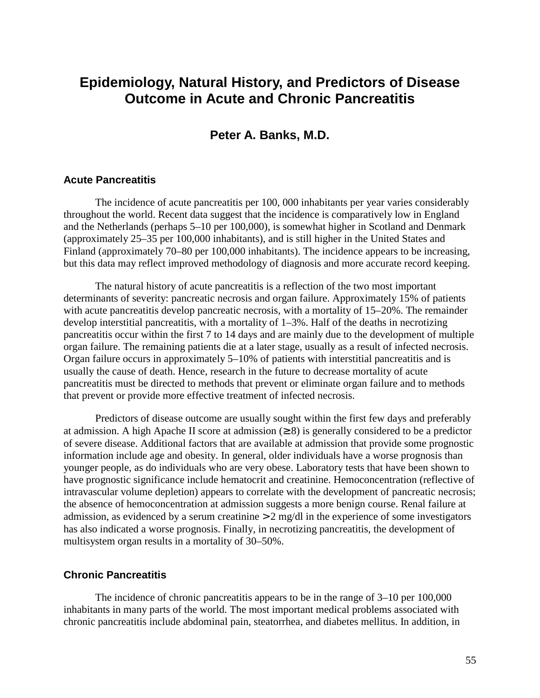# **Epidemiology, Natural History, and Predictors of Disease Outcome in Acute and Chronic Pancreatitis**

## **Peter A. Banks, M.D.**

#### **Acute Pancreatitis**

 but this data may reflect improved methodology of diagnosis and more accurate record keeping. The incidence of acute pancreatitis per 100, 000 inhabitants per year varies considerably throughout the world. Recent data suggest that the incidence is comparatively low in England and the Netherlands (perhaps 5–10 per 100,000), is somewhat higher in Scotland and Denmark (approximately 25–35 per 100,000 inhabitants), and is still higher in the United States and Finland (approximately 70–80 per 100,000 inhabitants). The incidence appears to be increasing,

The natural history of acute pancreatitis is a reflection of the two most important determinants of severity: pancreatic necrosis and organ failure. Approximately 15% of patients with acute pancreatitis develop pancreatic necrosis, with a mortality of 15–20%. The remainder develop interstitial pancreatitis, with a mortality of 1–3%. Half of the deaths in necrotizing pancreatitis occur within the first 7 to 14 days and are mainly due to the development of multiple organ failure. The remaining patients die at a later stage, usually as a result of infected necrosis. Organ failure occurs in approximately 5–10% of patients with interstitial pancreatitis and is usually the cause of death. Hence, research in the future to decrease mortality of acute pancreatitis must be directed to methods that prevent or eliminate organ failure and to methods that prevent or provide more effective treatment of infected necrosis.

Predictors of disease outcome are usually sought within the first few days and preferably at admission. A high Apache II score at admission  $(\geq 8)$  is generally considered to be a predictor of severe disease. Additional factors that are available at admission that provide some prognostic information include age and obesity. In general, older individuals have a worse prognosis than younger people, as do individuals who are very obese. Laboratory tests that have been shown to have prognostic significance include hematocrit and creatinine. Hemoconcentration (reflective of intravascular volume depletion) appears to correlate with the development of pancreatic necrosis; the absence of hemoconcentration at admission suggests a more benign course. Renal failure at admission, as evidenced by a serum creatinine  $> 2$  mg/dl in the experience of some investigators has also indicated a worse prognosis. Finally, in necrotizing pancreatitis, the development of multisystem organ results in a mortality of 30–50%.

#### **Chronic Pancreatitis**

The incidence of chronic pancreatitis appears to be in the range of 3–10 per 100,000 inhabitants in many parts of the world. The most important medical problems associated with chronic pancreatitis include abdominal pain, steatorrhea, and diabetes mellitus. In addition, in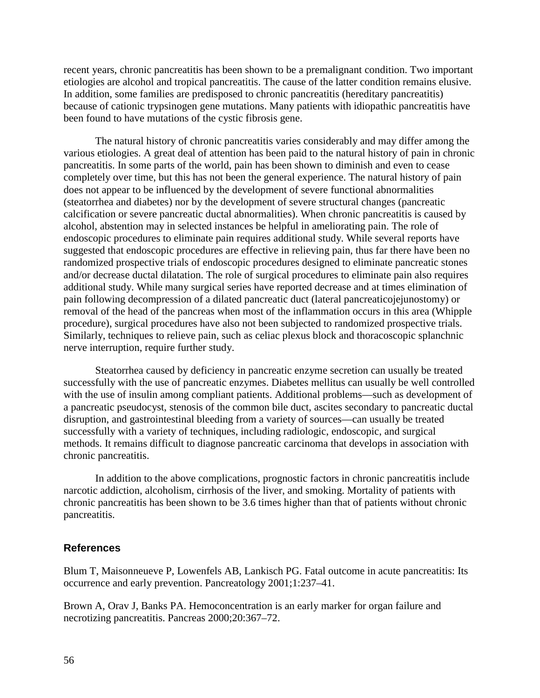recent years, chronic pancreatitis has been shown to be a premalignant condition. Two important etiologies are alcohol and tropical pancreatitis. The cause of the latter condition remains elusive. In addition, some families are predisposed to chronic pancreatitis (hereditary pancreatitis) because of cationic trypsinogen gene mutations. Many patients with idiopathic pancreatitis have been found to have mutations of the cystic fibrosis gene.

nerve interruption, require further study. The natural history of chronic pancreatitis varies considerably and may differ among the various etiologies. A great deal of attention has been paid to the natural history of pain in chronic pancreatitis. In some parts of the world, pain has been shown to diminish and even to cease completely over time, but this has not been the general experience. The natural history of pain does not appear to be influenced by the development of severe functional abnormalities (steatorrhea and diabetes) nor by the development of severe structural changes (pancreatic calcification or severe pancreatic ductal abnormalities). When chronic pancreatitis is caused by alcohol, abstention may in selected instances be helpful in ameliorating pain. The role of endoscopic procedures to eliminate pain requires additional study. While several reports have suggested that endoscopic procedures are effective in relieving pain, thus far there have been no randomized prospective trials of endoscopic procedures designed to eliminate pancreatic stones and/or decrease ductal dilatation. The role of surgical procedures to eliminate pain also requires additional study. While many surgical series have reported decrease and at times elimination of pain following decompression of a dilated pancreatic duct (lateral pancreaticojejunostomy) or removal of the head of the pancreas when most of the inflammation occurs in this area (Whipple procedure), surgical procedures have also not been subjected to randomized prospective trials. Similarly, techniques to relieve pain, such as celiac plexus block and thoracoscopic splanchnic

Steatorrhea caused by deficiency in pancreatic enzyme secretion can usually be treated successfully with the use of pancreatic enzymes. Diabetes mellitus can usually be well controlled with the use of insulin among compliant patients. Additional problems—such as development of a pancreatic pseudocyst, stenosis of the common bile duct, ascites secondary to pancreatic ductal disruption, and gastrointestinal bleeding from a variety of sources—can usually be treated successfully with a variety of techniques, including radiologic, endoscopic, and surgical methods. It remains difficult to diagnose pancreatic carcinoma that develops in association with chronic pancreatitis.

In addition to the above complications, prognostic factors in chronic pancreatitis include narcotic addiction, alcoholism, cirrhosis of the liver, and smoking. Mortality of patients with chronic pancreatitis has been shown to be 3.6 times higher than that of patients without chronic pancreatitis.

### **References**

Blum T, Maisonneueve P, Lowenfels AB, Lankisch PG. Fatal outcome in acute pancreatitis: Its occurrence and early prevention. Pancreatology 2001;1:237–41.

Brown A, Orav J, Banks PA. Hemoconcentration is an early marker for organ failure and necrotizing pancreatitis. Pancreas 2000;20:367–72.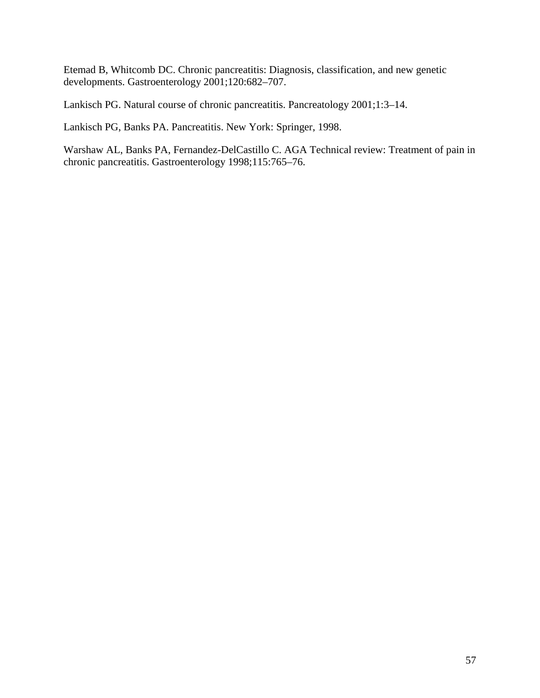Etemad B, Whitcomb DC. Chronic pancreatitis: Diagnosis, classification, and new genetic developments. Gastroenterology 2001;120:682–707.

Lankisch PG. Natural course of chronic pancreatitis. Pancreatology 2001;1:3–14.

Lankisch PG, Banks PA. Pancreatitis. New York: Springer, 1998.

Warshaw AL, Banks PA, Fernandez-DelCastillo C. AGA Technical review: Treatment of pain in chronic pancreatitis. Gastroenterology 1998;115:765–76.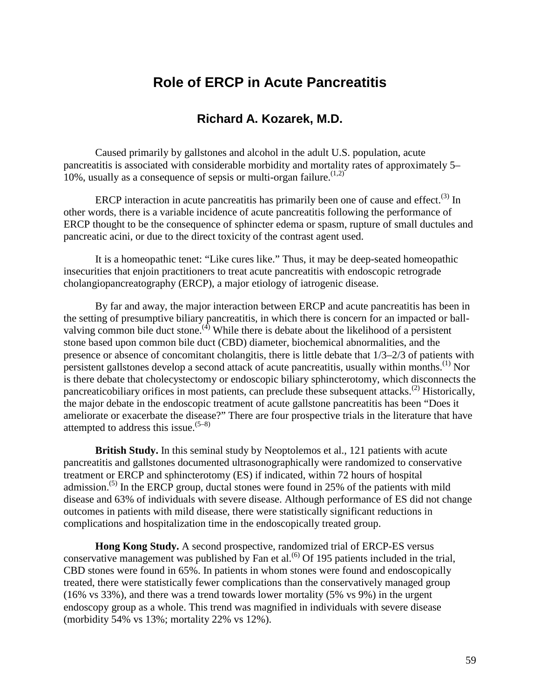# **Role of ERCP in Acute Pancreatitis**

# **Richard A. Kozarek, M.D.**

Caused primarily by gallstones and alcohol in the adult U.S. population, acute pancreatitis is associated with considerable morbidity and mortality rates of approximately 5– 10%, usually as a consequence of sepsis or multi-organ failure.<sup> $(1,2)$ </sup>

ERCP interaction in acute pancreatitis has primarily been one of cause and effect.<sup>(3)</sup> In other words, there is a variable incidence of acute pancreatitis following the performance of ERCP thought to be the consequence of sphincter edema or spasm, rupture of small ductules and pancreatic acini, or due to the direct toxicity of the contrast agent used.

It is a homeopathic tenet: "Like cures like." Thus, it may be deep-seated homeopathic insecurities that enjoin practitioners to treat acute pancreatitis with endoscopic retrograde cholangiopancreatography (ERCP), a major etiology of iatrogenic disease.

By far and away, the major interaction between ERCP and acute pancreatitis has been in the setting of presumptive biliary pancreatitis, in which there is concern for an impacted or ballvalving common bile duct stone.<sup> $(4)$ </sup> While there is debate about the likelihood of a persistent stone based upon common bile duct (CBD) diameter, biochemical abnormalities, and the presence or absence of concomitant cholangitis, there is little debate that 1/3–2/3 of patients with persistent gallstones develop a second attack of acute pancreatitis, usually within months.<sup>(1)</sup> Nor is there debate that cholecystectomy or endoscopic biliary sphincterotomy, which disconnects the pancreaticobiliary orifices in most patients, can preclude these subsequent attacks.(2) Historically, the major debate in the endoscopic treatment of acute gallstone pancreatitis has been "Does it ameliorate or exacerbate the disease?" There are four prospective trials in the literature that have attempted to address this issue.  $(5-8)$ 

**British Study.** In this seminal study by Neoptolemos et al., 121 patients with acute pancreatitis and gallstones documented ultrasonographically were randomized to conservative treatment or ERCP and sphincterotomy (ES) if indicated, within 72 hours of hospital admission.<sup>(5)</sup> In the ERCP group, ductal stones were found in 25% of the patients with mild disease and 63% of individuals with severe disease. Although performance of ES did not change outcomes in patients with mild disease, there were statistically significant reductions in complications and hospitalization time in the endoscopically treated group.

**Hong Kong Study.** A second prospective, randomized trial of ERCP-ES versus conservative management was published by Fan et al.<sup> $(6)$ </sup> Of 195 patients included in the trial, CBD stones were found in 65%. In patients in whom stones were found and endoscopically treated, there were statistically fewer complications than the conservatively managed group (16% vs 33%), and there was a trend towards lower mortality (5% vs 9%) in the urgent endoscopy group as a whole. This trend was magnified in individuals with severe disease (morbidity 54% vs 13%; mortality 22% vs 12%).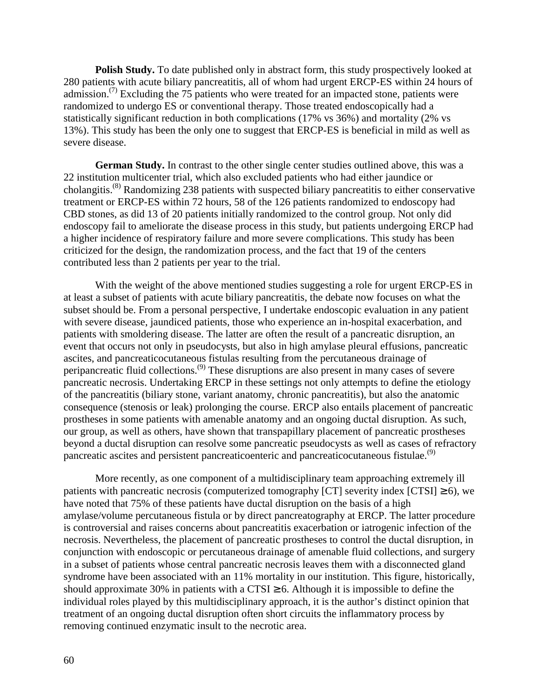**Polish Study.** To date published only in abstract form, this study prospectively looked at 280 patients with acute biliary pancreatitis, all of whom had urgent ERCP-ES within 24 hours of admission.<sup> $(7)$ </sup> Excluding the 75 patients who were treated for an impacted stone, patients were randomized to undergo ES or conventional therapy. Those treated endoscopically had a statistically significant reduction in both complications (17% vs 36%) and mortality (2% vs 13%). This study has been the only one to suggest that ERCP-ES is beneficial in mild as well as severe disease.

**German Study.** In contrast to the other single center studies outlined above, this was a 22 institution multicenter trial, which also excluded patients who had either jaundice or cholangitis.(8) Randomizing 238 patients with suspected biliary pancreatitis to either conservative treatment or ERCP-ES within 72 hours, 58 of the 126 patients randomized to endoscopy had CBD stones, as did 13 of 20 patients initially randomized to the control group. Not only did endoscopy fail to ameliorate the disease process in this study, but patients undergoing ERCP had a higher incidence of respiratory failure and more severe complications. This study has been criticized for the design, the randomization process, and the fact that 19 of the centers contributed less than 2 patients per year to the trial.

pancreatic ascites and persistent pancreaticoenteric and pancreaticocutaneous fistulae.<sup>(9)</sup> With the weight of the above mentioned studies suggesting a role for urgent ERCP-ES in at least a subset of patients with acute biliary pancreatitis, the debate now focuses on what the subset should be. From a personal perspective, I undertake endoscopic evaluation in any patient with severe disease, jaundiced patients, those who experience an in-hospital exacerbation, and patients with smoldering disease. The latter are often the result of a pancreatic disruption, an event that occurs not only in pseudocysts, but also in high amylase pleural effusions, pancreatic ascites, and pancreaticocutaneous fistulas resulting from the percutaneous drainage of peripancreatic fluid collections.(9) These disruptions are also present in many cases of severe pancreatic necrosis. Undertaking ERCP in these settings not only attempts to define the etiology of the pancreatitis (biliary stone, variant anatomy, chronic pancreatitis), but also the anatomic consequence (stenosis or leak) prolonging the course. ERCP also entails placement of pancreatic prostheses in some patients with amenable anatomy and an ongoing ductal disruption. As such, our group, as well as others, have shown that transpapillary placement of pancreatic prostheses beyond a ductal disruption can resolve some pancreatic pseudocysts as well as cases of refractory

patients with pancreatic necrosis (computerized tomography [CT] severity index [CTSI]  $\geq$  6), we More recently, as one component of a multidisciplinary team approaching extremely ill have noted that 75% of these patients have ductal disruption on the basis of a high amylase/volume percutaneous fistula or by direct pancreatography at ERCP. The latter procedure is controversial and raises concerns about pancreatitis exacerbation or iatrogenic infection of the necrosis. Nevertheless, the placement of pancreatic prostheses to control the ductal disruption, in conjunction with endoscopic or percutaneous drainage of amenable fluid collections, and surgery in a subset of patients whose central pancreatic necrosis leaves them with a disconnected gland syndrome have been associated with an 11% mortality in our institution. This figure, historically, should approximate 30% in patients with a CTSI  $\geq$  6. Although it is impossible to define the individual roles played by this multidisciplinary approach, it is the author's distinct opinion that treatment of an ongoing ductal disruption often short circuits the inflammatory process by removing continued enzymatic insult to the necrotic area.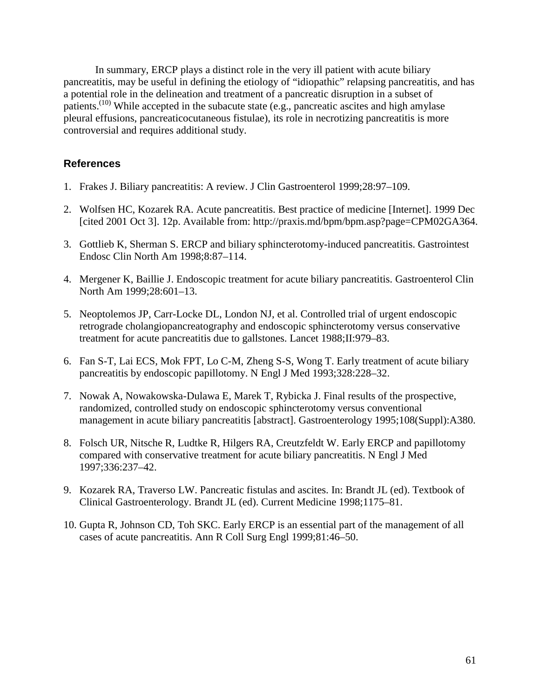controversial and requires additional study. In summary, ERCP plays a distinct role in the very ill patient with acute biliary pancreatitis, may be useful in defining the etiology of "idiopathic" relapsing pancreatitis, and has a potential role in the delineation and treatment of a pancreatic disruption in a subset of patients.<sup> $(10)$ </sup> While accepted in the subacute state (e.g., pancreatic ascites and high amylase pleural effusions, pancreaticocutaneous fistulae), its role in necrotizing pancreatitis is more

### **References**

- 1. Frakes J. Biliary pancreatitis: A review. J Clin Gastroenterol 1999;28:97–109.
- 2. Wolfsen HC, Kozarek RA. Acute pancreatitis. Best practice of medicine [Internet]. 1999 Dec [cited 2001 Oct 3]. 12p. Available from: http://praxis.md/bpm/bpm.asp?page=CPM02GA364.
- 3. Gottlieb K, Sherman S. ERCP and biliary sphincterotomy-induced pancreatitis. Gastrointest Endosc Clin North Am 1998;8:87–114.
- 4. Mergener K, Baillie J. Endoscopic treatment for acute biliary pancreatitis. Gastroenterol Clin North Am 1999;28:601–13.
- 5. Neoptolemos JP, Carr-Locke DL, London NJ, et al. Controlled trial of urgent endoscopic retrograde cholangiopancreatography and endoscopic sphincterotomy versus conservative treatment for acute pancreatitis due to gallstones. Lancet 1988;II:979–83.
- 6. Fan S-T, Lai ECS, Mok FPT, Lo C-M, Zheng S-S, Wong T. Early treatment of acute biliary pancreatitis by endoscopic papillotomy. N Engl J Med 1993;328:228–32.
- 7. Nowak A, Nowakowska-Dulawa E, Marek T, Rybicka J. Final results of the prospective, randomized, controlled study on endoscopic sphincterotomy versus conventional management in acute biliary pancreatitis [abstract]. Gastroenterology 1995;108(Suppl):A380.
- 8. Folsch UR, Nitsche R, Ludtke R, Hilgers RA, Creutzfeldt W. Early ERCP and papillotomy compared with conservative treatment for acute biliary pancreatitis. N Engl J Med 1997;336:237–42.
- Clinical Gastroenterology. Brandt JL (ed). Current Medicine 1998;1175–81. 9. Kozarek RA, Traverso LW. Pancreatic fistulas and ascites. In: Brandt JL (ed). Textbook of
- 10. Gupta R, Johnson CD, Toh SKC. Early ERCP is an essential part of the management of all cases of acute pancreatitis. Ann R Coll Surg Engl 1999;81:46–50.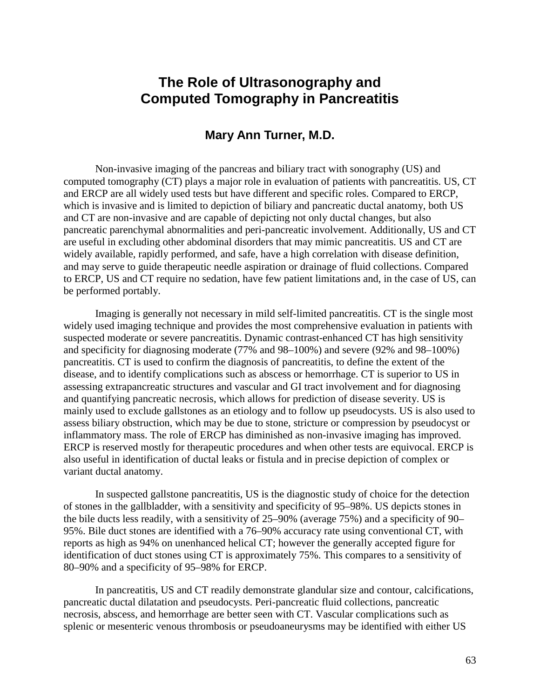# **The Role of Ultrasonography and Computed Tomography in Pancreatitis**

## **Mary Ann Turner, M.D.**

Non-invasive imaging of the pancreas and biliary tract with sonography (US) and computed tomography (CT) plays a major role in evaluation of patients with pancreatitis. US, CT and ERCP are all widely used tests but have different and specific roles. Compared to ERCP, which is invasive and is limited to depiction of biliary and pancreatic ductal anatomy, both US and CT are non-invasive and are capable of depicting not only ductal changes, but also pancreatic parenchymal abnormalities and peri-pancreatic involvement. Additionally, US and CT are useful in excluding other abdominal disorders that may mimic pancreatitis. US and CT are widely available, rapidly performed, and safe, have a high correlation with disease definition, and may serve to guide therapeutic needle aspiration or drainage of fluid collections. Compared to ERCP, US and CT require no sedation, have few patient limitations and, in the case of US, can be performed portably.

Imaging is generally not necessary in mild self-limited pancreatitis. CT is the single most widely used imaging technique and provides the most comprehensive evaluation in patients with suspected moderate or severe pancreatitis. Dynamic contrast-enhanced CT has high sensitivity and specificity for diagnosing moderate (77% and 98–100%) and severe (92% and 98–100%) pancreatitis. CT is used to confirm the diagnosis of pancreatitis, to define the extent of the disease, and to identify complications such as abscess or hemorrhage. CT is superior to US in assessing extrapancreatic structures and vascular and GI tract involvement and for diagnosing and quantifying pancreatic necrosis, which allows for prediction of disease severity. US is mainly used to exclude gallstones as an etiology and to follow up pseudocysts. US is also used to assess biliary obstruction, which may be due to stone, stricture or compression by pseudocyst or inflammatory mass. The role of ERCP has diminished as non-invasive imaging has improved. ERCP is reserved mostly for therapeutic procedures and when other tests are equivocal. ERCP is also useful in identification of ductal leaks or fistula and in precise depiction of complex or variant ductal anatomy.

In suspected gallstone pancreatitis, US is the diagnostic study of choice for the detection of stones in the gallbladder, with a sensitivity and specificity of 95–98%. US depicts stones in the bile ducts less readily, with a sensitivity of 25–90% (average 75%) and a specificity of 90– 95%. Bile duct stones are identified with a 76–90% accuracy rate using conventional CT, with reports as high as 94% on unenhanced helical CT; however the generally accepted figure for identification of duct stones using CT is approximately 75%. This compares to a sensitivity of 80–90% and a specificity of 95–98% for ERCP.

In pancreatitis, US and CT readily demonstrate glandular size and contour, calcifications, pancreatic ductal dilatation and pseudocysts. Peri-pancreatic fluid collections, pancreatic necrosis, abscess, and hemorrhage are better seen with CT. Vascular complications such as splenic or mesenteric venous thrombosis or pseudoaneurysms may be identified with either US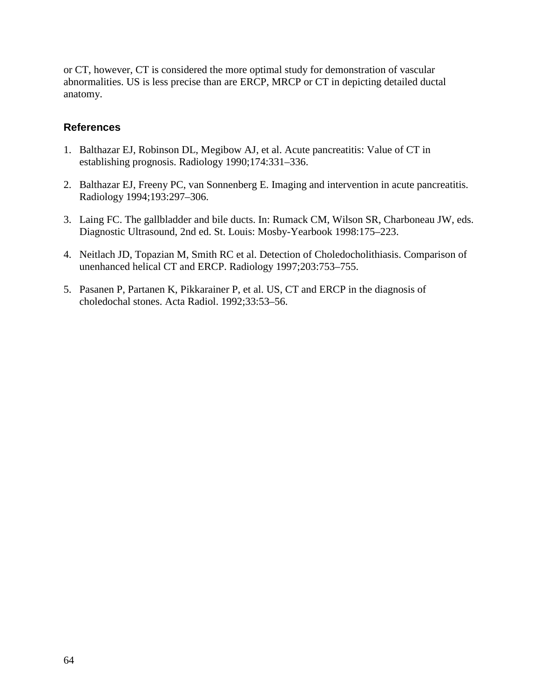or CT, however, CT is considered the more optimal study for demonstration of vascular abnormalities. US is less precise than are ERCP, MRCP or CT in depicting detailed ductal anatomy.

### **References**

- 1. Balthazar EJ, Robinson DL, Megibow AJ, et al. Acute pancreatitis: Value of CT in establishing prognosis. Radiology 1990;174:331–336.
- 2. Balthazar EJ, Freeny PC, van Sonnenberg E. Imaging and intervention in acute pancreatitis. Radiology 1994;193:297–306.
- 3. Laing FC. The gallbladder and bile ducts. In: Rumack CM, Wilson SR, Charboneau JW, eds. Diagnostic Ultrasound, 2nd ed. St. Louis: Mosby-Yearbook 1998:175–223.
- 4. Neitlach JD, Topazian M, Smith RC et al. Detection of Choledocholithiasis. Comparison of unenhanced helical CT and ERCP. Radiology 1997;203:753–755.
- 5. Pasanen P, Partanen K, Pikkarainer P, et al. US, CT and ERCP in the diagnosis of choledochal stones. Acta Radiol. 1992;33:53–56.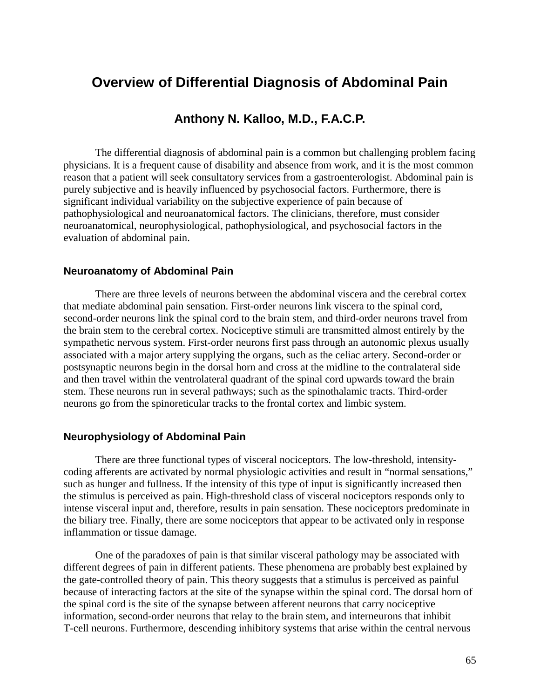# **Overview of Differential Diagnosis of Abdominal Pain**

## **Anthony N. Kalloo, M.D., F.A.C.P.**

 physicians. It is a frequent cause of disability and absence from work, and it is the most common The differential diagnosis of abdominal pain is a common but challenging problem facing reason that a patient will seek consultatory services from a gastroenterologist. Abdominal pain is purely subjective and is heavily influenced by psychosocial factors. Furthermore, there is significant individual variability on the subjective experience of pain because of pathophysiological and neuroanatomical factors. The clinicians, therefore, must consider neuroanatomical, neurophysiological, pathophysiological, and psychosocial factors in the evaluation of abdominal pain.

#### **Neuroanatomy of Abdominal Pain**

 There are three levels of neurons between the abdominal viscera and the cerebral cortex that mediate abdominal pain sensation. First-order neurons link viscera to the spinal cord, second-order neurons link the spinal cord to the brain stem, and third-order neurons travel from the brain stem to the cerebral cortex. Nociceptive stimuli are transmitted almost entirely by the sympathetic nervous system. First-order neurons first pass through an autonomic plexus usually associated with a major artery supplying the organs, such as the celiac artery. Second-order or postsynaptic neurons begin in the dorsal horn and cross at the midline to the contralateral side and then travel within the ventrolateral quadrant of the spinal cord upwards toward the brain stem. These neurons run in several pathways; such as the spinothalamic tracts. Third-order neurons go from the spinoreticular tracks to the frontal cortex and limbic system.

#### **Neurophysiology of Abdominal Pain**

There are three functional types of visceral nociceptors. The low-threshold, intensitycoding afferents are activated by normal physiologic activities and result in "normal sensations," such as hunger and fullness. If the intensity of this type of input is significantly increased then the stimulus is perceived as pain. High-threshold class of visceral nociceptors responds only to intense visceral input and, therefore, results in pain sensation. These nociceptors predominate in the biliary tree. Finally, there are some nociceptors that appear to be activated only in response inflammation or tissue damage.

One of the paradoxes of pain is that similar visceral pathology may be associated with different degrees of pain in different patients. These phenomena are probably best explained by the gate-controlled theory of pain. This theory suggests that a stimulus is perceived as painful because of interacting factors at the site of the synapse within the spinal cord. The dorsal horn of the spinal cord is the site of the synapse between afferent neurons that carry nociceptive information, second-order neurons that relay to the brain stem, and interneurons that inhibit T-cell neurons. Furthermore, descending inhibitory systems that arise within the central nervous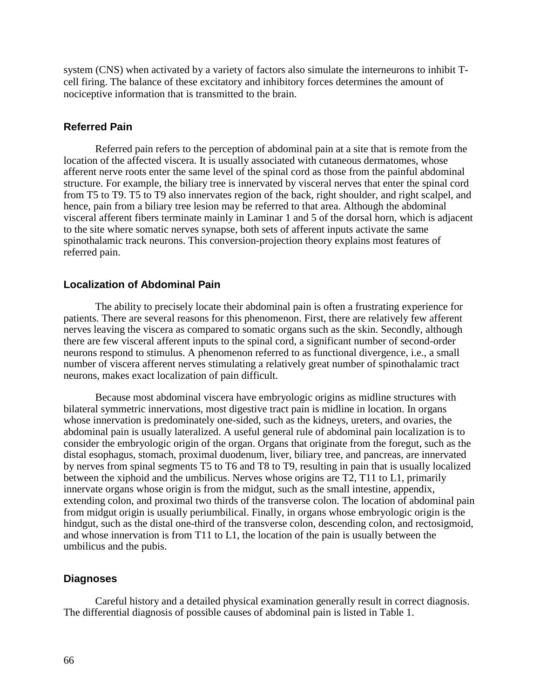system (CNS) when activated by a variety of factors also simulate the interneurons to inhibit Tcell firing. The balance of these excitatory and inhibitory forces determines the amount of nociceptive information that is transmitted to the brain.

#### **Referred Pain**

Referred pain refers to the perception of abdominal pain at a site that is remote from the location of the affected viscera. It is usually associated with cutaneous dermatomes, whose afferent nerve roots enter the same level of the spinal cord as those from the painful abdominal structure. For example, the biliary tree is innervated by visceral nerves that enter the spinal cord from T5 to T9. T5 to T9 also innervates region of the back, right shoulder, and right scalpel, and hence, pain from a biliary tree lesion may be referred to that area. Although the abdominal visceral afferent fibers terminate mainly in Laminar 1 and 5 of the dorsal horn, which is adjacent to the site where somatic nerves synapse, both sets of afferent inputs activate the same spinothalamic track neurons. This conversion-projection theory explains most features of referred pain.

#### **Localization of Abdominal Pain**

 number of viscera afferent nerves stimulating a relatively great number of spinothalamic tract The ability to precisely locate their abdominal pain is often a frustrating experience for patients. There are several reasons for this phenomenon. First, there are relatively few afferent nerves leaving the viscera as compared to somatic organs such as the skin. Secondly, although there are few visceral afferent inputs to the spinal cord, a significant number of second-order neurons respond to stimulus. A phenomenon referred to as functional divergence, i.e., a small neurons, makes exact localization of pain difficult.

 consider the embryologic origin of the organ. Organs that originate from the foregut, such as the Because most abdominal viscera have embryologic origins as midline structures with bilateral symmetric innervations, most digestive tract pain is midline in location. In organs whose innervation is predominately one-sided, such as the kidneys, ureters, and ovaries, the abdominal pain is usually lateralized. A useful general rule of abdominal pain localization is to distal esophagus, stomach, proximal duodenum, liver, biliary tree, and pancreas, are innervated by nerves from spinal segments T5 to T6 and T8 to T9, resulting in pain that is usually localized between the xiphoid and the umbilicus. Nerves whose origins are T2, T11 to L1, primarily innervate organs whose origin is from the midgut, such as the small intestine, appendix, extending colon, and proximal two thirds of the transverse colon. The location of abdominal pain from midgut origin is usually periumbilical. Finally, in organs whose embryologic origin is the hindgut, such as the distal one-third of the transverse colon, descending colon, and rectosigmoid, and whose innervation is from T11 to L1, the location of the pain is usually between the umbilicus and the pubis.

#### **Diagnoses**

Careful history and a detailed physical examination generally result in correct diagnosis. The differential diagnosis of possible causes of abdominal pain is listed in Table 1.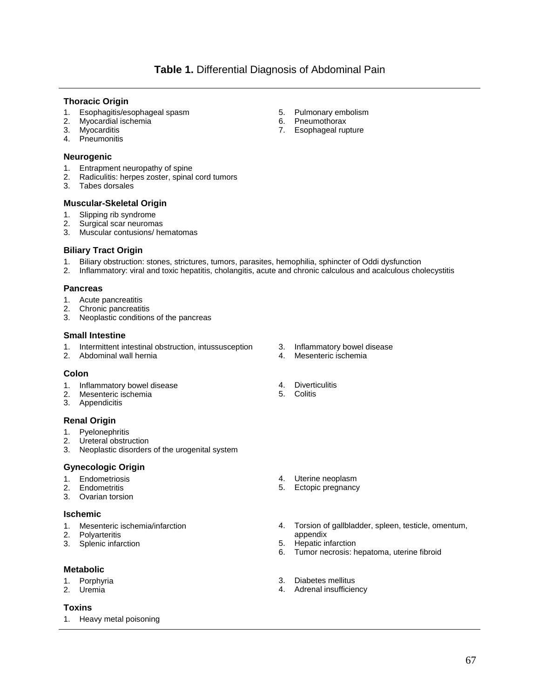#### **Thoracic Origin**

- 1. Esophagitis/esophageal spasm 5. Pulmonary embolism
- 2. Myocardial ischemia 6. Pneumothorax
- 
- Pneumonitis

#### **Neurogenic**

- 1. Entrapment neuropathy of spine
- 2. Radiculitis: herpes zoster, spinal cord tumors
- Tabes dorsales

## **Muscular-Skeletal Origin**

- 1. Slipping rib syndrome
- 2. Surgical scar neuromas
- 3. Muscular contusions/ hematomas

#### **Biliary Tract Origin**

- 1. Biliary obstruction: stones, strictures, tumors, parasites, hemophilia, sphincter of Oddi dysfunction
- 2. Inflammatory: viral and toxic hepatitis, cholangitis, acute and chronic calculous and acalculous cholecystitis

#### **Pancreas**

- Acute pancreatitis 1. Acute pancreatitis 2. Chronic pancreatitis
- 
- 3. Neoplastic conditions of the pancreas

#### **Small Intestine**

- 1. Intermittent intestinal obstruction, intussusception 3. Inflammatory bowel disease<br>2. Abdominal wall hernia
- 2. Abdominal wall hernia 1988 and 1989. Abdominal wall hernia 1988 and 1989.

#### **Colon**

- 1. Inflammatory bowel disease **4. Diverticulitis**<br>2. Mesenteric ischemia
- 2. Mesenteric ischemia
- 3. Appendicitis

#### **Renal Origin**

- 1. Pyelonephritis
- 2. Ureteral obstruction<br>3. Neoplastic disorders
- Neoplastic disorders of the urogenital system

#### **Gynecologic Origin**

- 
- 
- Ovarian torsion

#### **Ischemic**

- 
- 
- 2. Polyarteritis 3. Splenic infarction and the control of the control of the control of the control of the control of the control of the control of the control of the control of the control of the control of the control of 3. Splenic infarction 6. Hepatic infarction 6. Hepatic infarction 6. Hepatic infarction

#### **Metabolic**

- 
- 

#### **Toxins**

1. Heavy metal poisoning

- 
- 
- 
- 

- 1. Endometriosis 1. Endometriosis 1. Endometrius 1. Endometrius 1. External 1. Uterine neoplasm<br>1. Endometritis 1. Ectopic pregnancy
- 2. Endometritis 2. External properties of the state of the Sector 1. Ectopic pregnancy 3. Ovarian torsion
- 1. Mesenteric ischemia/infarction  $\begin{array}{ccc} 4. & \text{Torsion of gallbladder, spleen, testicle, omentum, 2. & Polyarteritis \end{array}$ 
	-
	- Tumor necrosis: hepatoma, uterine fibroid
- 1. Porphyria 3. Diabetes mellitus
- 2. Uremia 4. Adrenal insufficiency
- 
- 
- 3. Myocarditis **7.** Esophageal rupture<br>4. Pheumonitis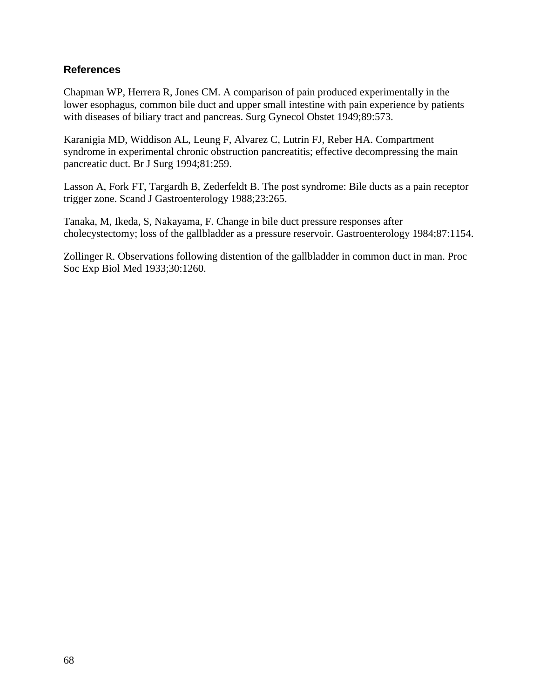## **References**

Chapman WP, Herrera R, Jones CM. A comparison of pain produced experimentally in the lower esophagus, common bile duct and upper small intestine with pain experience by patients with diseases of biliary tract and pancreas. Surg Gynecol Obstet 1949;89:573.

Karanigia MD, Widdison AL, Leung F, Alvarez C, Lutrin FJ, Reber HA. Compartment syndrome in experimental chronic obstruction pancreatitis; effective decompressing the main pancreatic duct. Br J Surg 1994;81:259.

Lasson A, Fork FT, Targardh B, Zederfeldt B. The post syndrome: Bile ducts as a pain receptor trigger zone. Scand J Gastroenterology 1988;23:265.

Tanaka, M, Ikeda, S, Nakayama, F. Change in bile duct pressure responses after cholecystectomy; loss of the gallbladder as a pressure reservoir. Gastroenterology 1984;87:1154.

Zollinger R. Observations following distention of the gallbladder in common duct in man. Proc Soc Exp Biol Med 1933;30:1260.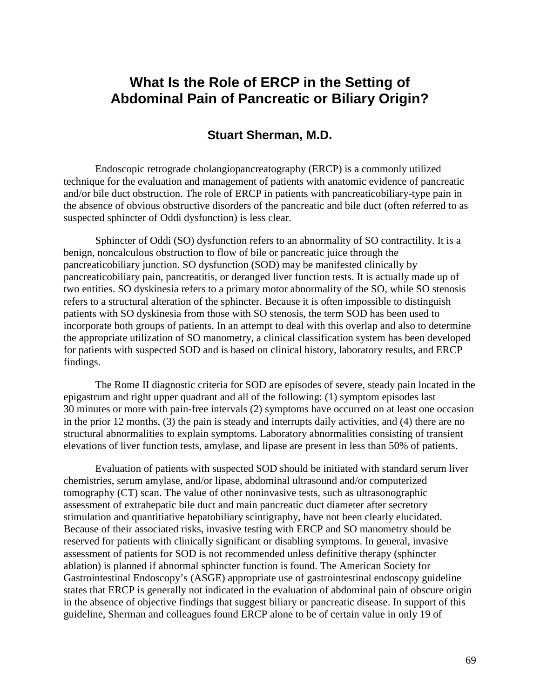# **What Is the Role of ERCP in the Setting of Abdominal Pain of Pancreatic or Biliary Origin?**

## **Stuart Sherman, M.D.**

Endoscopic retrograde cholangiopancreatography (ERCP) is a commonly utilized technique for the evaluation and management of patients with anatomic evidence of pancreatic and/or bile duct obstruction. The role of ERCP in patients with pancreaticobiliary-type pain in the absence of obvious obstructive disorders of the pancreatic and bile duct (often referred to as suspected sphincter of Oddi dysfunction) is less clear.

 Sphincter of Oddi (SO) dysfunction refers to an abnormality of SO contractility. It is a benign, noncalculous obstruction to flow of bile or pancreatic juice through the pancreaticobiliary junction. SO dysfunction (SOD) may be manifested clinically by pancreaticobiliary pain, pancreatitis, or deranged liver function tests. It is actually made up of two entities. SO dyskinesia refers to a primary motor abnormality of the SO, while SO stenosis refers to a structural alteration of the sphincter. Because it is often impossible to distinguish patients with SO dyskinesia from those with SO stenosis, the term SOD has been used to incorporate both groups of patients. In an attempt to deal with this overlap and also to determine the appropriate utilization of SO manometry, a clinical classification system has been developed for patients with suspected SOD and is based on clinical history, laboratory results, and ERCP findings.

The Rome II diagnostic criteria for SOD are episodes of severe, steady pain located in the epigastrum and right upper quadrant and all of the following: (1) symptom episodes last 30 minutes or more with pain-free intervals (2) symptoms have occurred on at least one occasion in the prior 12 months, (3) the pain is steady and interrupts daily activities, and (4) there are no structural abnormalities to explain symptoms. Laboratory abnormalities consisting of transient elevations of liver function tests, amylase, and lipase are present in less than 50% of patients.

 Gastrointestinal Endoscopy's (ASGE) appropriate use of gastrointestinal endoscopy guideline Evaluation of patients with suspected SOD should be initiated with standard serum liver chemistries, serum amylase, and/or lipase, abdominal ultrasound and/or computerized tomography (CT) scan. The value of other noninvasive tests, such as ultrasonographic assessment of extrahepatic bile duct and main pancreatic duct diameter after secretory stimulation and quantitiative hepatobiliary scintigraphy, have not been clearly elucidated. Because of their associated risks, invasive testing with ERCP and SO manometry should be reserved for patients with clinically significant or disabling symptoms. In general, invasive assessment of patients for SOD is not recommended unless definitive therapy (sphincter ablation) is planned if abnormal sphincter function is found. The American Society for states that ERCP is generally not indicated in the evaluation of abdominal pain of obscure origin in the absence of objective findings that suggest biliary or pancreatic disease. In support of this guideline, Sherman and colleagues found ERCP alone to be of certain value in only 19 of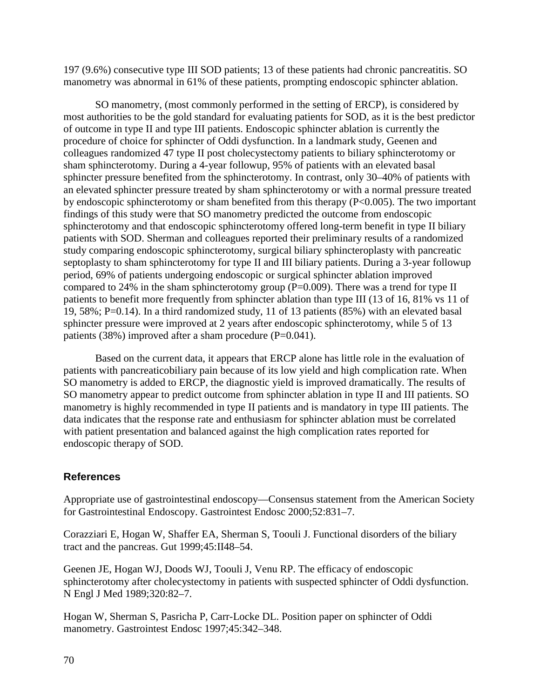197 (9.6%) consecutive type III SOD patients; 13 of these patients had chronic pancreatitis. SO manometry was abnormal in 61% of these patients, prompting endoscopic sphincter ablation.

 of outcome in type II and type III patients. Endoscopic sphincter ablation is currently the colleagues randomized 47 type II post cholecystectomy patients to biliary sphincterotomy or septoplasty to sham sphincterotomy for type II and III biliary patients. During a 3-year followup compared to 24% in the sham sphincterotomy group  $(P=0.009)$ . There was a trend for type II patients to benefit more frequently from sphincter ablation than type III (13 of 16, 81% vs 11 of SO manometry, (most commonly performed in the setting of ERCP), is considered by most authorities to be the gold standard for evaluating patients for SOD, as it is the best predictor procedure of choice for sphincter of Oddi dysfunction. In a landmark study, Geenen and sham sphincterotomy. During a 4-year followup, 95% of patients with an elevated basal sphincter pressure benefited from the sphincterotomy. In contrast, only 30–40% of patients with an elevated sphincter pressure treated by sham sphincterotomy or with a normal pressure treated by endoscopic sphincterotomy or sham benefited from this therapy (P<0.005). The two important findings of this study were that SO manometry predicted the outcome from endoscopic sphincterotomy and that endoscopic sphincterotomy offered long-term benefit in type II biliary patients with SOD. Sherman and colleagues reported their preliminary results of a randomized study comparing endoscopic sphincterotomy, surgical biliary sphincteroplasty with pancreatic period, 69% of patients undergoing endoscopic or surgical sphincter ablation improved 19, 58%; P=0.14). In a third randomized study, 11 of 13 patients (85%) with an elevated basal sphincter pressure were improved at 2 years after endoscopic sphincterotomy, while 5 of 13 patients (38%) improved after a sham procedure (P=0.041).

Based on the current data, it appears that ERCP alone has little role in the evaluation of patients with pancreaticobiliary pain because of its low yield and high complication rate. When SO manometry is added to ERCP, the diagnostic yield is improved dramatically. The results of SO manometry appear to predict outcome from sphincter ablation in type II and III patients. SO manometry is highly recommended in type II patients and is mandatory in type III patients. The data indicates that the response rate and enthusiasm for sphincter ablation must be correlated with patient presentation and balanced against the high complication rates reported for endoscopic therapy of SOD.

## **References**

Appropriate use of gastrointestinal endoscopy—Consensus statement from the American Society for Gastrointestinal Endoscopy. Gastrointest Endosc 2000;52:831–7.

Corazziari E, Hogan W, Shaffer EA, Sherman S, Toouli J. Functional disorders of the biliary tract and the pancreas. Gut 1999;45:II48–54.

Geenen JE, Hogan WJ, Doods WJ, Toouli J, Venu RP. The efficacy of endoscopic sphincterotomy after cholecystectomy in patients with suspected sphincter of Oddi dysfunction. N Engl J Med 1989;320:82–7.

Hogan W, Sherman S, Pasricha P, Carr-Locke DL. Position paper on sphincter of Oddi manometry. Gastrointest Endosc 1997;45:342–348.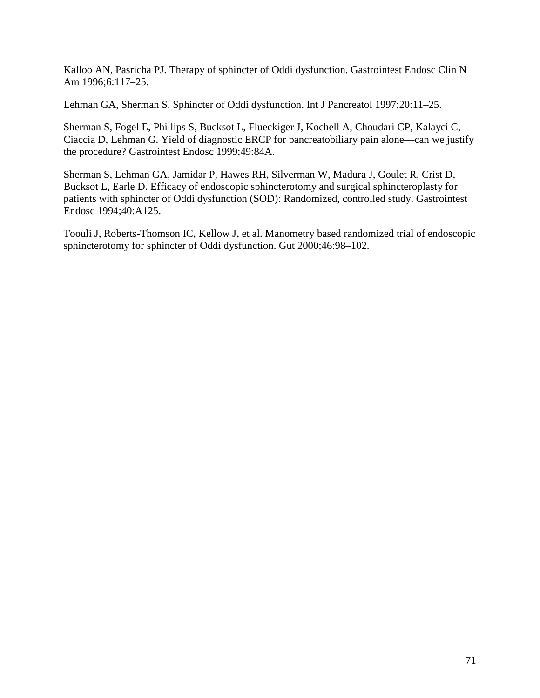Kalloo AN, Pasricha PJ. Therapy of sphincter of Oddi dysfunction. Gastrointest Endosc Clin N Am 1996;6:117–25.

Lehman GA, Sherman S. Sphincter of Oddi dysfunction. Int J Pancreatol 1997;20:11–25.

 Ciaccia D, Lehman G. Yield of diagnostic ERCP for pancreatobiliary pain alone—can we justify Sherman S, Fogel E, Phillips S, Bucksot L, Flueckiger J, Kochell A, Choudari CP, Kalayci C, the procedure? Gastrointest Endosc 1999;49:84A.

Sherman S, Lehman GA, Jamidar P, Hawes RH, Silverman W, Madura J, Goulet R, Crist D, Bucksot L, Earle D. Efficacy of endoscopic sphincterotomy and surgical sphincteroplasty for patients with sphincter of Oddi dysfunction (SOD): Randomized, controlled study. Gastrointest Endosc 1994;40:A125.

Toouli J, Roberts-Thomson IC, Kellow J, et al. Manometry based randomized trial of endoscopic sphincterotomy for sphincter of Oddi dysfunction. Gut 2000;46:98–102.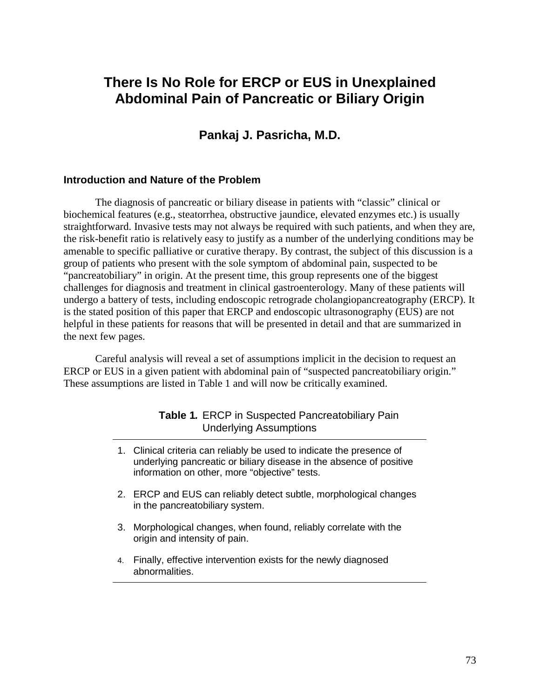# **There Is No Role for ERCP or EUS in Unexplained Abdominal Pain of Pancreatic or Biliary Origin**

# **Pankaj J. Pasricha, M.D.**

### **Introduction and Nature of the Problem**

The diagnosis of pancreatic or biliary disease in patients with "classic" clinical or biochemical features (e.g., steatorrhea, obstructive jaundice, elevated enzymes etc.) is usually straightforward. Invasive tests may not always be required with such patients, and when they are, the risk-benefit ratio is relatively easy to justify as a number of the underlying conditions may be amenable to specific palliative or curative therapy. By contrast, the subject of this discussion is a group of patients who present with the sole symptom of abdominal pain, suspected to be "pancreatobiliary" in origin. At the present time, this group represents one of the biggest challenges for diagnosis and treatment in clinical gastroenterology. Many of these patients will undergo a battery of tests, including endoscopic retrograde cholangiopancreatography (ERCP). It is the stated position of this paper that ERCP and endoscopic ultrasonography (EUS) are not helpful in these patients for reasons that will be presented in detail and that are summarized in the next few pages.

Careful analysis will reveal a set of assumptions implicit in the decision to request an ERCP or EUS in a given patient with abdominal pain of "suspected pancreatobiliary origin." These assumptions are listed in Table 1 and will now be critically examined.

## **Table 1.** ERCP in Suspected Pancreatobiliary Pain Underlying Assumptions

- 1. Clinical criteria can reliably be used to indicate the presence of underlying pancreatic or biliary disease in the absence of positive information on other, more "objective" tests.
- 2. ERCP and EUS can reliably detect subtle, morphological changes in the pancreatobiliary system.
- 3. Morphological changes, when found, reliably correlate with the origin and intensity of pain.
- 4. Finally, effective intervention exists for the newly diagnosed abnormalities.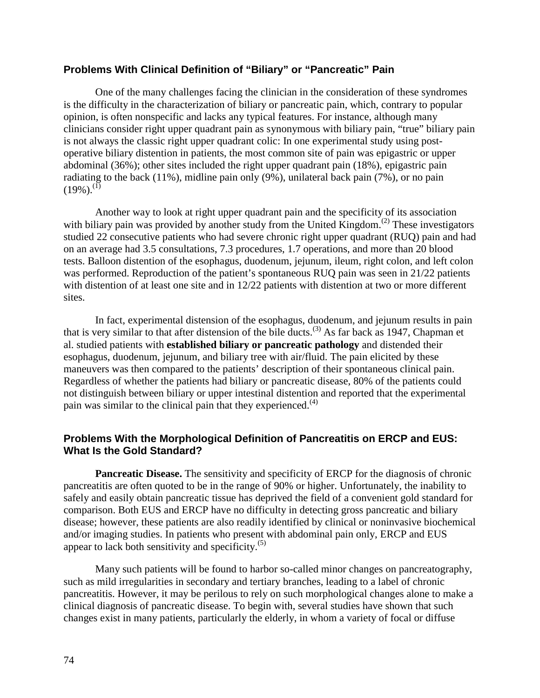## **Problems With Clinical Definition of "Biliary" or "Pancreatic" Pain**

 One of the many challenges facing the clinician in the consideration of these syndromes is the difficulty in the characterization of biliary or pancreatic pain, which, contrary to popular opinion, is often nonspecific and lacks any typical features. For instance, although many clinicians consider right upper quadrant pain as synonymous with biliary pain, "true" biliary pain is not always the classic right upper quadrant colic: In one experimental study using postoperative biliary distention in patients, the most common site of pain was epigastric or upper abdominal (36%); other sites included the right upper quadrant pain (18%), epigastric pain radiating to the back (11%), midline pain only (9%), unilateral back pain (7%), or no pain  $(19\%)$ .<sup>(1)</sup>

Another way to look at right upper quadrant pain and the specificity of its association with biliary pain was provided by another study from the United Kingdom.<sup>(2)</sup> These investigators studied 22 consecutive patients who had severe chronic right upper quadrant (RUQ) pain and had on an average had 3.5 consultations, 7.3 procedures, 1.7 operations, and more than 20 blood tests. Balloon distention of the esophagus, duodenum, jejunum, ileum, right colon, and left colon was performed. Reproduction of the patient's spontaneous RUQ pain was seen in 21/22 patients with distention of at least one site and in 12/22 patients with distention at two or more different sites.

In fact, experimental distension of the esophagus, duodenum, and jejunum results in pain that is very similar to that after distension of the bile ducts.<sup>(3)</sup> As far back as 1947, Chapman et al. studied patients with **established biliary or pancreatic pathology** and distended their esophagus, duodenum, jejunum, and biliary tree with air/fluid. The pain elicited by these maneuvers was then compared to the patients' description of their spontaneous clinical pain. Regardless of whether the patients had biliary or pancreatic disease, 80% of the patients could not distinguish between biliary or upper intestinal distention and reported that the experimental pain was similar to the clinical pain that they experienced.<sup>(4)</sup>

## **Problems With the Morphological Definition of Pancreatitis on ERCP and EUS: What Is the Gold Standard?**

**Pancreatic Disease.** The sensitivity and specificity of ERCP for the diagnosis of chronic pancreatitis are often quoted to be in the range of 90% or higher. Unfortunately, the inability to safely and easily obtain pancreatic tissue has deprived the field of a convenient gold standard for comparison. Both EUS and ERCP have no difficulty in detecting gross pancreatic and biliary disease; however, these patients are also readily identified by clinical or noninvasive biochemical and/or imaging studies. In patients who present with abdominal pain only, ERCP and EUS appear to lack both sensitivity and specificity. $(5)$ 

 such as mild irregularities in secondary and tertiary branches, leading to a label of chronic Many such patients will be found to harbor so-called minor changes on pancreatography, pancreatitis. However, it may be perilous to rely on such morphological changes alone to make a clinical diagnosis of pancreatic disease. To begin with, several studies have shown that such changes exist in many patients, particularly the elderly, in whom a variety of focal or diffuse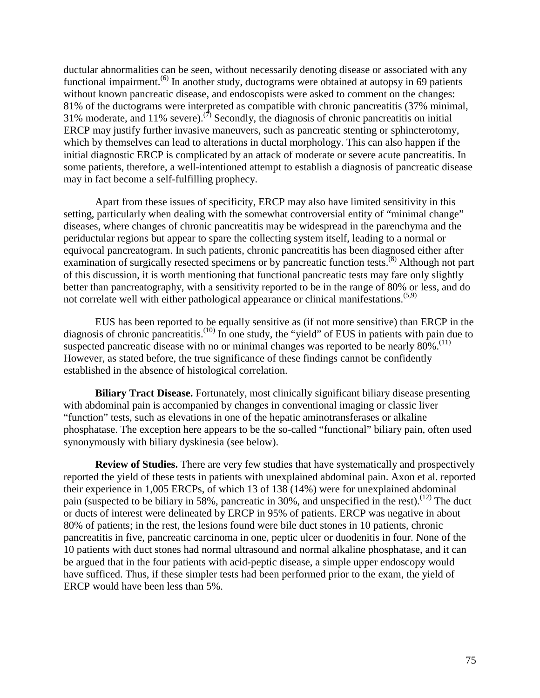ductular abnormalities can be seen, without necessarily denoting disease or associated with any functional impairment.<sup> $(6)$ </sup> In another study, ductograms were obtained at autopsy in 69 patients without known pancreatic disease, and endoscopists were asked to comment on the changes: 81% of the ductograms were interpreted as compatible with chronic pancreatitis (37% minimal, 31% moderate, and 11% severe).<sup>(7)</sup> Secondly, the diagnosis of chronic pancreatitis on initial ERCP may justify further invasive maneuvers, such as pancreatic stenting or sphincterotomy, which by themselves can lead to alterations in ductal morphology. This can also happen if the initial diagnostic ERCP is complicated by an attack of moderate or severe acute pancreatitis. In some patients, therefore, a well-intentioned attempt to establish a diagnosis of pancreatic disease may in fact become a self-fulfilling prophecy.

Apart from these issues of specificity, ERCP may also have limited sensitivity in this setting, particularly when dealing with the somewhat controversial entity of "minimal change" diseases, where changes of chronic pancreatitis may be widespread in the parenchyma and the periductular regions but appear to spare the collecting system itself, leading to a normal or equivocal pancreatogram. In such patients, chronic pancreatitis has been diagnosed either after examination of surgically resected specimens or by pancreatic function tests.<sup>(8)</sup> Although not part of this discussion, it is worth mentioning that functional pancreatic tests may fare only slightly better than pancreatography, with a sensitivity reported to be in the range of 80% or less, and do not correlate well with either pathological appearance or clinical manifestations.<sup>(5,9)</sup>

EUS has been reported to be equally sensitive as (if not more sensitive) than ERCP in the diagnosis of chronic pancreatitis.<sup>(10)</sup> In one study, the "yield" of EUS in patients with pain due to suspected pancreatic disease with no or minimal changes was reported to be nearly  $80\%$ .<sup>(11)</sup> However, as stated before, the true significance of these findings cannot be confidently established in the absence of histological correlation.

 synonymously with biliary dyskinesia (see below). **Biliary Tract Disease.** Fortunately, most clinically significant biliary disease presenting with abdominal pain is accompanied by changes in conventional imaging or classic liver "function" tests, such as elevations in one of the hepatic aminotransferases or alkaline phosphatase. The exception here appears to be the so-called "functional" biliary pain, often used

**Review of Studies.** There are very few studies that have systematically and prospectively reported the yield of these tests in patients with unexplained abdominal pain. Axon et al. reported their experience in 1,005 ERCPs, of which 13 of 138 (14%) were for unexplained abdominal pain (suspected to be biliary in 58%, pancreatic in 30%, and unspecified in the rest).<sup>(12)</sup> The duct or ducts of interest were delineated by ERCP in 95% of patients. ERCP was negative in about 80% of patients; in the rest, the lesions found were bile duct stones in 10 patients, chronic pancreatitis in five, pancreatic carcinoma in one, peptic ulcer or duodenitis in four. None of the 10 patients with duct stones had normal ultrasound and normal alkaline phosphatase, and it can be argued that in the four patients with acid-peptic disease, a simple upper endoscopy would have sufficed. Thus, if these simpler tests had been performed prior to the exam, the yield of ERCP would have been less than 5%.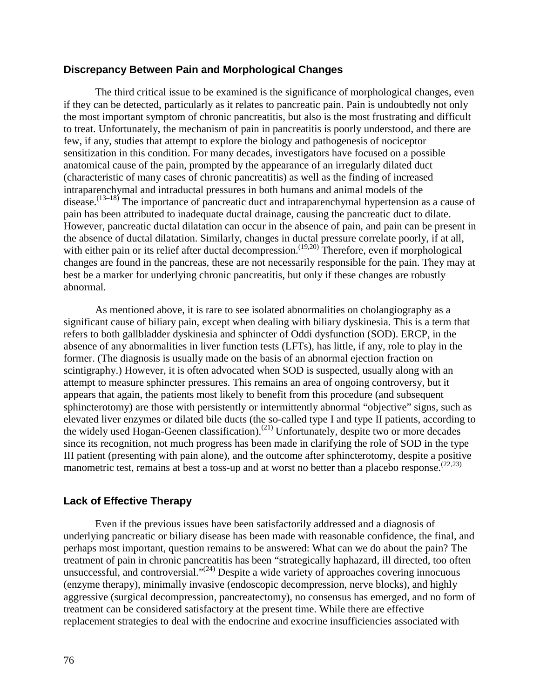### **Discrepancy Between Pain and Morphological Changes**

 anatomical cause of the pain, prompted by the appearance of an irregularly dilated duct The third critical issue to be examined is the significance of morphological changes, even if they can be detected, particularly as it relates to pancreatic pain. Pain is undoubtedly not only the most important symptom of chronic pancreatitis, but also is the most frustrating and difficult to treat. Unfortunately, the mechanism of pain in pancreatitis is poorly understood, and there are few, if any, studies that attempt to explore the biology and pathogenesis of nociceptor sensitization in this condition. For many decades, investigators have focused on a possible (characteristic of many cases of chronic pancreatitis) as well as the finding of increased intraparenchymal and intraductal pressures in both humans and animal models of the disease.<sup>(13–18)</sup> The importance of pancreatic duct and intraparenchymal hypertension as a cause of pain has been attributed to inadequate ductal drainage, causing the pancreatic duct to dilate. However, pancreatic ductal dilatation can occur in the absence of pain, and pain can be present in the absence of ductal dilatation. Similarly, changes in ductal pressure correlate poorly, if at all, with either pain or its relief after ductal decompression.<sup> $(19,20)$ </sup> Therefore, even if morphological changes are found in the pancreas, these are not necessarily responsible for the pain. They may at best be a marker for underlying chronic pancreatitis, but only if these changes are robustly abnormal.

As mentioned above, it is rare to see isolated abnormalities on cholangiography as a significant cause of biliary pain, except when dealing with biliary dyskinesia. This is a term that refers to both gallbladder dyskinesia and sphincter of Oddi dysfunction (SOD). ERCP, in the absence of any abnormalities in liver function tests (LFTs), has little, if any, role to play in the former. (The diagnosis is usually made on the basis of an abnormal ejection fraction on scintigraphy.) However, it is often advocated when SOD is suspected, usually along with an attempt to measure sphincter pressures. This remains an area of ongoing controversy, but it appears that again, the patients most likely to benefit from this procedure (and subsequent sphincterotomy) are those with persistently or intermittently abnormal "objective" signs, such as elevated liver enzymes or dilated bile ducts (the so-called type I and type II patients, according to the widely used Hogan-Geenen classification).<sup>(21)</sup> Unfortunately, despite two or more decades since its recognition, not much progress has been made in clarifying the role of SOD in the type III patient (presenting with pain alone), and the outcome after sphincterotomy, despite a positive manometric test, remains at best a toss-up and at worst no better than a placebo response.  $(22,23)$ 

### **Lack of Effective Therapy**

Even if the previous issues have been satisfactorily addressed and a diagnosis of underlying pancreatic or biliary disease has been made with reasonable confidence, the final, and perhaps most important, question remains to be answered: What can we do about the pain? The treatment of pain in chronic pancreatitis has been "strategically haphazard, ill directed, too often unsuccessful, and controversial." $(24)$  Despite a wide variety of approaches covering innocuous (enzyme therapy), minimally invasive (endoscopic decompression, nerve blocks), and highly aggressive (surgical decompression, pancreatectomy), no consensus has emerged, and no form of treatment can be considered satisfactory at the present time. While there are effective replacement strategies to deal with the endocrine and exocrine insufficiencies associated with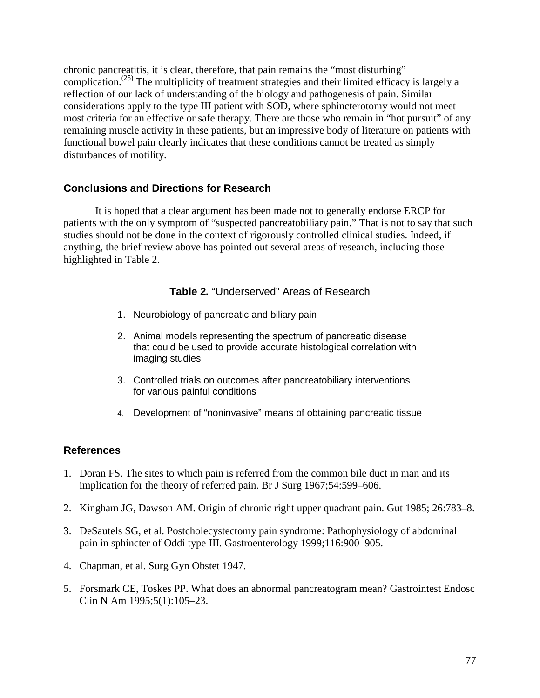chronic pancreatitis, it is clear, therefore, that pain remains the "most disturbing" complication.<sup> $(25)$ </sup> The multiplicity of treatment strategies and their limited efficacy is largely a reflection of our lack of understanding of the biology and pathogenesis of pain. Similar considerations apply to the type III patient with SOD, where sphincterotomy would not meet most criteria for an effective or safe therapy. There are those who remain in "hot pursuit" of any remaining muscle activity in these patients, but an impressive body of literature on patients with functional bowel pain clearly indicates that these conditions cannot be treated as simply disturbances of motility.

## **Conclusions and Directions for Research**

It is hoped that a clear argument has been made not to generally endorse ERCP for patients with the only symptom of "suspected pancreatobiliary pain." That is not to say that such studies should not be done in the context of rigorously controlled clinical studies. Indeed, if anything, the brief review above has pointed out several areas of research, including those highlighted in Table 2.

### **Table 2.** "Underserved" Areas of Research

- 1. Neurobiology of pancreatic and biliary pain
- 2. Animal models representing the spectrum of pancreatic disease that could be used to provide accurate histological correlation with imaging studies
- 3. Controlled trials on outcomes after pancreatobiliary interventions for various painful conditions
- 4. Development of "noninvasive" means of obtaining pancreatic tissue

## **References**

- 1. Doran FS. The sites to which pain is referred from the common bile duct in man and its implication for the theory of referred pain. Br J Surg 1967;54:599–606.
- 2. Kingham JG, Dawson AM. Origin of chronic right upper quadrant pain. Gut 1985; 26:783–8.
- 3. DeSautels SG, et al. Postcholecystectomy pain syndrome: Pathophysiology of abdominal pain in sphincter of Oddi type III. Gastroenterology 1999;116:900–905.
- 4. Chapman, et al. Surg Gyn Obstet 1947.
- 5. Forsmark CE, Toskes PP. What does an abnormal pancreatogram mean? Gastrointest Endosc Clin N Am 1995;5(1):105–23.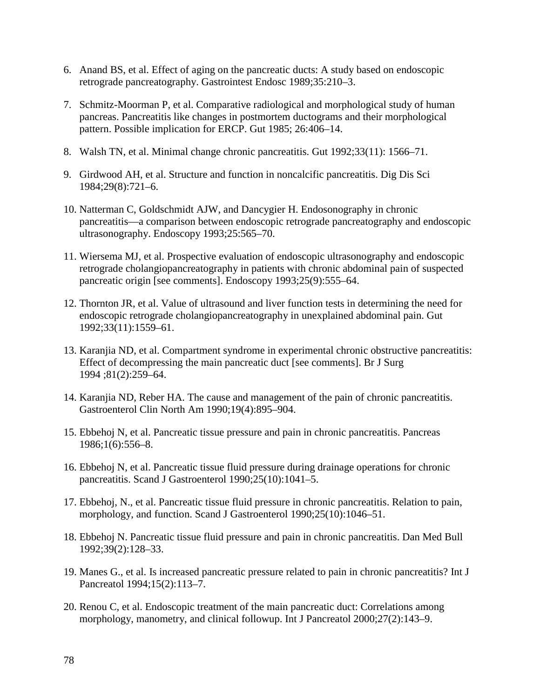- 6. Anand BS, et al. Effect of aging on the pancreatic ducts: A study based on endoscopic retrograde pancreatography. Gastrointest Endosc 1989;35:210–3.
- 7. Schmitz-Moorman P, et al. Comparative radiological and morphological study of human pancreas. Pancreatitis like changes in postmortem ductograms and their morphological pattern. Possible implication for ERCP. Gut 1985; 26:406–14.
- 8. Walsh TN, et al. Minimal change chronic pancreatitis. Gut 1992;33(11): 1566–71.
- 9. Girdwood AH, et al. Structure and function in noncalcific pancreatitis. Dig Dis Sci 1984;29(8):721–6.
- 10. Natterman C, Goldschmidt AJW, and Dancygier H. Endosonography in chronic pancreatitis—a comparison between endoscopic retrograde pancreatography and endoscopic ultrasonography. Endoscopy 1993;25:565–70.
- 11. Wiersema MJ, et al. Prospective evaluation of endoscopic ultrasonography and endoscopic retrograde cholangiopancreatography in patients with chronic abdominal pain of suspected pancreatic origin [see comments]. Endoscopy 1993;25(9):555–64.
- 12. Thornton JR, et al. Value of ultrasound and liver function tests in determining the need for endoscopic retrograde cholangiopancreatography in unexplained abdominal pain. Gut 1992;33(11):1559–61.
- 13. Karanjia ND, et al. Compartment syndrome in experimental chronic obstructive pancreatitis: Effect of decompressing the main pancreatic duct [see comments]. Br J Surg 1994 ;81(2):259–64.
- 14. Karanjia ND, Reber HA. The cause and management of the pain of chronic pancreatitis. Gastroenterol Clin North Am 1990;19(4):895–904.
- 15. Ebbehoj N, et al. Pancreatic tissue pressure and pain in chronic pancreatitis. Pancreas 1986;1(6):556–8.
- 16. Ebbehoj N, et al. Pancreatic tissue fluid pressure during drainage operations for chronic pancreatitis. Scand J Gastroenterol 1990;25(10):1041–5.
- 17. Ebbehoj, N., et al. Pancreatic tissue fluid pressure in chronic pancreatitis. Relation to pain, morphology, and function. Scand J Gastroenterol 1990;25(10):1046–51.
- 18. Ebbehoj N. Pancreatic tissue fluid pressure and pain in chronic pancreatitis. Dan Med Bull 1992;39(2):128–33.
- 19. Manes G., et al. Is increased pancreatic pressure related to pain in chronic pancreatitis? Int J Pancreatol 1994;15(2):113–7.
- 20. Renou C, et al. Endoscopic treatment of the main pancreatic duct: Correlations among morphology, manometry, and clinical followup. Int J Pancreatol 2000;27(2):143–9.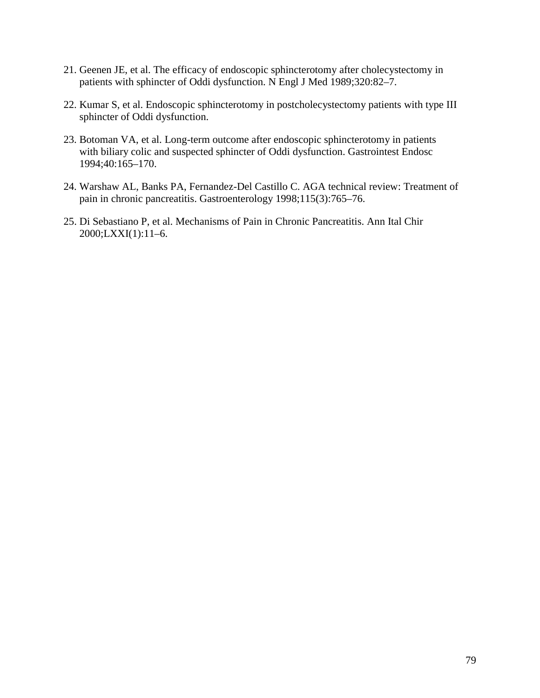- 21. Geenen JE, et al. The efficacy of endoscopic sphincterotomy after cholecystectomy in patients with sphincter of Oddi dysfunction. N Engl J Med 1989;320:82–7.
- 22. Kumar S, et al. Endoscopic sphincterotomy in postcholecystectomy patients with type III sphincter of Oddi dysfunction.
- 23. Botoman VA, et al. Long-term outcome after endoscopic sphincterotomy in patients with biliary colic and suspected sphincter of Oddi dysfunction. Gastrointest Endosc 1994;40:165–170.
- 24. Warshaw AL, Banks PA, Fernandez-Del Castillo C. AGA technical review: Treatment of pain in chronic pancreatitis. Gastroenterology 1998;115(3):765–76.
- 25. Di Sebastiano P, et al. Mechanisms of Pain in Chronic Pancreatitis. Ann Ital Chir 2000;LXXI(1):11–6.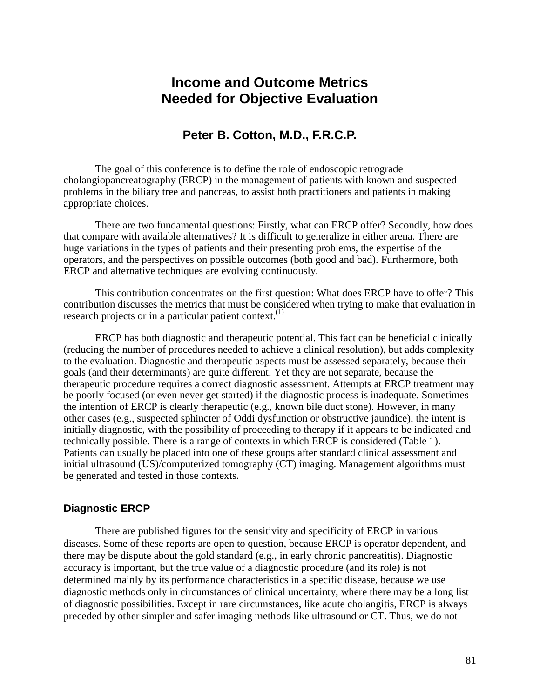# **Income and Outcome Metrics Needed for Objective Evaluation**

# **Peter B. Cotton, M.D., F.R.C.P.**

The goal of this conference is to define the role of endoscopic retrograde cholangiopancreatography (ERCP) in the management of patients with known and suspected problems in the biliary tree and pancreas, to assist both practitioners and patients in making appropriate choices.

There are two fundamental questions: Firstly, what can ERCP offer? Secondly, how does that compare with available alternatives? It is difficult to generalize in either arena. There are huge variations in the types of patients and their presenting problems, the expertise of the operators, and the perspectives on possible outcomes (both good and bad). Furthermore, both ERCP and alternative techniques are evolving continuously.

This contribution concentrates on the first question: What does ERCP have to offer? This contribution discusses the metrics that must be considered when trying to make that evaluation in research projects or in a particular patient context. $^{(1)}$ 

ERCP has both diagnostic and therapeutic potential. This fact can be beneficial clinically (reducing the number of procedures needed to achieve a clinical resolution), but adds complexity to the evaluation. Diagnostic and therapeutic aspects must be assessed separately, because their goals (and their determinants) are quite different. Yet they are not separate, because the therapeutic procedure requires a correct diagnostic assessment. Attempts at ERCP treatment may be poorly focused (or even never get started) if the diagnostic process is inadequate. Sometimes the intention of ERCP is clearly therapeutic (e.g., known bile duct stone). However, in many other cases (e.g., suspected sphincter of Oddi dysfunction or obstructive jaundice), the intent is initially diagnostic, with the possibility of proceeding to therapy if it appears to be indicated and technically possible. There is a range of contexts in which ERCP is considered (Table 1). Patients can usually be placed into one of these groups after standard clinical assessment and initial ultrasound (US)/computerized tomography (CT) imaging. Management algorithms must be generated and tested in those contexts.

## **Diagnostic ERCP**

There are published figures for the sensitivity and specificity of ERCP in various diseases. Some of these reports are open to question, because ERCP is operator dependent, and there may be dispute about the gold standard (e.g., in early chronic pancreatitis). Diagnostic accuracy is important, but the true value of a diagnostic procedure (and its role) is not determined mainly by its performance characteristics in a specific disease, because we use diagnostic methods only in circumstances of clinical uncertainty, where there may be a long list of diagnostic possibilities. Except in rare circumstances, like acute cholangitis, ERCP is always preceded by other simpler and safer imaging methods like ultrasound or CT. Thus, we do not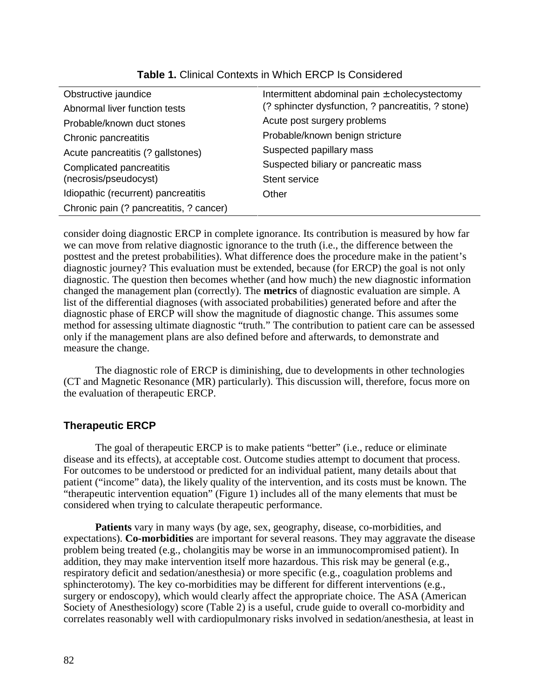| Obstructive jaundice                    | Intermittent abdominal pain $\pm$ cholecystectomy  |  |
|-----------------------------------------|----------------------------------------------------|--|
| Abnormal liver function tests           | (? sphincter dysfunction, ? pancreatitis, ? stone) |  |
| Probable/known duct stones              | Acute post surgery problems                        |  |
| Chronic pancreatitis                    | Probable/known benign stricture                    |  |
| Acute pancreatitis (? gallstones)       | Suspected papillary mass                           |  |
| Complicated pancreatitis                | Suspected biliary or pancreatic mass               |  |
| (necrosis/pseudocyst)                   | Stent service                                      |  |
| Idiopathic (recurrent) pancreatitis     | Other                                              |  |
| Chronic pain (? pancreatitis, ? cancer) |                                                    |  |
|                                         |                                                    |  |

## **Table 1.** Clinical Contexts in Which ERCP Is Considered

consider doing diagnostic ERCP in complete ignorance. Its contribution is measured by how far we can move from relative diagnostic ignorance to the truth (i.e., the difference between the posttest and the pretest probabilities). What difference does the procedure make in the patient's diagnostic journey? This evaluation must be extended, because (for ERCP) the goal is not only diagnostic. The question then becomes whether (and how much) the new diagnostic information changed the management plan (correctly). The **metrics** of diagnostic evaluation are simple. A list of the differential diagnoses (with associated probabilities) generated before and after the diagnostic phase of ERCP will show the magnitude of diagnostic change. This assumes some method for assessing ultimate diagnostic "truth." The contribution to patient care can be assessed only if the management plans are also defined before and afterwards, to demonstrate and measure the change.

 (CT and Magnetic Resonance (MR) particularly). This discussion will, therefore, focus more on The diagnostic role of ERCP is diminishing, due to developments in other technologies the evaluation of therapeutic ERCP.

# **Therapeutic ERCP**

The goal of therapeutic ERCP is to make patients "better" (i.e., reduce or eliminate disease and its effects), at acceptable cost. Outcome studies attempt to document that process. For outcomes to be understood or predicted for an individual patient, many details about that patient ("income" data), the likely quality of the intervention, and its costs must be known. The "therapeutic intervention equation" (Figure 1) includes all of the many elements that must be considered when trying to calculate therapeutic performance.

**Patients** vary in many ways (by age, sex, geography, disease, co-morbidities, and expectations). **Co-morbidities** are important for several reasons. They may aggravate the disease problem being treated (e.g., cholangitis may be worse in an immunocompromised patient). In addition, they may make intervention itself more hazardous. This risk may be general (e.g., respiratory deficit and sedation/anesthesia) or more specific (e.g., coagulation problems and sphincterotomy). The key co-morbidities may be different for different interventions (e.g., surgery or endoscopy), which would clearly affect the appropriate choice. The ASA (American Society of Anesthesiology) score (Table 2) is a useful, crude guide to overall co-morbidity and correlates reasonably well with cardiopulmonary risks involved in sedation/anesthesia, at least in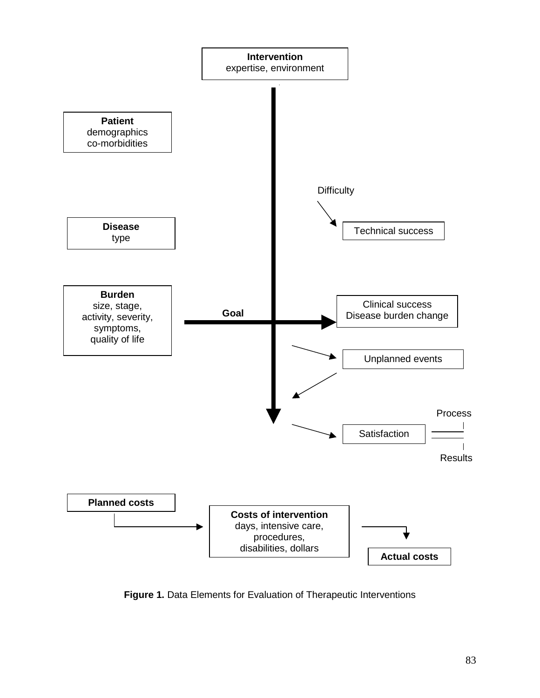

**Figure 1.** Data Elements for Evaluation of Therapeutic Interventions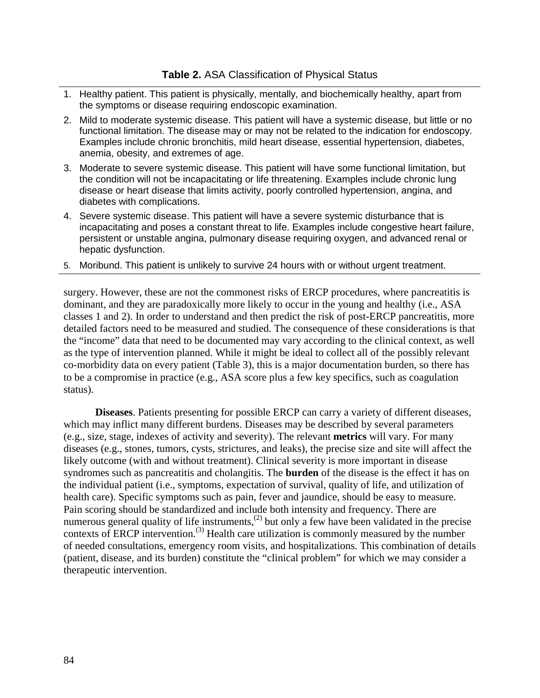- 1. Healthy patient. This patient is physically, mentally, and biochemically healthy, apart from the symptoms or disease requiring endoscopic examination.
- functional limitation. The disease may or may not be related to the indication for endoscopy. 2. Mild to moderate systemic disease. This patient will have a systemic disease, but little or no Examples include chronic bronchitis, mild heart disease, essential hypertension, diabetes, anemia, obesity, and extremes of age.
- 3. Moderate to severe systemic disease. This patient will have some functional limitation, but the condition will not be incapacitating or life threatening. Examples include chronic lung disease or heart disease that limits activity, poorly controlled hypertension, angina, and diabetes with complications.
- incapacitating and poses a constant threat to life. Examples include congestive heart failure, hepatic dysfunction. hepatic dysfunction. 5. Moribund. This patient is unlikely to survive 24 hours with or without urgent treatment. 4. Severe systemic disease. This patient will have a severe systemic disturbance that is persistent or unstable angina, pulmonary disease requiring oxygen, and advanced renal or
- 

surgery. However, these are not the commonest risks of ERCP procedures, where pancreatitis is dominant, and they are paradoxically more likely to occur in the young and healthy (i.e., ASA classes 1 and 2). In order to understand and then predict the risk of post-ERCP pancreatitis, more detailed factors need to be measured and studied. The consequence of these considerations is that the "income" data that need to be documented may vary according to the clinical context, as well as the type of intervention planned. While it might be ideal to collect all of the possibly relevant co-morbidity data on every patient (Table 3), this is a major documentation burden, so there has to be a compromise in practice (e.g., ASA score plus a few key specifics, such as coagulation status).

**Diseases**. Patients presenting for possible ERCP can carry a variety of different diseases, which may inflict many different burdens. Diseases may be described by several parameters (e.g., size, stage, indexes of activity and severity). The relevant **metrics** will vary. For many diseases (e.g., stones, tumors, cysts, strictures, and leaks), the precise size and site will affect the likely outcome (with and without treatment). Clinical severity is more important in disease syndromes such as pancreatitis and cholangitis. The **burden** of the disease is the effect it has on the individual patient (i.e., symptoms, expectation of survival, quality of life, and utilization of health care). Specific symptoms such as pain, fever and jaundice, should be easy to measure. Pain scoring should be standardized and include both intensity and frequency. There are numerous general quality of life instruments,<sup>(2)</sup> but only a few have been validated in the precise contexts of ERCP intervention.<sup>(3)</sup> Health care utilization is commonly measured by the number of needed consultations, emergency room visits, and hospitalizations. This combination of details (patient, disease, and its burden) constitute the "clinical problem" for which we may consider a therapeutic intervention.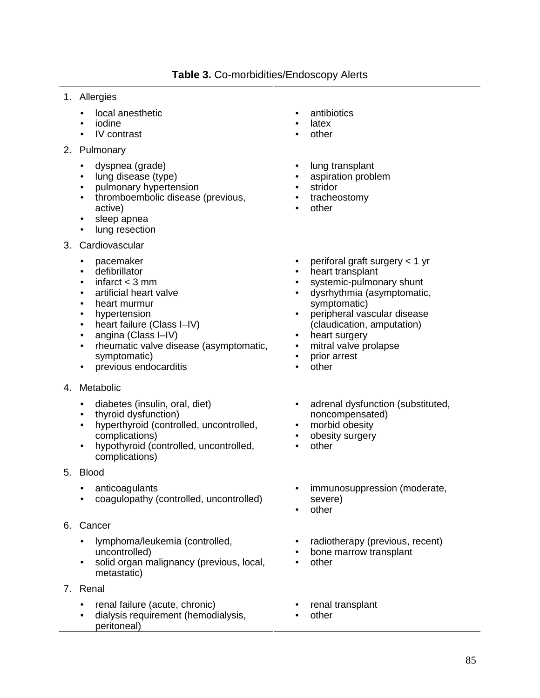- 1. Allergies
	- local anesthetic
	- iodine
	- IV contrast
- 2. Pulmonary
	- dyspnea (grade)
	- lung disease (type)
	- pulmonary hypertension
	- thromboembolic disease (previous, active)
	- sleep apnea
	- lung resection
- 3. Cardiovascular
	- pacemaker
	- defibrillator
	- $\bullet$  infarct  $<$  3 mm
	- artificial heart valve
	- heart murmur
	- hypertension
	- heart failure (Class I–IV)
	- angina (Class I–IV)
	- rheumatic valve disease (asymptomatic, symptomatic)
	- previous endocarditis
- 4. Metabolic
	- diabetes (insulin, oral, diet)
	- thyroid dysfunction)
	- hyperthyroid (controlled, uncontrolled, complications)
	- hypothyroid (controlled, uncontrolled, complications)
- 5. Blood
	- anticoagulants
	- coagulopathy (controlled, uncontrolled)
- 6. Cancer
	- lymphoma/leukemia (controlled, uncontrolled)
	- solid organ malignancy (previous, local, metastatic)
- 7. Renal
	- renal failure (acute, chronic)
	- dialysis requirement (hemodialysis, peritoneal)
- antibiotics
- latex
- other
- lung transplant
- aspiration problem
- stridor
- tracheostomy
- other
- periforal graft surgery < 1 yr
- heart transplant
- systemic-pulmonary shunt
- dysrhythmia (asymptomatic, symptomatic)
- peripheral vascular disease (claudication, amputation)
- heart surgery
- mitral valve prolapse
- prior arrest
- other
- adrenal dysfunction (substituted, noncompensated)
- morbid obesity
- obesity surgery
- other
- immunosuppression (moderate, severe)
- other
- radiotherapy (previous, recent)
- bone marrow transplant
- other
- renal transplant
- other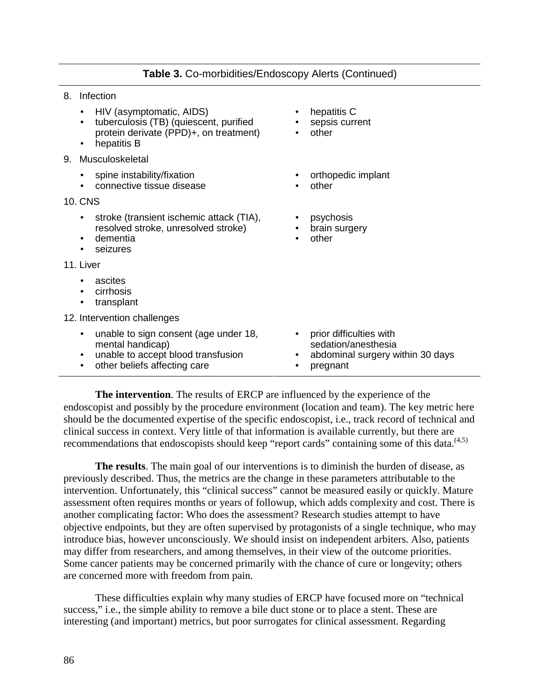• other

• other

psychosis • brain surgery

hepatitis C sepsis current

• orthopedic implant

• other

- 8. Infection
	- HIV (asymptomatic, AIDS)
	- tuberculosis (TB) (quiescent, purified protein derivate (PPD)+, on treatment)
	- $\bullet$  hepatitis B
- 9. Musculoskeletal
	- spine instability/fixation
	- connective tissue disease
- 10. CNS
	- stroke (transient ischemic attack (TIA), resolved stroke, unresolved stroke)
	- dementia
	- seizures
- 11. Liver
	- ascites
	- cirrhosis
	- transplant
- 12. Intervention challenges
	- unable to sign consent (age under 18, mental handicap) • unable to accept blood transfusion • other beliefs affecting care • prior difficulties with sedation/anesthesia • abdominal surgery within 30 days pregnant

 clinical success in context. Very little of that information is available currently, but there are recommendations that endoscopists should keep "report cards" containing some of this data.<sup>(4,5)</sup> **The intervention**. The results of ERCP are influenced by the experience of the endoscopist and possibly by the procedure environment (location and team). The key metric here should be the documented expertise of the specific endoscopist, i.e., track record of technical and

**The results**. The main goal of our interventions is to diminish the burden of disease, as previously described. Thus, the metrics are the change in these parameters attributable to the intervention. Unfortunately, this "clinical success" cannot be measured easily or quickly. Mature assessment often requires months or years of followup, which adds complexity and cost. There is another complicating factor: Who does the assessment? Research studies attempt to have objective endpoints, but they are often supervised by protagonists of a single technique, who may introduce bias, however unconsciously. We should insist on independent arbiters. Also, patients may differ from researchers, and among themselves, in their view of the outcome priorities. Some cancer patients may be concerned primarily with the chance of cure or longevity; others are concerned more with freedom from pain.

These difficulties explain why many studies of ERCP have focused more on "technical success," i.e., the simple ability to remove a bile duct stone or to place a stent. These are interesting (and important) metrics, but poor surrogates for clinical assessment. Regarding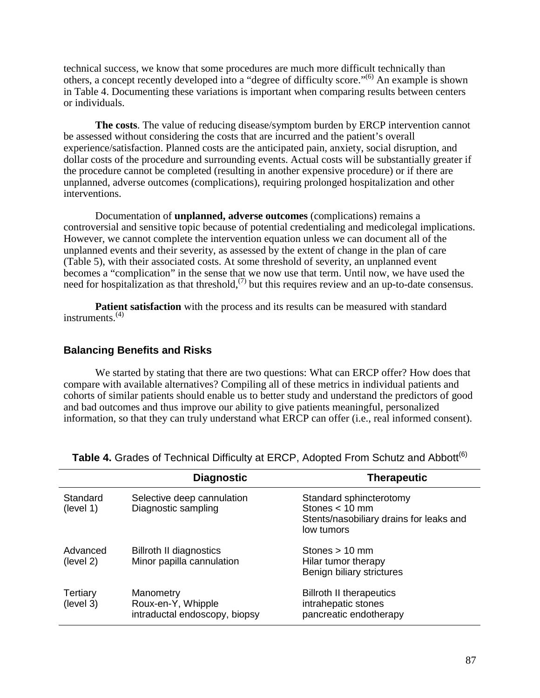technical success, we know that some procedures are much more difficult technically than others, a concept recently developed into a "degree of difficulty score."<sup>(6)</sup> An example is shown in Table 4. Documenting these variations is important when comparing results between centers or individuals.

**The costs**. The value of reducing disease/symptom burden by ERCP intervention cannot be assessed without considering the costs that are incurred and the patient's overall experience/satisfaction. Planned costs are the anticipated pain, anxiety, social disruption, and dollar costs of the procedure and surrounding events. Actual costs will be substantially greater if the procedure cannot be completed (resulting in another expensive procedure) or if there are unplanned, adverse outcomes (complications), requiring prolonged hospitalization and other interventions.

Documentation of **unplanned, adverse outcomes** (complications) remains a controversial and sensitive topic because of potential credentialing and medicolegal implications. However, we cannot complete the intervention equation unless we can document all of the unplanned events and their severity, as assessed by the extent of change in the plan of care (Table 5), with their associated costs. At some threshold of severity, an unplanned event becomes a "complication" in the sense that we now use that term. Until now, we have used the need for hospitalization as that threshold,<sup>(7)</sup> but this requires review and an up-to-date consensus.

**Patient satisfaction** with the process and its results can be measured with standard instruments. $(4)$ 

## **Balancing Benefits and Risks**

We started by stating that there are two questions: What can ERCP offer? How does that compare with available alternatives? Compiling all of these metrics in individual patients and cohorts of similar patients should enable us to better study and understand the predictors of good and bad outcomes and thus improve our ability to give patients meaningful, personalized information, so that they can truly understand what ERCP can offer (i.e., real informed consent).

|                       | <b>Diagnostic</b>                                                | <b>Therapeutic</b>                                                                                   |
|-----------------------|------------------------------------------------------------------|------------------------------------------------------------------------------------------------------|
| Standard<br>(level 1) | Selective deep cannulation<br>Diagnostic sampling                | Standard sphincterotomy<br>Stones $< 10$ mm<br>Stents/nasobiliary drains for leaks and<br>low tumors |
| Advanced<br>(level 2) | <b>Billroth II diagnostics</b><br>Minor papilla cannulation      | Stones $> 10$ mm<br>Hilar tumor therapy<br>Benign biliary strictures                                 |
| Tertiary<br>(level 3) | Manometry<br>Roux-en-Y, Whipple<br>intraductal endoscopy, biopsy | <b>Billroth II therapeutics</b><br>intrahepatic stones<br>pancreatic endotherapy                     |

### **Table 4.** Grades of Technical Difficulty at ERCP, Adopted From Schutz and Abbott<sup>(6)</sup>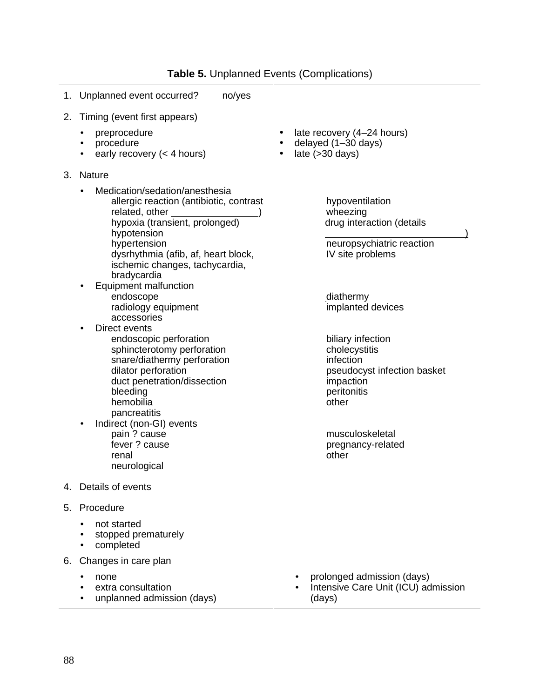**Table 5.** Unplanned Events (Complications)

- 1. Unplanned event occurred? no/yes
- 2. Timing (event first appears)
	- preprocedure
	- procedure
	- early recovery  $(< 4 \text{ hours})$  late  $( > 30 \text{ days})$
- 3. Nature
	- Medication/sedation/anesthesia
		- related, other ) allergic reaction (antibiotic, contrast
		- hypoxia (transient, prolonged)
		- hypotension
		- hypertension
		- $-$  dysrhythmia (afib, af, heart block, ischemic changes, tachycardia, bradycardia
	- Equipment malfunction
		- endoscope
		- radiology equipment
		- accessories
	- Direct events
		- $-$  endoscopic perforation
		- sphincterotomy perforation
		- snare/diathermy perforation
		- $-$  dilator perforation
		- duct penetration/dissection
		- bleeding
		- hemobilia
		- $-$  pancreatitis
	- Indirect (non-GI) events
		- $-$  pain ? cause
		- $-$  fever ? cause
		- renal
		- neurological
- 4. Details of events<br>5. Procedure
- - not started
	- stopped prematurely
	- completed
- 6. Changes in care plan
	-
	-
	- unplanned admission (days) (days)
- preprocedure late recovery (4–24 hours)
	- delayed  $(1–30 \text{ days})$
	- - hypoventilation
		- wheezing
		- drug interaction (details
		- $\overline{a}$  ) - neuropsychiatric reaction
		- $-$  IV site problems
		- $-$  diathermy
		- $-$  implanted devices
		- biliary infection
		- $-$  cholecystitis
		- $-$  infection
		- pseudocyst infection basket impaction
		- $-$  peritonitis
		- $-$  other
		- musculoskeletal
		- pregnancy-related
		- $-$  other

- none **•** prolonged admission (days)
- extra consultation **•** Intensive Care Unit (ICU) admission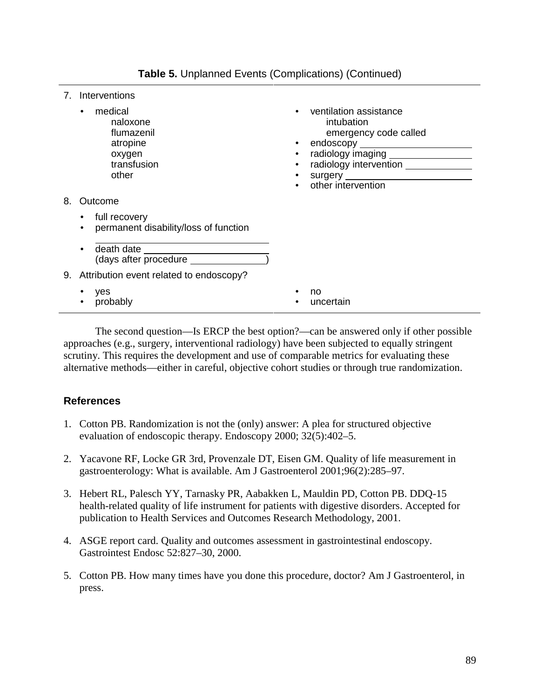| Interventions |
|---------------|
|               |

|    | medical<br>$-$ naloxone<br>— flumazenil<br>$-$ atropine<br>- oxygen<br>$-$ transfusion<br>— other | ventilation assistance<br>$-$ intubation<br>$-$ emergency code called<br>$\bullet$<br>radiology imaging _________________<br>$\bullet$<br>radiology intervention _____________<br>$\bullet$<br>other intervention |
|----|---------------------------------------------------------------------------------------------------|-------------------------------------------------------------------------------------------------------------------------------------------------------------------------------------------------------------------|
| 8. | Outcome                                                                                           |                                                                                                                                                                                                                   |
|    | full recovery<br>permanent disability/loss of function<br>(days after procedure                   |                                                                                                                                                                                                                   |
|    | 9. Attribution event related to endoscopy?                                                        |                                                                                                                                                                                                                   |
|    | yes<br>probably                                                                                   | no<br>uncertain                                                                                                                                                                                                   |

The second question—Is ERCP the best option?—can be answered only if other possible approaches (e.g., surgery, interventional radiology) have been subjected to equally stringent scrutiny. This requires the development and use of comparable metrics for evaluating these alternative methods—either in careful, objective cohort studies or through true randomization.

## **References**

- 1. Cotton PB. Randomization is not the (only) answer: A plea for structured objective evaluation of endoscopic therapy. Endoscopy 2000; 32(5):402–5.
- 2. Yacavone RF, Locke GR 3rd, Provenzale DT, Eisen GM. Quality of life measurement in gastroenterology: What is available. Am J Gastroenterol 2001;96(2):285–97.
- 3. Hebert RL, Palesch YY, Tarnasky PR, Aabakken L, Mauldin PD, Cotton PB. DDQ-15 health-related quality of life instrument for patients with digestive disorders. Accepted for publication to Health Services and Outcomes Research Methodology, 2001.
- 4. ASGE report card. Quality and outcomes assessment in gastrointestinal endoscopy. Gastrointest Endosc 52:827–30, 2000.
- 5. Cotton PB. How many times have you done this procedure, doctor? Am J Gastroenterol, in press.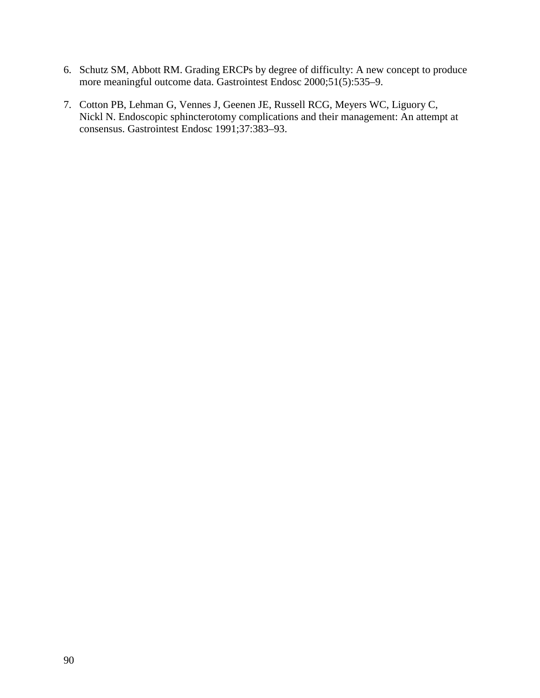- 6. Schutz SM, Abbott RM. Grading ERCPs by degree of difficulty: A new concept to produce more meaningful outcome data. Gastrointest Endosc 2000;51(5):535–9.
- 7. Cotton PB, Lehman G, Vennes J, Geenen JE, Russell RCG, Meyers WC, Liguory C, Nickl N. Endoscopic sphincterotomy complications and their management: An attempt at consensus. Gastrointest Endosc 1991;37:383–93.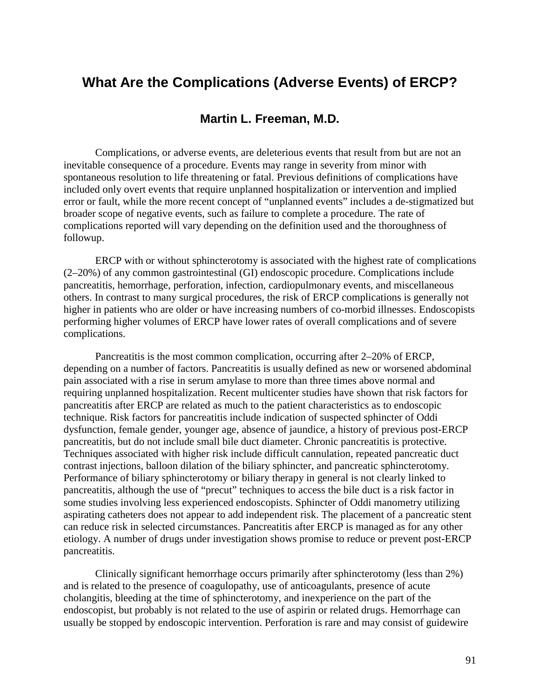# **What Are the Complications (Adverse Events) of ERCP?**

# **Martin L. Freeman, M.D.**

Complications, or adverse events, are deleterious events that result from but are not an inevitable consequence of a procedure. Events may range in severity from minor with spontaneous resolution to life threatening or fatal. Previous definitions of complications have included only overt events that require unplanned hospitalization or intervention and implied error or fault, while the more recent concept of "unplanned events" includes a de-stigmatized but broader scope of negative events, such as failure to complete a procedure. The rate of complications reported will vary depending on the definition used and the thoroughness of followup.

ERCP with or without sphincterotomy is associated with the highest rate of complications (2–20%) of any common gastrointestinal (GI) endoscopic procedure. Complications include pancreatitis, hemorrhage, perforation, infection, cardiopulmonary events, and miscellaneous others. In contrast to many surgical procedures, the risk of ERCP complications is generally not higher in patients who are older or have increasing numbers of co-morbid illnesses. Endoscopists performing higher volumes of ERCP have lower rates of overall complications and of severe complications.

Pancreatitis is the most common complication, occurring after 2–20% of ERCP, depending on a number of factors. Pancreatitis is usually defined as new or worsened abdominal pain associated with a rise in serum amylase to more than three times above normal and requiring unplanned hospitalization. Recent multicenter studies have shown that risk factors for pancreatitis after ERCP are related as much to the patient characteristics as to endoscopic technique. Risk factors for pancreatitis include indication of suspected sphincter of Oddi dysfunction, female gender, younger age, absence of jaundice, a history of previous post-ERCP pancreatitis, but do not include small bile duct diameter. Chronic pancreatitis is protective. Techniques associated with higher risk include difficult cannulation, repeated pancreatic duct contrast injections, balloon dilation of the biliary sphincter, and pancreatic sphincterotomy. Performance of biliary sphincterotomy or biliary therapy in general is not clearly linked to pancreatitis, although the use of "precut" techniques to access the bile duct is a risk factor in some studies involving less experienced endoscopists. Sphincter of Oddi manometry utilizing aspirating catheters does not appear to add independent risk. The placement of a pancreatic stent can reduce risk in selected circumstances. Pancreatitis after ERCP is managed as for any other etiology. A number of drugs under investigation shows promise to reduce or prevent post-ERCP pancreatitis.

Clinically significant hemorrhage occurs primarily after sphincterotomy (less than 2%) and is related to the presence of coagulopathy, use of anticoagulants, presence of acute cholangitis, bleeding at the time of sphincterotomy, and inexperience on the part of the endoscopist, but probably is not related to the use of aspirin or related drugs. Hemorrhage can usually be stopped by endoscopic intervention. Perforation is rare and may consist of guidewire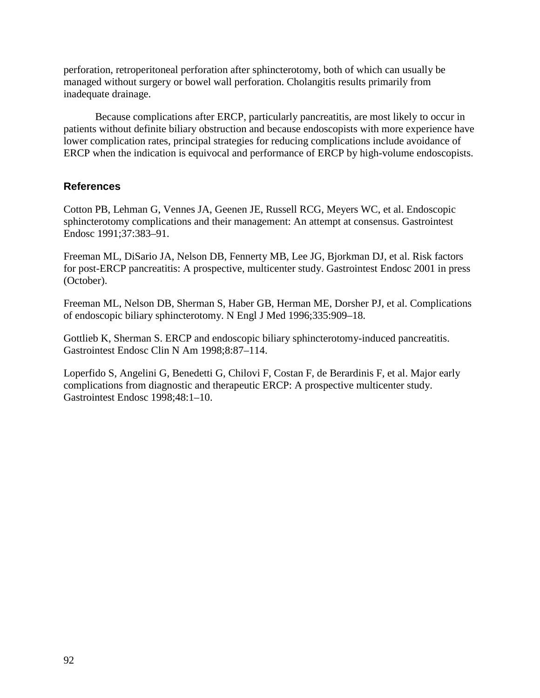perforation, retroperitoneal perforation after sphincterotomy, both of which can usually be managed without surgery or bowel wall perforation. Cholangitis results primarily from inadequate drainage.

Because complications after ERCP, particularly pancreatitis, are most likely to occur in patients without definite biliary obstruction and because endoscopists with more experience have lower complication rates, principal strategies for reducing complications include avoidance of ERCP when the indication is equivocal and performance of ERCP by high-volume endoscopists.

## **References**

Cotton PB, Lehman G, Vennes JA, Geenen JE, Russell RCG, Meyers WC, et al. Endoscopic sphincterotomy complications and their management: An attempt at consensus. Gastrointest Endosc 1991;37:383–91.

Freeman ML, DiSario JA, Nelson DB, Fennerty MB, Lee JG, Bjorkman DJ, et al. Risk factors for post-ERCP pancreatitis: A prospective, multicenter study. Gastrointest Endosc 2001 in press (October).

Freeman ML, Nelson DB, Sherman S, Haber GB, Herman ME, Dorsher PJ, et al. Complications of endoscopic biliary sphincterotomy. N Engl J Med 1996;335:909–18.

Gottlieb K, Sherman S. ERCP and endoscopic biliary sphincterotomy-induced pancreatitis. Gastrointest Endosc Clin N Am 1998;8:87–114.

Loperfido S, Angelini G, Benedetti G, Chilovi F, Costan F, de Berardinis F, et al. Major early complications from diagnostic and therapeutic ERCP: A prospective multicenter study. Gastrointest Endosc 1998;48:1–10.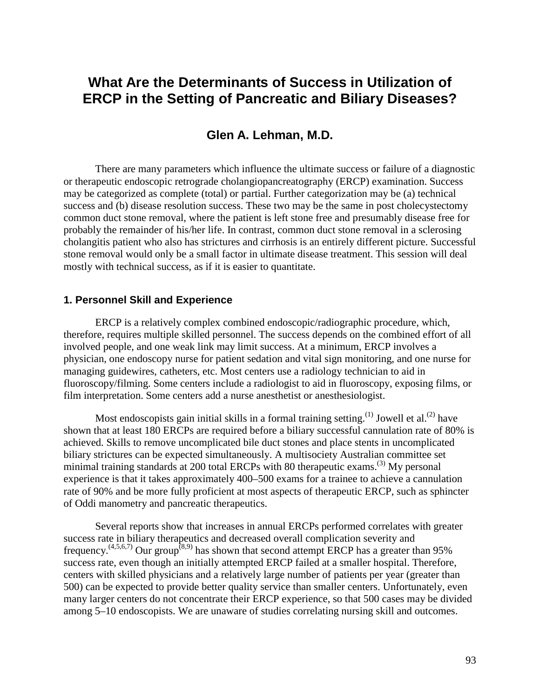# **What Are the Determinants of Success in Utilization of ERCP in the Setting of Pancreatic and Biliary Diseases?**

## **Glen A. Lehman, M.D.**

 stone removal would only be a small factor in ultimate disease treatment. This session will deal There are many parameters which influence the ultimate success or failure of a diagnostic or therapeutic endoscopic retrograde cholangiopancreatography (ERCP) examination. Success may be categorized as complete (total) or partial. Further categorization may be (a) technical success and (b) disease resolution success. These two may be the same in post cholecystectomy common duct stone removal, where the patient is left stone free and presumably disease free for probably the remainder of his/her life. In contrast, common duct stone removal in a sclerosing cholangitis patient who also has strictures and cirrhosis is an entirely different picture. Successful mostly with technical success, as if it is easier to quantitate.

#### **1. Personnel Skill and Experience**

ERCP is a relatively complex combined endoscopic/radiographic procedure, which, therefore, requires multiple skilled personnel. The success depends on the combined effort of all involved people, and one weak link may limit success. At a minimum, ERCP involves a physician, one endoscopy nurse for patient sedation and vital sign monitoring, and one nurse for managing guidewires, catheters, etc. Most centers use a radiology technician to aid in fluoroscopy/filming. Some centers include a radiologist to aid in fluoroscopy, exposing films, or film interpretation. Some centers add a nurse anesthetist or anesthesiologist.

Most endoscopists gain initial skills in a formal training setting.<sup>(1)</sup> Jowell et al.<sup>(2)</sup> have shown that at least 180 ERCPs are required before a biliary successful cannulation rate of 80% is achieved. Skills to remove uncomplicated bile duct stones and place stents in uncomplicated biliary strictures can be expected simultaneously. A multisociety Australian committee set minimal training standards at 200 total ERCPs with 80 therapeutic exams.<sup> $(3)$ </sup> My personal experience is that it takes approximately 400–500 exams for a trainee to achieve a cannulation rate of 90% and be more fully proficient at most aspects of therapeutic ERCP, such as sphincter of Oddi manometry and pancreatic therapeutics.

Several reports show that increases in annual ERCPs performed correlates with greater success rate in biliary therapeutics and decreased overall complication severity and frequency.<sup> $(4,5,6,7)$ </sup> Our group<sup>(8,9)</sup> has shown that second attempt ERCP has a greater than 95% success rate, even though an initially attempted ERCP failed at a smaller hospital. Therefore, centers with skilled physicians and a relatively large number of patients per year (greater than 500) can be expected to provide better quality service than smaller centers. Unfortunately, even many larger centers do not concentrate their ERCP experience, so that 500 cases may be divided among 5–10 endoscopists. We are unaware of studies correlating nursing skill and outcomes.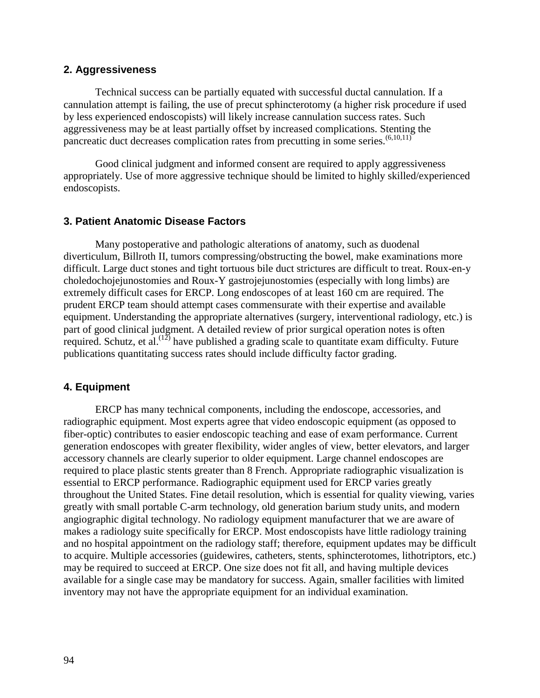### **2. Aggressiveness**

Technical success can be partially equated with successful ductal cannulation. If a cannulation attempt is failing, the use of precut sphincterotomy (a higher risk procedure if used by less experienced endoscopists) will likely increase cannulation success rates. Such aggressiveness may be at least partially offset by increased complications. Stenting the pancreatic duct decreases complication rates from precutting in some series.  $(6,10,11)$ 

Good clinical judgment and informed consent are required to apply aggressiveness appropriately. Use of more aggressive technique should be limited to highly skilled/experienced endoscopists.

## **3. Patient Anatomic Disease Factors**

required. Schutz, et al.<sup> $(12)$ </sup> have published a grading scale to quantitate exam difficulty. Future Many postoperative and pathologic alterations of anatomy, such as duodenal diverticulum, Billroth II, tumors compressing/obstructing the bowel, make examinations more difficult. Large duct stones and tight tortuous bile duct strictures are difficult to treat. Roux-en-y choledochojejunostomies and Roux-Y gastrojejunostomies (especially with long limbs) are extremely difficult cases for ERCP. Long endoscopes of at least 160 cm are required. The prudent ERCP team should attempt cases commensurate with their expertise and available equipment. Understanding the appropriate alternatives (surgery, interventional radiology, etc.) is part of good clinical judgment. A detailed review of prior surgical operation notes is often publications quantitating success rates should include difficulty factor grading.

## **4. Equipment**

ERCP has many technical components, including the endoscope, accessories, and radiographic equipment. Most experts agree that video endoscopic equipment (as opposed to fiber-optic) contributes to easier endoscopic teaching and ease of exam performance. Current generation endoscopes with greater flexibility, wider angles of view, better elevators, and larger accessory channels are clearly superior to older equipment. Large channel endoscopes are required to place plastic stents greater than 8 French. Appropriate radiographic visualization is essential to ERCP performance. Radiographic equipment used for ERCP varies greatly throughout the United States. Fine detail resolution, which is essential for quality viewing, varies greatly with small portable C-arm technology, old generation barium study units, and modern angiographic digital technology. No radiology equipment manufacturer that we are aware of makes a radiology suite specifically for ERCP. Most endoscopists have little radiology training and no hospital appointment on the radiology staff; therefore, equipment updates may be difficult to acquire. Multiple accessories (guidewires, catheters, stents, sphincterotomes, lithotriptors, etc.) may be required to succeed at ERCP. One size does not fit all, and having multiple devices available for a single case may be mandatory for success. Again, smaller facilities with limited inventory may not have the appropriate equipment for an individual examination.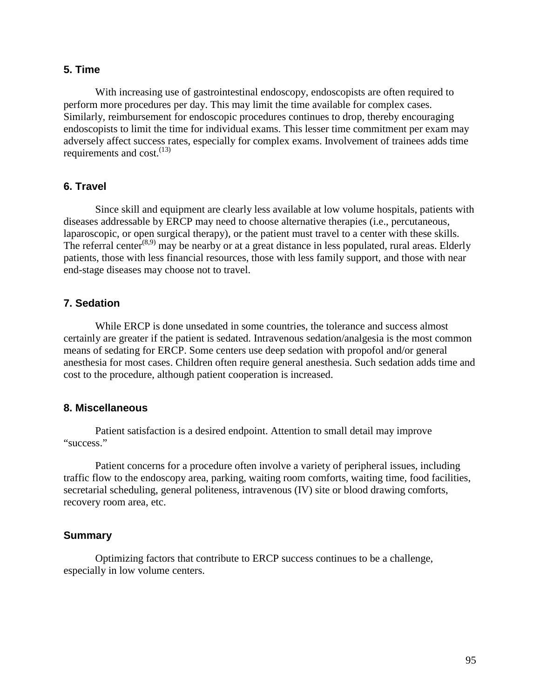## **5. Time**

 Similarly, reimbursement for endoscopic procedures continues to drop, thereby encouraging With increasing use of gastrointestinal endoscopy, endoscopists are often required to perform more procedures per day. This may limit the time available for complex cases. endoscopists to limit the time for individual exams. This lesser time commitment per exam may adversely affect success rates, especially for complex exams. Involvement of trainees adds time requirements and cost.  $(13)$ 

### **6. Travel**

Since skill and equipment are clearly less available at low volume hospitals, patients with diseases addressable by ERCP may need to choose alternative therapies (i.e., percutaneous, laparoscopic, or open surgical therapy), or the patient must travel to a center with these skills. The referral center<sup> $(8,9)$ </sup> may be nearby or at a great distance in less populated, rural areas. Elderly patients, those with less financial resources, those with less family support, and those with near end-stage diseases may choose not to travel.

### **7. Sedation**

While ERCP is done unsedated in some countries, the tolerance and success almost certainly are greater if the patient is sedated. Intravenous sedation/analgesia is the most common means of sedating for ERCP. Some centers use deep sedation with propofol and/or general anesthesia for most cases. Children often require general anesthesia. Such sedation adds time and cost to the procedure, although patient cooperation is increased.

#### **8. Miscellaneous**

Patient satisfaction is a desired endpoint. Attention to small detail may improve "success."

Patient concerns for a procedure often involve a variety of peripheral issues, including traffic flow to the endoscopy area, parking, waiting room comforts, waiting time, food facilities, secretarial scheduling, general politeness, intravenous (IV) site or blood drawing comforts, recovery room area, etc.

#### **Summary**

Optimizing factors that contribute to ERCP success continues to be a challenge, especially in low volume centers.